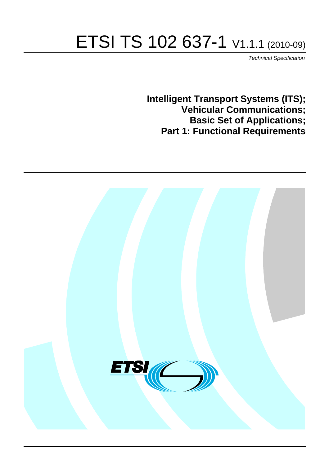# ETSI TS 102 637-1 V1.1.1 (2010-09)

*Technical Specification*

**Intelligent Transport Systems (ITS); Vehicular Communications; Basic Set of Applications; Part 1: Functional Requirements**

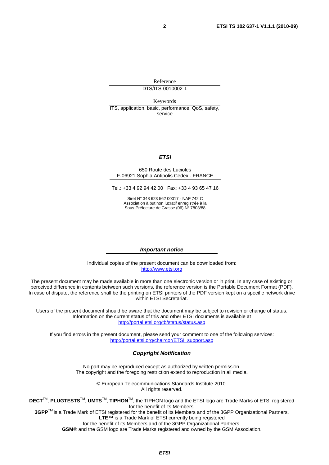Reference DTS/ITS-0010002-1

Keywords ITS, application, basic, performance, QoS, safety, service

#### *ETSI*

#### 650 Route des Lucioles F-06921 Sophia Antipolis Cedex - FRANCE

Tel.: +33 4 92 94 42 00 Fax: +33 4 93 65 47 16

Siret N° 348 623 562 00017 - NAF 742 C Association à but non lucratif enregistrée à la Sous-Préfecture de Grasse (06) N° 7803/88

#### *Important notice*

Individual copies of the present document can be downloaded from: [http://www.etsi.org](http://www.etsi.org/)

The present document may be made available in more than one electronic version or in print. In any case of existing or perceived difference in contents between such versions, the reference version is the Portable Document Format (PDF). In case of dispute, the reference shall be the printing on ETSI printers of the PDF version kept on a specific network drive within ETSI Secretariat.

Users of the present document should be aware that the document may be subject to revision or change of status. Information on the current status of this and other ETSI documents is available at <http://portal.etsi.org/tb/status/status.asp>

If you find errors in the present document, please send your comment to one of the following services: [http://portal.etsi.org/chaircor/ETSI\\_support.asp](http://portal.etsi.org/chaircor/ETSI_support.asp)

#### *Copyright Notification*

No part may be reproduced except as authorized by written permission. The copyright and the foregoing restriction extend to reproduction in all media.

> © European Telecommunications Standards Institute 2010. All rights reserved.

**DECT**TM, **PLUGTESTS**TM, **UMTS**TM, **TIPHON**TM, the TIPHON logo and the ETSI logo are Trade Marks of ETSI registered for the benefit of its Members.

**3GPP**TM is a Trade Mark of ETSI registered for the benefit of its Members and of the 3GPP Organizational Partners. **LTE**™ is a Trade Mark of ETSI currently being registered

for the benefit of its Members and of the 3GPP Organizational Partners.

**GSM**® and the GSM logo are Trade Marks registered and owned by the GSM Association.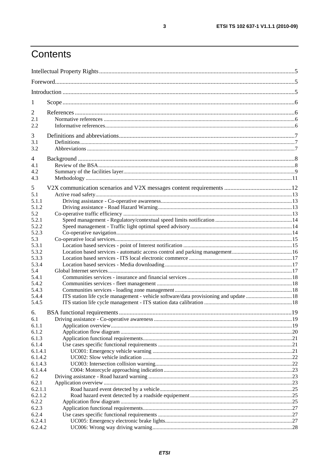## Contents

| 1                  |  |
|--------------------|--|
| $\overline{2}$     |  |
| 2.1                |  |
| 2.2                |  |
| 3                  |  |
| 3.1                |  |
| 3.2                |  |
|                    |  |
| 4                  |  |
| 4.1<br>4.2         |  |
| 4.3                |  |
|                    |  |
| 5                  |  |
| 5.1                |  |
| 5.1.1              |  |
| 5.1.2              |  |
| 5.2                |  |
| 5.2.1              |  |
| 5.2.2<br>5.2.3     |  |
| 5.3                |  |
| 5.3.1              |  |
| 5.3.2              |  |
| 5.3.3              |  |
| 5.3.4              |  |
| 5.4                |  |
| 5.4.1              |  |
| 5.4.2              |  |
| 5.4.3              |  |
| 5.4.4              |  |
| 5.4.5              |  |
| 6.                 |  |
| 6.1                |  |
| 6.1.1              |  |
| 6.1.2              |  |
| 6.1.3              |  |
| 6.1.4              |  |
| 6.1.4.1            |  |
| 6.1.4.2<br>6.1.4.3 |  |
| 6.1.4.4            |  |
| 6.2                |  |
| 6.2.1              |  |
| 6.2.1.1            |  |
| 6.2.1.2            |  |
| 6.2.2              |  |
| 6.2.3              |  |
| 6.2.4              |  |
| 6.2.4.1            |  |
| 6.2.4.2            |  |

 $\overline{\mathbf{3}}$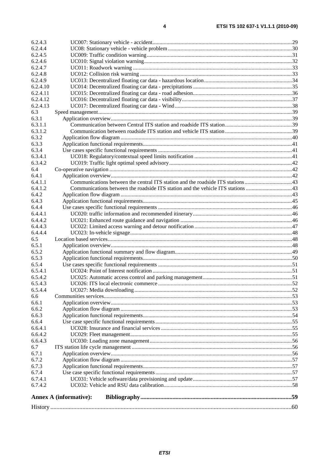| 6.2.4.3  |                               |  |
|----------|-------------------------------|--|
| 6.2.4.4  |                               |  |
| 6.2.4.5  |                               |  |
| 6.2.4.6  |                               |  |
| 6.2.4.7  |                               |  |
| 6.2.4.8  |                               |  |
| 6.2.4.9  |                               |  |
| 6.2.4.10 |                               |  |
| 6.2.4.11 |                               |  |
| 6.2.4.12 |                               |  |
| 6.2.4.13 |                               |  |
| 6.3      |                               |  |
| 6.3.1    |                               |  |
| 6.3.1.1  |                               |  |
| 6.3.1.2  |                               |  |
| 6.3.2    |                               |  |
| 6.3.3    |                               |  |
| 6.3.4    |                               |  |
| 6.3.4.1  |                               |  |
| 6.3.4.2  |                               |  |
| 6.4      |                               |  |
| 6.4.1    |                               |  |
| 6.4.1.1  |                               |  |
| 6.4.1.2  |                               |  |
| 6.4.2    |                               |  |
| 6.4.3    |                               |  |
| 6.4.4    |                               |  |
| 6.4.4.1  |                               |  |
| 6.4.4.2  |                               |  |
| 6.4.4.3  |                               |  |
| 6.4.4.4  |                               |  |
| 6.5      |                               |  |
| 6.5.1    |                               |  |
| 6.5.2    |                               |  |
| 6.5.3    |                               |  |
| 6.5.4    |                               |  |
| 6.5.4.1  |                               |  |
| 6.5.4.2  |                               |  |
| 6.5.4.3  |                               |  |
| 6.5.4.4  |                               |  |
| 6.6      |                               |  |
| 6.6.1    |                               |  |
| 6.6.2    |                               |  |
| 6.6.3    |                               |  |
| 6.6.4    |                               |  |
| 6.6.4.1  |                               |  |
| 6.6.4.2  |                               |  |
| 6.6.4.3  |                               |  |
| 6.7      |                               |  |
| 6.7.1    |                               |  |
| 6.7.2    |                               |  |
| 6.7.3    |                               |  |
| 6.7.4    |                               |  |
| 6.7.4.1  |                               |  |
| 6.7.4.2  |                               |  |
|          | <b>Annex A (informative):</b> |  |
|          |                               |  |
|          |                               |  |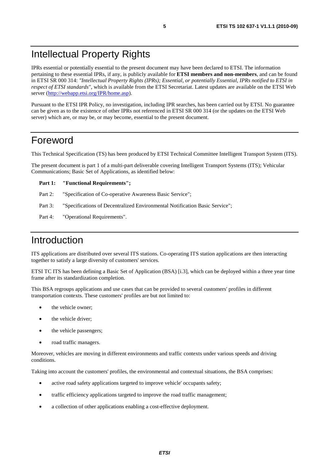## Intellectual Property Rights

IPRs essential or potentially essential to the present document may have been declared to ETSI. The information pertaining to these essential IPRs, if any, is publicly available for **ETSI members and non-members**, and can be found in ETSI SR 000 314: *"Intellectual Property Rights (IPRs); Essential, or potentially Essential, IPRs notified to ETSI in respect of ETSI standards"*, which is available from the ETSI Secretariat. Latest updates are available on the ETSI Web server ([http://webapp.etsi.org/IPR/home.asp\)](http://webapp.etsi.org/IPR/home.asp).

Pursuant to the ETSI IPR Policy, no investigation, including IPR searches, has been carried out by ETSI. No guarantee can be given as to the existence of other IPRs not referenced in ETSI SR 000 314 (or the updates on the ETSI Web server) which are, or may be, or may become, essential to the present document.

## Foreword

This Technical Specification (TS) has been produced by ETSI Technical Committee Intelligent Transport System (ITS).

The present document is part 1 of a multi-part deliverable covering Intelligent Transport Systems (ITS); Vehicular Communications; Basic Set of Applications, as identified below:

#### **Part 1: "Functional Requirements";**

- Part 2: "Specification of Co-operative Awareness Basic Service";
- Part 3: "Specifications of Decentralized Environmental Notification Basic Service";
- Part 4: "Operational Requirements".

## Introduction

ITS applications are distributed over several ITS stations. Co-operating ITS station applications are then interacting together to satisfy a large diversity of customers' services.

ETSI TC ITS has been defining a Basic Set of Application (BSA) [i.3], which can be deployed within a three year time frame after its standardization completion.

This BSA regroups applications and use cases that can be provided to several customers' profiles in different transportation contexts. These customers' profiles are but not limited to:

- the vehicle owner;
- the vehicle driver;
- the vehicle passengers;
- road traffic managers.

Moreover, vehicles are moving in different environments and traffic contexts under various speeds and driving conditions.

Taking into account the customers' profiles, the environmental and contextual situations, the BSA comprises:

- active road safety applications targeted to improve vehicle' occupants safety;
- traffic efficiency applications targeted to improve the road traffic management;
- a collection of other applications enabling a cost-effective deployment.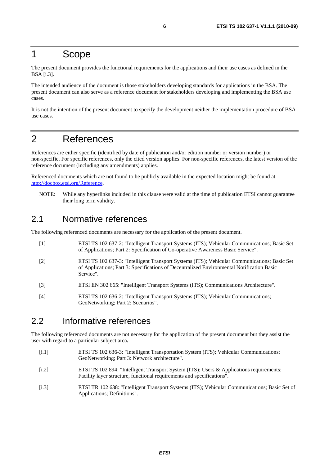## 1 Scope

The present document provides the functional requirements for the applications and their use cases as defined in the BSA [i.3].

The intended audience of the document is those stakeholders developing standards for applications in the BSA. The present document can also serve as a reference document for stakeholders developing and implementing the BSA use cases.

It is not the intention of the present document to specify the development neither the implementation procedure of BSA use cases.

## 2 References

References are either specific (identified by date of publication and/or edition number or version number) or non-specific. For specific references, only the cited version applies. For non-specific references, the latest version of the reference document (including any amendments) applies.

Referenced documents which are not found to be publicly available in the expected location might be found at [http://docbox.etsi.org/Reference.](http://docbox.etsi.org/Reference)

NOTE: While any hyperlinks included in this clause were valid at the time of publication ETSI cannot guarantee their long term validity.

### 2.1 Normative references

The following referenced documents are necessary for the application of the present document.

- [1] ETSI TS 102 637-2: "Intelligent Transport Systems (ITS); Vehicular Communications; Basic Set of Applications; Part 2: Specification of Co-operative Awareness Basic Service".
- [2] ETSI TS 102 637-3: "Intelligent Transport Systems (ITS); Vehicular Communications; Basic Set of Applications; Part 3: Specifications of Decentralized Environmental Notification Basic Service".
- [3] ETSI EN 302 665: "Intelligent Transport Systems (ITS); Communications Architecture".
- [4] ETSI TS 102 636-2: "Intelligent Transport Systems (ITS); Vehicular Communications; GeoNetworking; Part 2: Scenarios".

## 2.2 Informative references

The following referenced documents are not necessary for the application of the present document but they assist the user with regard to a particular subject area**.**

- [i.1] ETSI TS 102 636-3: "Intelligent Transportation System (ITS); Vehicular Communications; GeoNetworking; Part 3: Network architecture".
- [i.2] ETSI TS 102 894: "Intelligent Transport System (ITS); Users & Applications requirements; Facility layer structure, functional requirements and specifications".
- [i.3] ETSI TR 102 638: "Intelligent Transport Systems (ITS); Vehicular Communications; Basic Set of Applications; Definitions".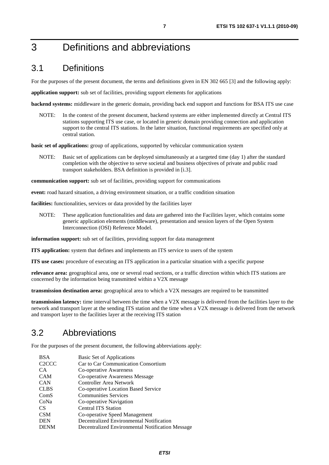## 3 Definitions and abbreviations

## 3.1 Definitions

For the purposes of the present document, the terms and definitions given in EN 302 665 [3] and the following apply:

**application support:** sub set of facilities, providing support elements for applications

**backend systems:** middleware in the generic domain, providing back end support and functions for BSA ITS use case

NOTE: In the context of the present document, backend systems are either implemented directly at Central ITS stations supporting ITS use case, or located in generic domain providing connection and application support to the central ITS stations. In the latter situation, functional requirements are specified only at central station.

**basic set of applications:** group of applications, supported by vehicular communication system

NOTE: Basic set of applications can be deployed simultaneously at a targeted time (day 1) after the standard completion with the objective to serve societal and business objectives of private and public road transport stakeholders. BSA definition is provided in [i.3].

**communication support:** sub set of facilities, providing support for communications

**event:** road hazard situation, a driving environment situation, or a traffic condition situation

**facilities:** functionalities, services or data provided by the facilities layer

NOTE: These application functionalities and data are gathered into the Facilities layer, which contains some generic application elements (middleware), presentation and session layers of the Open System Interconnection (OSI) Reference Model.

**information support:** sub set of facilities, providing support for data management

**ITS application:** system that defines and implements an ITS service to users of the system

**ITS use cases:** procedure of executing an ITS application in a particular situation with a specific purpose

**relevance area:** geographical area, one or several road sections, or a traffic direction within which ITS stations are concerned by the information being transmitted within a V2X message

**transmission destination area:** geographical area to which a V2X messages are required to be transmitted

**transmission latency:** time interval between the time when a V2X message is delivered from the facilities layer to the network and transport layer at the sending ITS station and the time when a V2X message is delivered from the network and transport layer to the facilities layer at the receiving ITS station

### 3.2 Abbreviations

For the purposes of the present document, the following abbreviations apply:

| <b>BSA</b>                      | <b>Basic Set of Applications</b>                 |
|---------------------------------|--------------------------------------------------|
| C <sub>2</sub> C <sub>C</sub> C | Car to Car Communication Consortium              |
| CA                              | Co-operative Awareness                           |
| <b>CAM</b>                      | Co-operative Awareness Message                   |
| <b>CAN</b>                      | Controller Area Network                          |
| <b>CLBS</b>                     | Co-operative Location Based Service              |
| ComS                            | <b>Communities Services</b>                      |
| CoNa                            | Co-operative Navigation                          |
| <b>CS</b>                       | <b>Central ITS Station</b>                       |
| <b>CSM</b>                      | Co-operative Speed Management                    |
| <b>DEN</b>                      | Decentralized Environmental Notification         |
| <b>DENM</b>                     | Decentralized Environmental Notification Message |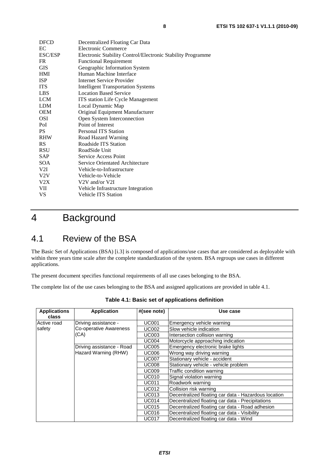| <b>Electronic Commerce</b><br>Electronic Stability Control/Electronic Stability Programme<br><b>Functional Requirement</b><br>Geographic Information System<br>Human Machine Interface<br>Internet Service Provider<br><b>Intelligent Transportation Systems</b><br><b>Location Based Service</b><br>ITS station Life Cycle Management<br>Local Dynamic Map<br>Original Equipment Manufacturer<br>Open System Interconnection<br>Point of Interest<br><b>Personal ITS Station</b><br>Road Hazard Warning<br>Roadside ITS Station<br>RoadSide Unit<br>Service Access Point<br>Service Orientated Architecture<br>Vehicle-to-Infrastructure<br>Vehicle-to-Vehicle<br>V2V and/or V2I<br>Vehicle Infrastructure Integration<br>Vehicle ITS Station | <b>DFCD</b>    | Decentralized Floating Car Data |
|------------------------------------------------------------------------------------------------------------------------------------------------------------------------------------------------------------------------------------------------------------------------------------------------------------------------------------------------------------------------------------------------------------------------------------------------------------------------------------------------------------------------------------------------------------------------------------------------------------------------------------------------------------------------------------------------------------------------------------------------|----------------|---------------------------------|
|                                                                                                                                                                                                                                                                                                                                                                                                                                                                                                                                                                                                                                                                                                                                                | EC             |                                 |
|                                                                                                                                                                                                                                                                                                                                                                                                                                                                                                                                                                                                                                                                                                                                                | <b>ESC/ESP</b> |                                 |
|                                                                                                                                                                                                                                                                                                                                                                                                                                                                                                                                                                                                                                                                                                                                                | FR             |                                 |
|                                                                                                                                                                                                                                                                                                                                                                                                                                                                                                                                                                                                                                                                                                                                                | GIS            |                                 |
|                                                                                                                                                                                                                                                                                                                                                                                                                                                                                                                                                                                                                                                                                                                                                | HMI            |                                 |
|                                                                                                                                                                                                                                                                                                                                                                                                                                                                                                                                                                                                                                                                                                                                                | <b>ISP</b>     |                                 |
|                                                                                                                                                                                                                                                                                                                                                                                                                                                                                                                                                                                                                                                                                                                                                | <b>ITS</b>     |                                 |
|                                                                                                                                                                                                                                                                                                                                                                                                                                                                                                                                                                                                                                                                                                                                                | LBS            |                                 |
|                                                                                                                                                                                                                                                                                                                                                                                                                                                                                                                                                                                                                                                                                                                                                | LCM            |                                 |
|                                                                                                                                                                                                                                                                                                                                                                                                                                                                                                                                                                                                                                                                                                                                                | <b>LDM</b>     |                                 |
|                                                                                                                                                                                                                                                                                                                                                                                                                                                                                                                                                                                                                                                                                                                                                | OEM            |                                 |
|                                                                                                                                                                                                                                                                                                                                                                                                                                                                                                                                                                                                                                                                                                                                                | OSI            |                                 |
|                                                                                                                                                                                                                                                                                                                                                                                                                                                                                                                                                                                                                                                                                                                                                | PoI            |                                 |
|                                                                                                                                                                                                                                                                                                                                                                                                                                                                                                                                                                                                                                                                                                                                                | PS             |                                 |
|                                                                                                                                                                                                                                                                                                                                                                                                                                                                                                                                                                                                                                                                                                                                                | RHW            |                                 |
|                                                                                                                                                                                                                                                                                                                                                                                                                                                                                                                                                                                                                                                                                                                                                | RS             |                                 |
|                                                                                                                                                                                                                                                                                                                                                                                                                                                                                                                                                                                                                                                                                                                                                | RSU            |                                 |
|                                                                                                                                                                                                                                                                                                                                                                                                                                                                                                                                                                                                                                                                                                                                                | SAP            |                                 |
|                                                                                                                                                                                                                                                                                                                                                                                                                                                                                                                                                                                                                                                                                                                                                | <b>SOA</b>     |                                 |
|                                                                                                                                                                                                                                                                                                                                                                                                                                                                                                                                                                                                                                                                                                                                                | V2I            |                                 |
|                                                                                                                                                                                                                                                                                                                                                                                                                                                                                                                                                                                                                                                                                                                                                | V2V            |                                 |
|                                                                                                                                                                                                                                                                                                                                                                                                                                                                                                                                                                                                                                                                                                                                                | V2X            |                                 |
|                                                                                                                                                                                                                                                                                                                                                                                                                                                                                                                                                                                                                                                                                                                                                | VII            |                                 |
|                                                                                                                                                                                                                                                                                                                                                                                                                                                                                                                                                                                                                                                                                                                                                | VS             |                                 |

## 4 Background

## 4.1 Review of the BSA

The Basic Set of Applications (BSA) [i.3] is composed of applications/use cases that are considered as deployable with within three years time scale after the complete standardization of the system. BSA regroups use cases in different applications.

The present document specifies functional requirements of all use cases belonging to the BSA.

The complete list of the use cases belonging to the BSA and assigned applications are provided in table 4.1.

| <b>Applications</b><br>class | <b>Application</b>            | #(see note)                   | Use case                                             |
|------------------------------|-------------------------------|-------------------------------|------------------------------------------------------|
| Active road                  | Driving assistance -          | UC001                         | Emergency vehicle warning                            |
| safety                       | <b>Co-operative Awareness</b> | UC002                         | Slow vehicle indication                              |
|                              | (CA)                          | UC003                         | Intersection collision warning                       |
|                              |                               | <b>UC004</b>                  | Motorcycle approaching indication                    |
|                              | Driving assistance - Road     | <b>UC005</b>                  | Emergency electronic brake lights                    |
| Hazard Warning (RHW)         | <b>UC006</b>                  | Wrong way driving warning     |                                                      |
|                              | <b>UC007</b>                  | Stationary vehicle - accident |                                                      |
|                              |                               | <b>UC008</b>                  | Stationary vehicle - vehicle problem                 |
|                              |                               | <b>UC009</b>                  | Traffic condition warning                            |
|                              |                               | <b>UC010</b>                  | Signal violation warning                             |
|                              |                               | <b>UC011</b>                  | Roadwork warning                                     |
|                              |                               | <b>UC012</b>                  | Collision risk warning                               |
|                              |                               | <b>UC013</b>                  | Decentralized floating car data - Hazardous location |
|                              |                               | <b>UC014</b>                  | Decentralized floating car data - Precipitations     |
|                              |                               | <b>UC015</b>                  | Decentralized floating car data - Road adhesion      |
|                              |                               | <b>UC016</b>                  | Decentralized floating car data - Visibility         |
|                              |                               | <b>UC017</b>                  | Decentralized floating car data - Wind               |

**Table 4.1: Basic set of applications definition**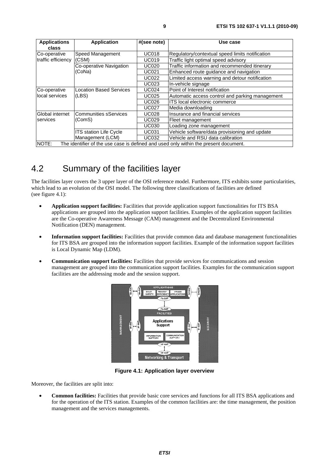| <b>Applications</b> | <b>Application</b>             | #(see note)  | Use case                                                                             |
|---------------------|--------------------------------|--------------|--------------------------------------------------------------------------------------|
| class               |                                |              |                                                                                      |
| Co-operative        | Speed Management               | <b>UC018</b> | Regulatory/contextual speed limits notification                                      |
| traffic efficiency  | (CSM)                          | <b>UC019</b> | Traffic light optimal speed advisory                                                 |
|                     | Co-operative Navigation        | <b>UC020</b> | Traffic information and recommended itinerary                                        |
|                     | (CoNa)                         | <b>UC021</b> | Enhanced route guidance and navigation                                               |
|                     |                                | <b>UC022</b> | Limited access warning and detour notification                                       |
|                     |                                | <b>UC023</b> | In-vehicle signage                                                                   |
| Co-operative        | <b>Location Based Services</b> | <b>UC024</b> | Point of Interest notification                                                       |
| local services      | (LES)                          | <b>UC025</b> | Automatic access control and parking management                                      |
|                     |                                | <b>UC026</b> | ITS local electronic commerce                                                        |
|                     |                                | <b>UC027</b> | Media downloading                                                                    |
| Global internet     | <b>Communities sServices</b>   | <b>UC028</b> | Insurance and financial services                                                     |
| services            | (ComS)                         | <b>UC029</b> | Fleet management                                                                     |
|                     |                                | <b>UC030</b> | Loading zone management                                                              |
|                     | ITS station Life Cycle         | <b>UC031</b> | Vehicle software/data provisioning and update                                        |
|                     | Management (LCM)               | <b>UC032</b> | Vehicle and RSU data calibration                                                     |
| NOTE:               |                                |              | The identifier of the use case is defined and used only within the present document. |

## 4.2 Summary of the facilities layer

The facilities layer covers the 3 upper layer of the OSI reference model. Furthermore, ITS exhibits some particularities, which lead to an evolution of the OSI model. The following three classifications of facilities are defined (see figure 4.1):

- **Application support facilities:** Facilities that provide application support functionalities for ITS BSA applications are grouped into the application support facilities. Examples of the application support facilities are the Co-operative Awareness Message (CAM) management and the Decentralized Environmental Notification (DEN) management.
- **Information support facilities:** Facilities that provide common data and database management functionalities for ITS BSA are grouped into the information support facilities. Example of the information support facilities is Local Dynamic Map (LDM).
- **Communication support facilities:** Facilities that provide services for communications and session management are grouped into the communication support facilities. Examples for the communication support facilities are the addressing mode and the session support.



**Figure 4.1: Application layer overview** 

Moreover, the facilities are split into:

• **Common facilities:** Facilities that provide basic core services and functions for all ITS BSA applications and for the operation of the ITS station. Examples of the common facilities are: the time management, the position management and the services managements.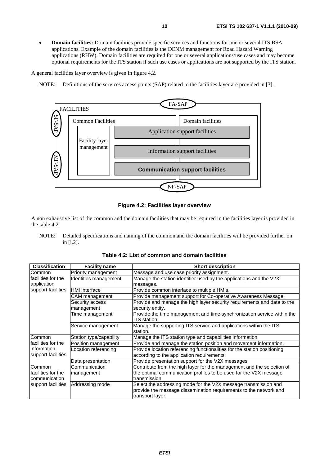• **Domain facilities:** Domain facilities provide specific services and functions for one or several ITS BSA applications. Example of the domain facilities is the DENM management for Road Hazard Warning applications (RHW). Domain facilities are required for one or several applications/use cases and may become optional requirements for the ITS station if such use cases or applications are not supported by the ITS station.

A general facilities layer overview is given in figure 4.2.

NOTE: Definitions of the services access points (SAP) related to the facilities layer are provided in [3].



**Figure 4.2: Facilities layer overview** 

A non exhaustive list of the common and the domain facilities that may be required in the facilities layer is provided in the table 4.2.

NOTE: Detailed specifications and naming of the common and the domain facilities will be provided further on in [i.2].

| <b>Classification</b> | <b>Facility name</b>    | <b>Short description</b>                                                 |  |
|-----------------------|-------------------------|--------------------------------------------------------------------------|--|
| <b>Common</b>         | Priority management     | Message and use case priority assignment.                                |  |
| lfacilities for the   | Identities management   | Manage the station identifier used by the applications and the V2X       |  |
| application           |                         | messages.                                                                |  |
| support facilities    | <b>HMI</b> interface    | Provide common interface to multiple HMIs.                               |  |
|                       | CAM management          | Provide management support for Co-operative Awareness Message.           |  |
|                       | Security access         | Provide and manage the high layer security requirements and data to the  |  |
|                       | management              | security entity.                                                         |  |
|                       | Time management         | Provide the time management and time synchronization service within the  |  |
|                       |                         | ITS station.                                                             |  |
|                       | Service management      | Manage the supporting ITS service and applications within the ITS        |  |
|                       |                         | station.                                                                 |  |
| <b>Common</b>         | Station type/capability | Manage the ITS station type and capabilities information.                |  |
| Ifacilities for the   | Position management     | Provide and manage the station position and movement information.        |  |
| linformation          | Location referencing    | Provide location referencing functionalities for the station positioning |  |
| support facilities    |                         | according to the application requirements.                               |  |
|                       | Data presentation       | Provide presentation support for the V2X messages.                       |  |
| <b>Common</b>         | Communication           | Contribute from the high layer for the management and the selection of   |  |
| Ifacilities for the   | management              | the optimal communication profiles to be used for the V2X message        |  |
| Icommunication        |                         | transmission.                                                            |  |
| support facilities    | Addressing mode         | Select the addressing mode for the V2X message transmission and          |  |
|                       |                         | provide the message dissemination requirements to the network and        |  |
|                       |                         | transport layer.                                                         |  |

**Table 4.2: List of common and domain facilities**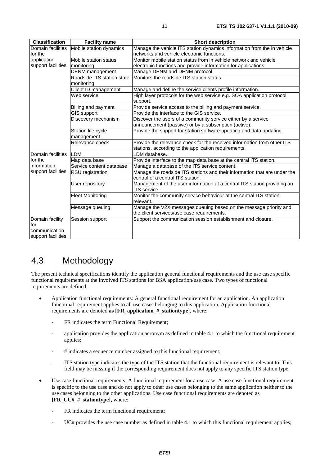| <b>Classification</b> | <b>Facility name</b>       | <b>Short description</b>                                                  |
|-----------------------|----------------------------|---------------------------------------------------------------------------|
| Domain facilities     | Mobile station dynamics    | Manage the vehicle ITS station dynamics information from the in vehicle   |
| for the               |                            | networks and vehicle electronic functions.                                |
| application           | Mobile station status      | Monitor mobile station status from in vehicle network and vehicle         |
| support facilities    | monitoring                 | electronic functions and provide information for applications.            |
|                       | <b>DENM</b> management     | Manage DENM and DENM protocol.                                            |
|                       | Roadside ITS station state | Monitors the roadside ITS station status.                                 |
|                       | monitoring                 |                                                                           |
|                       | Client ID management       | Manage and define the service clients profile information.                |
|                       | Web service                | High layer protocols for the web service e.g. SOA application protocol    |
|                       |                            | support.                                                                  |
|                       | Billing and payment        | Provide service access to the billing and payment service.                |
|                       | <b>GIS support</b>         | Provide the interface to the GIS service.                                 |
|                       | Discovery mechanism        | Discover the users of a community service either by a service             |
|                       |                            | announcement (passive) or by a subscription (active).                     |
|                       | Station life cycle         | Provide the support for station software updating and data updating.      |
|                       | management                 |                                                                           |
|                       | Relevance check            | Provide the relevance check for the received information from other ITS   |
|                       |                            | stations, according to the application requirements.                      |
| Domain facilities     | LDM                        | LDM database.                                                             |
| for the               | Map data base              | Provide interface to the map data base at the central ITS station.        |
| information           | Service content database   | Manage a database of the ITS service content.                             |
| support facilities    | RSU registration           | Manage the roadside ITS stations and their information that are under the |
|                       |                            | control of a central ITS station.                                         |
|                       | User repository            | Management of the user information at a central ITS station providing an  |
|                       |                            | ITS service.                                                              |
|                       | <b>Fleet Monitoring</b>    | Monitor the community service behaviour at the central ITS station        |
|                       |                            | relevant.                                                                 |
|                       | Message queuing            | Manage the V2X messages queuing based on the message priority and         |
|                       |                            | the client services/use case requirements.                                |
| Domain facility       | Session support            | Support the communication session establishment and closure.              |
| for                   |                            |                                                                           |
| communication         |                            |                                                                           |
| support facilities    |                            |                                                                           |

## 4.3 Methodology

The present technical specifications identify the application general functional requirements and the use case specific functional requirements at the involved ITS stations for BSA application/use case. Two types of functional requirements are defined:

- Application functional requirements: A general functional requirement for an application. An application functional requirement applies to all use cases belonging to this application. Application functional requirements are denoted **as [FR\_application\_#\_stationtype]**, where:
	- FR indicates the term Functional Requirement;
	- application provides the application acronym as defined in table 4.1 to which the functional requirement applies;
	- # indicates a sequence number assigned to this functional requirement;
	- ITS station type indicates the type of the ITS station that the functional requirement is relevant to. This field may be missing if the corresponding requirement does not apply to any specific ITS station type.
- Use case functional requirements: A functional requirement for a use case. A use case functional requirement is specific to the use case and do not apply to other use cases belonging to the same application neither to the use cases belonging to the other applications. Use case functional requirements are denoted as **[FR\_UC#\_#\_stationtype],** where:
	- FR indicates the term functional requirement;
	- UC# provides the use case number as defined in table 4.1 to which this functional requirement applies;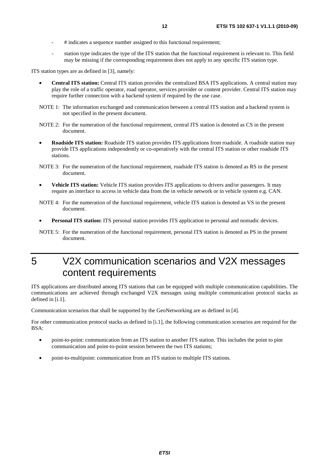- # indicates a sequence number assigned to this functional requirement;
- station type indicates the type of the ITS station that the functional requirement is relevant to. This field may be missing if the corresponding requirement does not apply to any specific ITS station type.

ITS station types are as defined in [3], namely:

- **Central ITS station:** Central ITS station provides the centralized BSA ITS applications. A central station may play the role of a traffic operator, road operator, services provider or content provider. Central ITS station may require further connection with a backend system if required by the use case.
- NOTE 1: The information exchanged and communication between a central ITS station and a backend system is not specified in the present document.
- NOTE 2: For the numeration of the functional requirement, central ITS station is denoted as CS in the present document.
- **Roadside ITS station:** Roadside ITS station provides ITS applications from roadside. A roadside station may provide ITS applications independently or co-operatively with the central ITS station or other roadside ITS stations.
- NOTE 3: For the numeration of the functional requirement, roadside ITS station is denoted as RS in the present document.
- **Vehicle ITS station:** Vehicle ITS station provides ITS applications to drivers and/or passengers. It may require an interface to access in vehicle data from the in vehicle network or in vehicle system e.g. CAN.
- NOTE 4: For the numeration of the functional requirement, vehicle ITS station is denoted as VS in the present document.
- **Personal ITS station:** ITS personal station provides ITS application to personal and nomadic devices.
- NOTE 5: For the numeration of the functional requirement, personal ITS station is denoted as PS in the present document.

## 5 V2X communication scenarios and V2X messages content requirements

ITS applications are distributed among ITS stations that can be equipped with multiple communication capabilities. The communications are achieved through exchanged V2X messages using multiple communication protocol stacks as defined in [i.1].

Communication scenarios that shall be supported by the GeoNetworking are as defined in [4].

For other communication protocol stacks as defined in [i.1], the following communication scenarios are required for the  $BSA$ 

- point-to-point: communication from an ITS station to another ITS station. This includes the point to pint communication and point-to-point session between the two ITS stations;
- point-to-multipoint: communication from an ITS station to multiple ITS stations.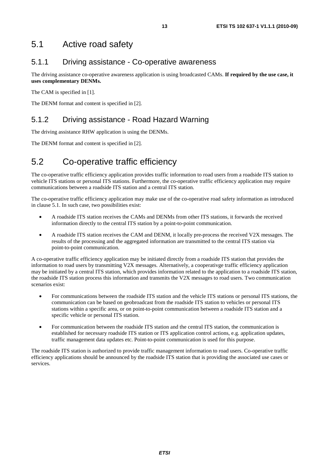## 5.1 Active road safety

### 5.1.1 Driving assistance - Co-operative awareness

The driving assistance co-operative awareness application is using broadcasted CAMs. **If required by the use case, it uses complementary DENMs.** 

The CAM is specified in [1].

The DENM format and content is specified in [2].

## 5.1.2 Driving assistance - Road Hazard Warning

The driving assistance RHW application is using the DENMs.

The DENM format and content is specified in [2].

## 5.2 Co-operative traffic efficiency

The co-operative traffic efficiency application provides traffic information to road users from a roadside ITS station to vehicle ITS stations or personal ITS stations. Furthermore, the co-operative traffic efficiency application may require communications between a roadside ITS station and a central ITS station.

The co-operative traffic efficiency application may make use of the co-operative road safety information as introduced in clause 5.1. In such case, two possibilities exist:

- A roadside ITS station receives the CAMs and DENMs from other ITS stations, it forwards the received information directly to the central ITS station by a point-to-point communication.
- A roadside ITS station receives the CAM and DENM, it locally pre-process the received V2X messages. The results of the processing and the aggregated information are transmitted to the central ITS station via point-to-point communication.

A co-operative traffic efficiency application may be initiated directly from a roadside ITS station that provides the information to road users by transmitting V2X messages. Alternatively, a cooperativge traffic efficiency application may be initiated by a central ITS station, which provides information related to the application to a roadside ITS station, the roadside ITS station process this information and transmits the V2X messages to road users. Two communication scenarios exist:

- For communications between the roadside ITS station and the vehicle ITS stations or personal ITS stations, the communication can be based on geobroadcast from the roadside ITS station to vehicles or personal ITS stations within a specific area, or on point-to-point communication between a roadside ITS station and a specific vehicle or personal ITS station.
- For communication between the roadside ITS station and the central ITS station, the communication is established for necessary roadside ITS station or ITS application control actions, e.g. application updates, traffic management data updates etc. Point-to-point communication is used for this purpose.

The roadside ITS station is authorized to provide traffic management information to road users. Co-operative traffic efficiency applications should be announced by the roadside ITS station that is providing the associated use cases or services.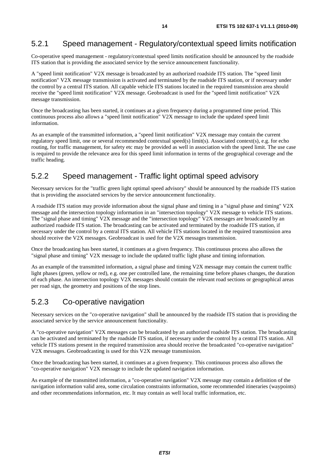### 5.2.1 Speed management - Regulatory/contextual speed limits notification

Co-operative speed management - regulatory/contextual speed limits notification should be announced by the roadside ITS station that is providing the associated service by the service announcement functionality.

A "speed limit notification" V2X message is broadcasted by an authorized roadside ITS station. The "speed limit notification" V2X message transmission is activated and terminated by the roadside ITS station, or if necessary under the control by a central ITS station. All capable vehicle ITS stations located in the required transmission area should receive the "speed limit notification" V2X message. Geobroadcast is used for the "speed limit notification" V2X message transmission.

Once the broadcasting has been started, it continues at a given frequency during a programmed time period. This continuous process also allows a "speed limit notification" V2X message to include the updated speed limit information.

As an example of the transmitted information, a "speed limit notification" V2X message may contain the current regulatory speed limit, one or several recommended contextual speed(s) limit(s). Associated context(s), e.g. for echo routing, for traffic management, for safety etc may be provided as well in association with the speed limit. The use case is required to provide the relevance area for this speed limit information in terms of the geographical coverage and the traffic heading.

### 5.2.2 Speed management - Traffic light optimal speed advisory

Necessary services for the "traffic green light optimal speed advisory" should be announced by the roadside ITS station that is providing the associated services by the service announcement functionality.

A roadside ITS station may provide information about the signal phase and timing in a "signal phase and timing" V2X message and the intersection topology information in an "intersection topology" V2X message to vehicle ITS stations. The "signal phase and timing" V2X message and the "intersection topology" V2X messages are broadcasted by an authorized roadside ITS station. The broadcasting can be activated and terminated by the roadside ITS station, if necessary under the control by a central ITS station. All vehicle ITS stations located in the required transmission area should receive the V2X messages. Geobroadcast is used for the V2X messages transmission.

Once the broadcasting has been started, it continues at a given frequency. This continuous process also allows the "signal phase and timing" V2X message to include the updated traffic light phase and timing information.

As an example of the transmitted information, a signal phase and timing V2X message may contain the current traffic light phases (green, yellow or red), e.g. one per controlled lane, the remaining time before phases changes, the duration of each phase. An intersection topology V2X messages should contain the relevant road sections or geographical areas per road sign, the geometry and positions of the stop lines.

#### 5.2.3 Co-operative navigation

Necessary services on the "co-operative navigation" shall be announced by the roadside ITS station that is providing the associated service by the service announcement functionality.

A "co-operative navigation" V2X messages can be broadcasted by an authorized roadside ITS station. The broadcasting can be activated and terminated by the roadside ITS station, if necessary under the control by a central ITS station. All vehicle ITS stations present in the required transmission area should receive the broadcasted "co-operative navigation" V2X messages. Geobroadcasting is used for this V2X message transmission.

Once the broadcasting has been started, it continues at a given frequency. This continuous process also allows the "co-operative navigation" V2X message to include the updated navigation information.

As example of the transmitted information, a "co-operative navigation" V2X message may contain a definition of the navigation information valid area, some circulation constraints information, some recommended itineraries (waypoints) and other recommendations information, etc. It may contain as well local traffic information, etc.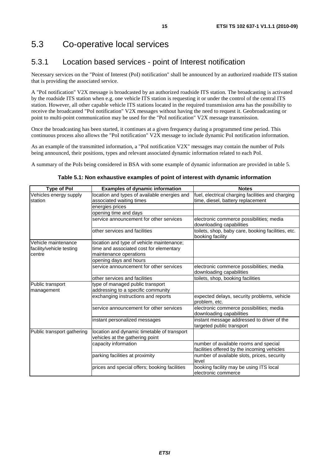## 5.3 Co-operative local services

## 5.3.1 Location based services - point of Interest notification

Necessary services on the "Point of Interest (PoI) notification" shall be announced by an authorized roadside ITS station that is providing the associated service.

A "PoI notification" V2X message is broadcasted by an authorized roadside ITS station. The broadcasting is activated by the roadside ITS station when e.g. one vehicle ITS station is requesting it or under the control of the central ITS station. However, all other capable vehicle ITS stations located in the required transmission area has the possibility to receive the broadcasted "PoI notification" V2X messages without having the need to request it. Geobroadcasting or point to multi-point communication may be used for the "PoI notification" V2X message transmission.

Once the broadcasting has been started, it continues at a given frequency during a programmed time period. This continuous process also allows the "PoI notification" V2X message to include dynamic PoI notification information.

As an example of the transmitted information, a "PoI notification V2X" messages may contain the number of PoIs being announced, their positions, types and relevant associated dynamic information related to each PoI.

A summary of the PoIs being considered in BSA with some example of dynamic information are provided in table 5.

| <b>Type of Pol</b>         | <b>Examples of dynamic information</b>        | <b>Notes</b>                                                            |
|----------------------------|-----------------------------------------------|-------------------------------------------------------------------------|
| Vehicles energy supply     | location and types of available energies and  | fuel, electrical charging facilities and charging                       |
| station                    | associated waiting times                      | time, diesel, battery replacement                                       |
|                            | energies prices                               |                                                                         |
|                            | opening time and days                         |                                                                         |
|                            | service announcement for other services       | electronic commerce possibilities; media<br>downloading capabilities    |
|                            | other services and facilities                 | toilets, shop, baby care, booking facilities, etc.<br>booking facility  |
| Vehicle maintenance        | location and type of vehicle maintenance;     |                                                                         |
| facility/vehicle testing   | time and associated cost for elementary       |                                                                         |
| centre                     | maintenance operations                        |                                                                         |
|                            | opening days and hours                        |                                                                         |
|                            | service announcement for other services       | electronic commerce possibilities; media                                |
|                            |                                               | downloading capabilities                                                |
|                            | other services and facilities                 | toilets, shop, booking facilities                                       |
| Public transport           | type of managed public transport              |                                                                         |
| management                 | addressing to a specific community            |                                                                         |
|                            | exchanging instructions and reports           | expected delays, security problems, vehicle<br>problem, etc.            |
|                            | service announcement for other services       | electronic commerce possibilities; media<br>downloading capabilities    |
|                            | instant personalized messages                 | instant message addressed to driver of the<br>targeted public transport |
| Public transport gathering | location and dynamic timetable of transport   |                                                                         |
|                            | vehicles at the gathering point               |                                                                         |
|                            | capacity information                          | number of available rooms and special                                   |
|                            |                                               | facilities offered by the incoming vehicles                             |
|                            | parking facilities at proximity               | number of available slots, prices, security                             |
|                            |                                               | level                                                                   |
|                            | prices and special offers; booking facilities | booking facility may be using ITS local                                 |
|                            |                                               | electronic commerce                                                     |

#### **Table 5.1: Non exhaustive examples of point of interest with dynamic information**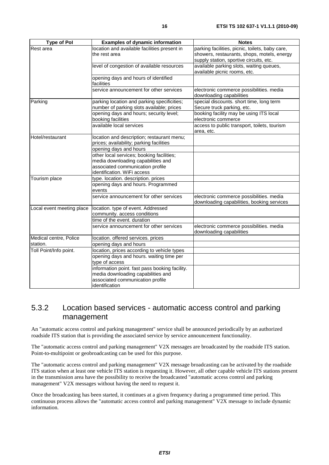| <b>Type of Pol</b>        | <b>Examples of dynamic information</b>             | <b>Notes</b>                                                         |
|---------------------------|----------------------------------------------------|----------------------------------------------------------------------|
| Rest area                 | location and available facilities present in       | parking facilities, picnic, toilets, baby care,                      |
|                           | the rest area                                      | showers, restaurants, shops, motels, energy                          |
|                           |                                                    | supply station, sportive circuits, etc.                              |
|                           | level of congestion of available resources         | available parking slots, waiting queues,                             |
|                           |                                                    | available picnic rooms, etc.                                         |
|                           | opening days and hours of identified<br>facilities |                                                                      |
|                           | service announcement for other services            | electronic commerce possibilities. media<br>downloading capabilities |
| Parking                   | parking location and parking specificities;        | special discounts. short time, long term                             |
|                           | number of parking slots available; prices          | Secure truck parking, etc.                                           |
|                           | opening days and hours; security level;            | booking facility may be using ITS local                              |
|                           | booking facilities                                 | electronic commerce                                                  |
|                           | available local services                           | access to public transport, toilets, tourism                         |
|                           |                                                    | area, etc.                                                           |
| Hotel/restaurant          | location and description; restaurant menu;         |                                                                      |
|                           | prices; availability; parking facilities           |                                                                      |
|                           | opening days and hours                             |                                                                      |
|                           | other local services; booking facilities;          |                                                                      |
|                           | media downloading capabilities and                 |                                                                      |
|                           | associated communication profile                   |                                                                      |
|                           | identification. WiFi access                        |                                                                      |
| Tourism place             | type. location. description. prices                |                                                                      |
|                           | opening days and hours. Programmed                 |                                                                      |
|                           | events                                             |                                                                      |
|                           | service announcement for other services            | electronic commerce possibilities. media                             |
|                           |                                                    | downloading capabilities, booking services                           |
| Local event meeting place | location. type of event. Addressed                 |                                                                      |
|                           | community. access conditions                       |                                                                      |
|                           | time of the event. duration                        |                                                                      |
|                           | service announcement for other services            | electronic commerce possibilities. media<br>downloading capabilities |
| Medical centre, Police    | location. offered services. prices                 |                                                                      |
| station.                  | opening days and hours                             |                                                                      |
| Toll Point/Info point.    | location, prices according to vehicle types        |                                                                      |
|                           | opening days and hours. waiting time per           |                                                                      |
|                           | type of access                                     |                                                                      |
|                           | information point. fast pass booking facility.     |                                                                      |
|                           | media downloading capabilities and                 |                                                                      |
|                           | associated communication profile                   |                                                                      |
|                           | identification                                     |                                                                      |

### 5.3.2 Location based services - automatic access control and parking management

An "automatic access control and parking management" service shall be announced periodically by an authorized roadside ITS station that is providing the associated service by service announcement functionality.

The "automatic access control and parking management" V2X messages are broadcasted by the roadside ITS station. Point-to-multipoint or geobroadcasting can be used for this purpose.

The "automatic access control and parking management" V2X message broadcasting can be activated by the roadside ITS station when at least one vehicle ITS station is requesting it. However, all other capable vehicle ITS stations present in the transmission area have the possibility to receive the broadcasted "automatic access control and parking management" V2X messages without having the need to request it.

Once the broadcasting has been started, it continues at a given frequency during a programmed time period. This continuous process allows the "automatic access control and parking management" V2X message to include dynamic information.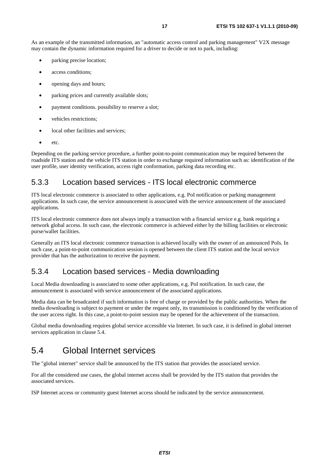As an example of the transmitted information, an "automatic access control and parking management" V2X message may contain the dynamic information required for a driver to decide or not to park, including:

- parking precise location;
- access conditions;
- opening days and hours;
- parking prices and currently available slots;
- payment conditions. possibility to reserve a slot;
- vehicles restrictions:
- local other facilities and services:
- etc.

Depending on the parking service procedure, a further point-to-point communication may be required between the roadside ITS station and the vehicle ITS station in order to exchange required information such as: identification of the user profile, user identity verification, access right conformation, parking data recording etc.

### 5.3.3 Location based services - ITS local electronic commerce

ITS local electronic commerce is associated to other applications, e.g. PoI notification or parking management applications. In such case, the service announcement is associated with the service announcement of the associated applications.

ITS local electronic commerce does not always imply a transaction with a financial service e.g. bank requiring a network global access. In such case, the electronic commerce is achieved either by the billing facilities or electronic purse/wallet facilities.

Generally an ITS local electronic commerce transaction is achieved locally with the owner of an announced PoIs. In such case, a point-to-point communication session is opened between the client ITS station and the local service provider that has the authorization to receive the payment.

### 5.3.4 Location based services - Media downloading

Local Media downloading is associated to some other applications, e.g. PoI notification. In such case, the announcement is associated with service announcement of the associated applications.

Media data can be broadcasted if such information is free of charge or provided by the public authorities. When the media downloading is subject to payment or under the request only, its transmission is conditioned by the verification of the user access right. In this case, a point-to-point session may be opened for the achievement of the transaction.

Global media downloading requires global service accessible via Internet. In such case, it is defined in global internet services application in clause 5.4.

## 5.4 Global Internet services

The "global internet" service shall be announced by the ITS station that provides the associated service.

For all the considered use cases, the global internet access shall be provided by the ITS station that provides the associated services.

ISP Internet access or community guest Internet access should be indicated by the service announcement.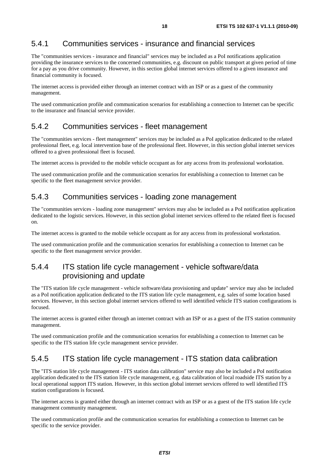### 5.4.1 Communities services - insurance and financial services

The "communities services - insurance and financial" services may be included as a PoI notifications application providing the insurance services to the concerned communities, e.g. discount on public transport at given period of time for a pay as you drive community. However, in this section global internet services offered to a given insurance and financial community is focused.

The internet access is provided either through an internet contract with an ISP or as a guest of the community management.

The used communication profile and communication scenarios for establishing a connection to Internet can be specific to the insurance and financial service provider.

#### 5.4.2 Communities services - fleet management

The "communities services - fleet management" services may be included as a PoI application dedicated to the related professional fleet, e.g. local intervention base of the professional fleet. However, in this section global internet services offered to a given professional fleet is focused.

The internet access is provided to the mobile vehicle occupant as for any access from its professional workstation.

The used communication profile and the communication scenarios for establishing a connection to Internet can be specific to the fleet management service provider.

### 5.4.3 Communities services - loading zone management

The "communities services - loading zone management" services may also be included as a PoI notification application dedicated to the logistic services. However, in this section global internet services offered to the related fleet is focused on.

The internet access is granted to the mobile vehicle occupant as for any access from its professional workstation.

The used communication profile and the communication scenarios for establishing a connection to Internet can be specific to the fleet management service provider.

### 5.4.4 ITS station life cycle management - vehicle software/data provisioning and update

The "ITS station life cycle management - vehicle software/data provisioning and update" service may also be included as a PoI notification application dedicated to the ITS station life cycle management, e.g. sales of some location based services. However, in this section global internet services offered to well identified vehicle ITS station configurations is focused.

The internet access is granted either through an internet contract with an ISP or as a guest of the ITS station community management.

The used communication profile and the communication scenarios for establishing a connection to Internet can be specific to the ITS station life cycle management service provider.

### 5.4.5 ITS station life cycle management - ITS station data calibration

The "ITS station life cycle management - ITS station data calibration" service may also be included a PoI notification application dedicated to the ITS station life cycle management, e.g. data calibration of local roadside ITS station by a local operational support ITS station. However, in this section global internet services offered to well identified ITS station configurations is focused.

The internet access is granted either through an internet contract with an ISP or as a guest of the ITS station life cycle management community management.

The used communication profile and the communication scenarios for establishing a connection to Internet can be specific to the service provider.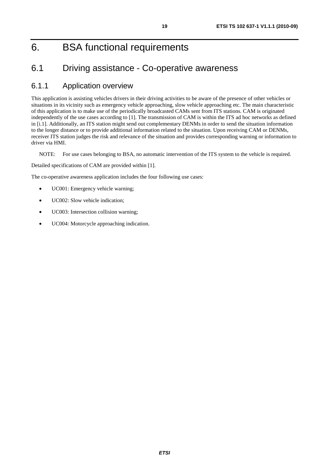## 6. BSA functional requirements

## 6.1 Driving assistance - Co-operative awareness

### 6.1.1 Application overview

This application is assisting vehicles drivers in their driving activities to be aware of the presence of other vehicles or situations in its vicinity such as emergency vehicle approaching, slow vehicle approaching etc. The main characteristic of this application is to make use of the periodically broadcasted CAMs sent from ITS stations. CAM is originated independently of the use cases according to [1]. The transmission of CAM is within the ITS ad hoc networks as defined in [i.1]. Additionally, an ITS station might send out complementary DENMs in order to send the situation information to the longer distance or to provide additional information related to the situation. Upon receiving CAM or DENMs, receiver ITS station judges the risk and relevance of the situation and provides corresponding warning or information to driver via HMI.

NOTE: For use cases belonging to BSA, no automatic intervention of the ITS system to the vehicle is required.

Detailed specifications of CAM are provided within [1].

The co-operative awareness application includes the four following use cases:

- UC001: Emergency vehicle warning;
- UC002: Slow vehicle indication;
- UC003: Intersection collision warning;
- UC004: Motorcycle approaching indication.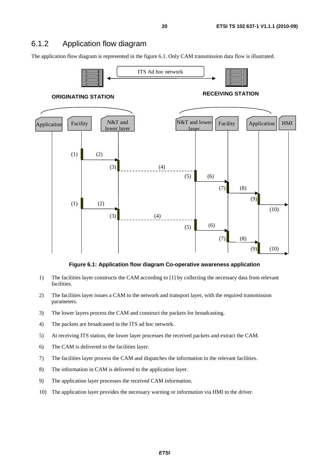### 6.1.2 Application flow diagram

The application flow diagram is represented in the figure 6.1. Only CAM transmission data flow is illustrated.



**Figure 6.1: Application flow diagram Co-operative awareness application** 

- 1) The facilities layer constructs the CAM according to [1] by collecting the necessary data from relevant facilities.
- 2) The facilities layer issues a CAM to the network and transport layer, with the required transmission parameters.
- 3) The lower layers process the CAM and construct the packets for broadcasting.
- 4) The packets are broadcasted in the ITS ad hoc network.
- 5) At receiving ITS station, the lower layer processes the received packets and extract the CAM.
- 6) The CAM is delivered to the facilities layer.
- 7) The facilities layer process the CAM and dispatches the information to the relevant facilities.
- 8) The information in CAM is delivered to the application layer.
- 9) The application layer processes the received CAM information.
- 10) The application layer provides the necessary warning or information via HMI to the driver.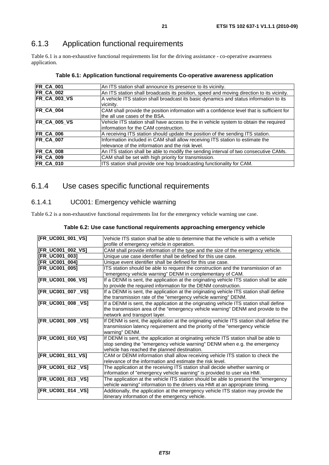## 6.1.3 Application functional requirements

Table 6.1 is a non-exhaustive functional requirements list for the driving assistance - co-operative awareness application.

| An ITS station shall announce its presence to its vicinity.                                                                       |
|-----------------------------------------------------------------------------------------------------------------------------------|
| An ITS station shall broadcasts its position, speed and moving direction to its vicinity.                                         |
| A vehicle ITS station shall broadcast its basic dynamics and status information to its<br>vicinity.                               |
| CAM shall provide the position information with a confidence level that is sufficient for<br>the all use cases of the BSA.        |
| Vehicle ITS station shall have access to the in vehicle system to obtain the required<br>linformation for the CAM construction.   |
| A receiving ITS station should update the position of the sending ITS station.                                                    |
| Information included in CAM shall allow receiving ITS station to estimate the<br>relevance of the information and the risk level. |
| An ITS station shall be able to modify the sending interval of two consecutive CAMs.                                              |
| CAM shall be set with high priority for transmission.                                                                             |
| ITS station shall provide one hop broadcasting functionality for CAM.                                                             |
|                                                                                                                                   |

#### **Table 6.1: Application functional requirements Co-operative awareness application**

## 6.1.4 Use cases specific functional requirements

#### 6.1.4.1 UC001: Emergency vehicle warning

Table 6.2 is a non-exhaustive functional requirements list for the emergency vehicle warning use case.

| [FR_UC001_001_VS]  | Vehicle ITS station shall be able to determine that the vehicle is with a vehicle        |
|--------------------|------------------------------------------------------------------------------------------|
|                    | profile of emergency vehicle in operation.                                               |
| [FR_UC001_002_VS]  | CAM shall provide information of the type and the size of the emergency vehicle.         |
| [FR_UC001_003]     | Unique use case identifier shall be defined for this use case.                           |
| [FR_UC001_004]     | Unique event identifier shall be defined for this use case.                              |
| [FR_UC001_005]     | ITS station should be able to request the construction and the transmission of an        |
|                    | 'emergency vehicle warning" DENM in complementary of CAM.                                |
| [FR_UC001_006_VS]  | If a DENM is sent, the application at the originating vehicle ITS station shall be able  |
|                    | to provide the required information for the DENM construction.                           |
| [FR_UC001_007 _VS] | If a DENM is sent, the application at the originating vehicle ITS station shall define   |
|                    | the transmission rate of the "emergency vehicle warning" DENM.                           |
| [FR_UC001_008 _VS] | If a DENM is sent, the application at the originating vehicle ITS station shall define   |
|                    | the transmission area of the "emergency vehicle warning" DENM and provide to the         |
|                    | network and transport layer.                                                             |
| [FR_UC001_009 _VS] | If DENM is sent, the application at the originating vehicle ITS station shall define the |
|                    | transmission latency requirement and the priority of the "emergency vehicle              |
|                    | warning" DENM.                                                                           |
| [FR_UC001_010_VS]  | If DENM is sent, the application at originating vehicle ITS station shall be able to     |
|                    | stop sending the "emergency vehicle warning" DENM when e.g. the emergency                |
|                    | vehicle has reached the planned destination.                                             |
| [FR_UC001_011_VS]  | CAM or DENM information shall allow receiving vehicle ITS station to check the           |
|                    | relevance of the information and estimate the risk level.                                |
| [FR_UC001_012 _VS] | The application at the receiving ITS station shall decide whether warning or             |
|                    | information of "emergency vehicle warning" is provided to user via HMI.                  |
| [FR_UC001_013 _VS] | The application at the vehicle ITS station should be able to present the "emergency      |
|                    | vehicle warning" information to the drivers via HMI at an appropriate timing.            |
| [FR_UC001_014 _VS] | Additionally, the application at the emergency vehicle ITS station may provide the       |
|                    | itinerary information of the emergency vehicle.                                          |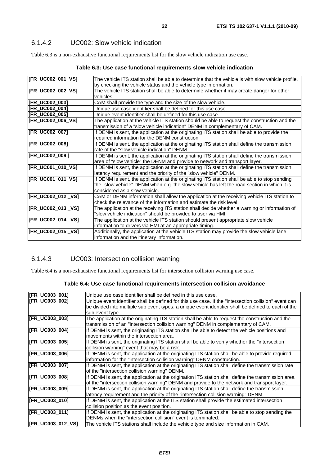Table 6.3 is a non-exhaustive functional requirements list for the slow vehicle indication use case.

#### **Table 6.3: Use case functional requirements slow vehicle indication**

| [FR_UC002_001_VS]     | The vehicle ITS station shall be able to determine that the vehicle is with slow vehicle profile, |
|-----------------------|---------------------------------------------------------------------------------------------------|
|                       | by checking the vehicle status and the vehicle type information.                                  |
| [FR_UC002_002_VS]     | The vehicle ITS station shall be able to determine whether it may create danger for other         |
|                       | vehicles.                                                                                         |
| [FR_UC002_003]        | CAM shall provide the type and the size of the slow vehicle.                                      |
| <b>IFR UC002 0041</b> | Unique use case identifier shall be defined for this use case.                                    |
| [FR_UC002_005]        | Unique event identifier shall be defined for this use case.                                       |
| [FR_UC002_006_VS]     | The application at the vehicle ITS station should be able to request the construction and the     |
|                       | transmission of a "slow vehicle indication" DENM in complementary of CAM.                         |
| [FR_UC002_007]        | If DENM is sent, the application at the originating ITS station shall be able to provide the      |
|                       | required information for the DENM construction.                                                   |
| [FR_UC002_008]        | If DENM is sent, the application at the originating ITS station shall define the transmission     |
|                       | rate of the "slow vehicle indication" DENM.                                                       |
| [FR_UC002_009]        | If DENM is sent, the application at the originating ITS station shall define the transmission     |
|                       | area of "slow vehicle" the DENM and provide to network and transport layer.                       |
| [FR_UC001_010_VS]     | If DENM is sent, the application at the originating ITS station shall define the transmission     |
|                       | latency requirement and the priority of the "slow vehicle" DENM.                                  |
| [FR_UC001_011_VS]     | If DENM is sent, the application at the originating ITS station shall be able to stop sending     |
|                       | the "slow vehicle" DENM when e.g. the slow vehicle has left the road section in which it is       |
|                       | considered as a slow vehicle.                                                                     |
| [FR_UC002_012 _VS]    | CAM or DENM information shall allow the application at the receiving vehicle ITS station to       |
|                       | check the relevance of the information and estimate the risk level.                               |
| [FR_UC002_013 _VS]    | The application at the receiving ITS station shall decide whether a warning or information of     |
|                       | "slow vehicle indication" should be provided to user via HMI.                                     |
| [FR_UC002_014 _VS]    | The application at the vehicle ITS station should present appropriate slow vehicle                |
|                       | information to drivers via HMI at an appropriate timing.                                          |
| [FR_UC002_015 _VS]    | Additionally, the application at the vehicle ITS station may provide the slow vehicle lane        |
|                       | information and the itinerary information.                                                        |
|                       |                                                                                                   |

#### 6.1.4.3 UC003: Intersection collision warning

Table 6.4 is a non-exhaustive functional requirements list for intersection collision warning use case.

#### **Table 6.4: Use case functional requirements intersection collision avoidance**

| [FR_UC003_001]        | Unique use case identifier shall be defined in this use case.                                         |
|-----------------------|-------------------------------------------------------------------------------------------------------|
| <b>IFR UC003 0021</b> | Unique event identifier shall be defined for this use case. If the "intersection collision" event can |
|                       | be divided into multiple sub event types, a unique event identifier shall be defined to each of the   |
|                       | sub event type.                                                                                       |
| [FR_UC003_003]        | The application at the originating ITS station shall be able to request the construction and the      |
|                       | transmission of an "intersection collision warning" DENM in complementary of CAM.                     |
| [FR_UC003_004]        | If DENM is sent, the originating ITS station shall be able to detect the vehicle positions and        |
|                       | movements within the intersection area.                                                               |
| [FR_UC003_005]        | If DENM is sent, the originating ITS station shall be able to verify whether the "intersection"       |
|                       | collision warning" event that may be a risk.                                                          |
| [FR_UC003_006]        | If DENM is sent, the application at the originating ITS station shall be able to provide required     |
|                       | information for the "intersection collision warning" DENM construction.                               |
| [FR_UC003_007]        | If DENM is sent, the application at the originating ITS station shall define the transmission rate    |
|                       | of the "intersection collision warning" DENM.                                                         |
| [FR_UC003_008]        | If DENM is sent, the application at the origination ITS station shall define the transmission area    |
|                       | of the "intersection collision warning" DENM and provide to the network and transport layer.          |
| [FR_UC003_009]        | If DENM is sent, the application at the originating ITS station shall define the transmission         |
|                       | latency requirement and the priority of the "intersection collision warning" DENM.                    |
| [FR_UC003_010]        | If DENM is sent, the application at the ITS station shall provide the estimated intersection          |
|                       | collision position as the event position.                                                             |
| [FR_UC003_011]        | If DENM is sent, the application at the originating ITS station shall be able to stop sending the     |
|                       | DENMs when the "intersection collision" event is terminated.                                          |
| [FR_UC003_012_VS]     | The vehicle ITS stations shall include the vehicle type and size information in CAM.                  |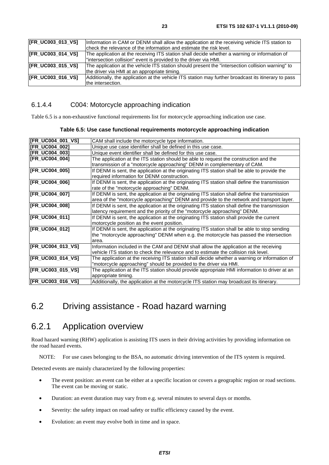| [FR_UC003_013_VS] | Information in CAM or DENM shall allow the application at the receiving vehicle ITS station to       |
|-------------------|------------------------------------------------------------------------------------------------------|
|                   | check the relevance of the information and estimate the risk level.                                  |
| [FR_UC003_014_VS] | The application at the receiving ITS station shall decide whether a warning or information of        |
|                   | "intersection collision" event is provided to the driver via HMI.                                    |
| [FR_UC003_015_VS] | The application at the vehicle ITS station should present the "intersection collision warning" to    |
|                   | the driver via HMI at an appropriate timing.                                                         |
| [FR_UC003_016_VS] | Additionally, the application at the vehicle ITS station may further broadcast its itinerary to pass |
|                   | the intersection.                                                                                    |

#### 6.1.4.4 C004: Motorcycle approaching indication

Table 6.5 is a non-exhaustive functional requirements list for motorcycle approaching indication use case.

#### **Table 6.5: Use case functional requirements motorcycle approaching indication**

| [FR_UC004_001_VS]     | CAM shall include the motorcycle type information.                                            |
|-----------------------|-----------------------------------------------------------------------------------------------|
| [FR_UC004_002]        | Unique use case identifier shall be defined in this use case.                                 |
| [FR_UC004_003]        | Unique event identifier shall be defined for this use case.                                   |
| [FR_UC004_004]        | The application at the ITS station should be able to request the construction and the         |
|                       | transmission of a "motorcycle approaching" DENM in complementary of CAM.                      |
| [FR_UC004_005]        | If DENM is sent, the application at the originating ITS station shall be able to provide the  |
|                       | required information for DENM construction.                                                   |
| <b>IFR UC004 0061</b> | If DENM is sent, the application at the originating ITS station shall define the transmission |
|                       | rate of the "motorcycle approaching" DENM.                                                    |
| [FR_UC004_007]        | If DENM is sent, the application at the originating ITS station shall define the transmission |
|                       | area of the "motorcycle approaching" DENM and provide to the network and transport layer.     |
| [FR_UC004_008]        | If DENM is sent, the application at the originating ITS station shall define the transmission |
|                       | latency requirement and the priority of the "motorcycle approaching" DENM.                    |
| [FR_UC004_011]        | If DENM is sent, the application at the originating ITS station shall provide the current     |
|                       | motorcycle position as the event position.                                                    |
| [FR_UC004_012]        | If DENM is sent, the application at the originating ITS station shall be able to stop sending |
|                       | the "motorcycle approaching" DENM when e.g. the motorcycle has passed the intersection        |
|                       | area.                                                                                         |
| [FR_UC004_013_VS]     | Information included in the CAM and DENM shall allow the application at the receiving         |
|                       | vehicle ITS station to check the relevance and to estimate the collision risk level.          |
| [FR_UC003_014_VS]     | The application at the receiving ITS station shall decide whether a warning or information of |
|                       | "motorcycle approaching" should be provided to the driver via HMI.                            |
| [FR_UC003_015_VS]     | The application at the ITS station should provide appropriate HMI information to driver at an |
|                       | appropriate timing.                                                                           |
| [FR_UC003_016_VS]     | Additionally, the application at the motorcycle ITS station may broadcast its itinerary.      |

## 6.2 Driving assistance - Road hazard warning

## 6.2.1 Application overview

Road hazard warning (RHW) application is assisting ITS users in their driving activities by providing information on the road hazard events.

NOTE: For use cases belonging to the BSA, no automatic driving intervention of the ITS system is required.

Detected events are mainly characterized by the following properties:

- The event position: an event can be either at a specific location or covers a geographic region or road sections. The event can be moving or static.
- Duration: an event duration may vary from e.g. several minutes to several days or months.
- Severity: the safety impact on road safety or traffic efficiency caused by the event.
- Evolution: an event may evolve both in time and in space.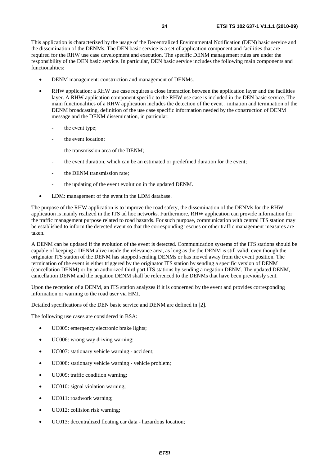This application is characterized by the usage of the Decentralized Environmental Notification (DEN) basic service and the dissemination of the DENMs. The DEN basic service is a set of application component and facilities that are required for the RHW use case development and execution. The specific DENM management rules are under the responsibility of the DEN basic service. In particular, DEN basic service includes the following main components and functionalities:

- DENM management: construction and management of DENMs.
- RHW application: a RHW use case requires a close interaction between the application layer and the facilities layer. A RHW application component specific to the RHW use case is included in the DEN basic service. The main functionalities of a RHW application includes the detection of the event , initiation and termination of the DENM broadcasting, definition of the use case specific information needed by the construction of DENM message and the DENM dissemination, in particular:
	- the event type;
	- the event location:
	- the transmission area of the DENM:
	- the event duration, which can be an estimated or predefined duration for the event;
	- the DENM transmission rate:
	- the updating of the event evolution in the updated DENM.
- LDM: management of the event in the LDM database.

The purpose of the RHW application is to improve the road safety, the dissemination of the DENMs for the RHW application is mainly realized in the ITS ad hoc networks. Furthermore, RHW application can provide information for the traffic management purpose related to road hazards. For such purpose, communication with central ITS station may be established to inform the detected event so that the corresponding rescues or other traffic management measures are taken.

A DENM can be updated if the evolution of the event is detected. Communication systems of the ITS stations should be capable of keeping a DENM alive inside the relevance area, as long as the the DENM is still valid, even though the originator ITS station of the DENM has stopped sending DENMs or has moved away from the event position. The termination of the event is either triggered by the originator ITS station by sending a specific version of DENM (cancellation DENM) or by an authorized third part ITS stations by sending a negation DENM. The updated DENM, cancellation DENM and the negation DENM shall be referenced to the DENMs that have been previously sent.

Upon the reception of a DENM, an ITS station analyzes if it is concerned by the event and provides corresponding information or warning to the road user via HMI.

Detailed specifications of the DEN basic service and DENM are defined in [2].

The following use cases are considered in BSA:

- UC005: emergency electronic brake lights;
- UC006: wrong way driving warning;
- UC007: stationary vehicle warning accident;
- UC008: stationary vehicle warning vehicle problem;
- UC009: traffic condition warning;
- UC010: signal violation warning;
- UC011: roadwork warning;
- UC012: collision risk warning;
- UC013: decentralized floating car data hazardous location;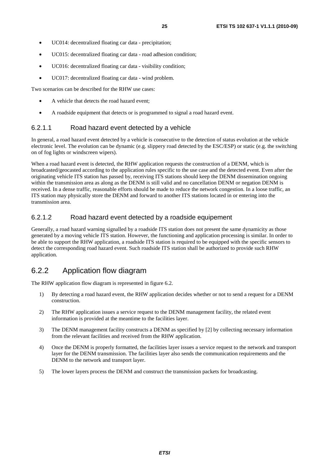- UC014: decentralized floating car data precipitation;
- UC015: decentralized floating car data road adhesion condition;
- UC016: decentralized floating car data visibility condition;
- UC017: decentralized floating car data wind problem.

Two scenarios can be described for the RHW use cases:

- A vehicle that detects the road hazard event;
- A roadside equipment that detects or is programmed to signal a road hazard event.

#### 6.2.1.1 Road hazard event detected by a vehicle

In general, a road hazard event detected by a vehicle is consecutive to the detection of status evolution at the vehicle electronic level. The evolution can be dynamic (e.g. slippery road detected by the ESC/ESP) or static (e.g. the switching on of fog lights or windscreen wipers).

When a road hazard event is detected, the RHW application requests the construction of a DENM, which is broadcasted/geocasted according to the application rules specific to the use case and the detected event. Even after the originating vehicle ITS station has passed by, receiving ITS stations should keep the DENM dissemination ongoing within the transmission area as along as the DENM is still valid and no cancellation DENM or negation DENM is received. In a dense traffic, reasonable efforts should be made to reduce the network congestion. In a loose traffic, an ITS station may physically store the DENM and forward to another ITS stations located in or entering into the transmission area.

#### 6.2.1.2 Road hazard event detected by a roadside equipement

Generally, a road hazard warning signalled by a roadside ITS station does not present the same dynamicity as those generated by a moving vehicle ITS station. However, the functioning and application processing is similar. In order to be able to support the RHW application, a roadside ITS station is required to be equipped with the specific sensors to detect the corresponding road hazard event. Such roadside ITS station shall be authorized to provide such RHW application.

#### 6.2.2 Application flow diagram

The RHW application flow diagram is represented in figure 6.2.

- 1) By detecting a road hazard event, the RHW application decides whether or not to send a request for a DENM construction.
- 2) The RHW application issues a service request to the DENM management facility, the related event information is provided at the meantime to the facilities layer.
- 3) The DENM management facility constructs a DENM as specified by [2] by collecting necessary information from the relevant facilities and received from the RHW application.
- 4) Once the DENM is properly formatted, the facilities layer issues a service request to the network and transport layer for the DENM transmission. The facilities layer also sends the communication requirements and the DENM to the network and transport layer.
- 5) The lower layers process the DENM and construct the transmission packets for broadcasting.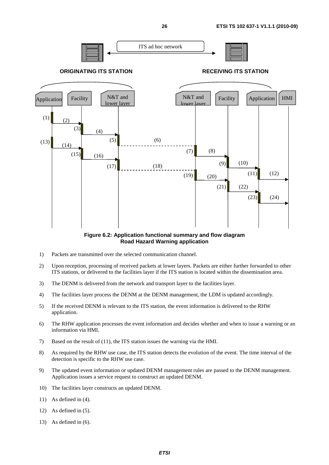

**Figure 6.2: Application functional summary and flow diagram Road Hazard Warning application** 

- 1) Packets are transmitted over the selected communication channel.
- 2) Upon reception, processing of received packets at lower layers. Packets are either further forwarded to other ITS stations, or delivered to the facilities layer if the ITS station is located within the dissemination area.
- 3) The DENM is delivered from the network and transport layer to the facilities layer.
- 4) The facilities layer process the DENM at the DENM management, the LDM is updated accordingly.
- 5) If the received DENM is relevant to the ITS station, the event information is delivered to the RHW application.
- 6) The RHW application processes the event information and decides whether and when to issue a warning or an information via HMI.
- 7) Based on the result of (11), the ITS station issues the warning via the HMI.
- 8) As required by the RHW use case, the ITS station detects the evolution of the event. The time interval of the detection is specific to the RHW use case.
- 9) The updated event information or updated DENM management rules are passed to the DENM management. Application issues a service request to construct an updated DENM.
- 10) The facilities layer constructs an updated DENM.
- 11) As defined in (4).
- 12) As defined in (5).
- 13) As defined in (6).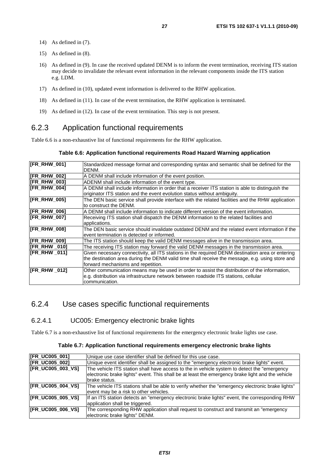- 14) As defined in (7).
- 15) As defined in (8).
- 16) As defined in (9). In case the received updated DENM is to inform the event termination, receiving ITS station may decide to invalidate the relevant event information in the relevant components inside the ITS station e.g. LDM.
- 17) As defined in (10), updated event information is delivered to the RHW application.
- 18) As defined in (11). In case of the event termination, the RHW application is terminated.
- 19) As defined in (12). In case of the event termination. This step is not present.

### 6.2.3 Application functional requirements

Table 6.6 is a non-exhaustive list of functional requirements for the RHW application.

#### **Table 6.6: Application functional requirements Road Hazard Warning application**

| <b>[FR_RHW_001]</b> | Standardized message format and corresponding syntax and semantic shall be defined for the<br>DENM. |
|---------------------|-----------------------------------------------------------------------------------------------------|
| [FR_RHW_002]        | A DENM shall include information of the event position.                                             |
| [FR_RHW_003]        | ADENM shall include information of the event type.                                                  |
| IFR RHW 0041        | A DENM shall include information in order that a receiver ITS station is able to distinguish the    |
|                     | originator ITS station and the event evolution status without ambiguity.                            |
| IFR RHW 0051        | The DEN basic service shall provide interface with the related facilities and the RHW application   |
|                     | to construct the DENM.                                                                              |
| <b>IFR RHW 0061</b> | A DENM shall include information to indicate different version of the event information.            |
| IFR RHW 0071        | Receiving ITS station shall dispatch the DENM information to the related facilities and             |
|                     | applications.                                                                                       |
| [FR_RHW_008]        | The DEN basic service should invalidate outdated DENM and the related event information if the      |
|                     | event termination is detected or informed.                                                          |
| [FR_RHW_009]        | The ITS station should keep the valid DENM messages alive in the transmission area.                 |
| [FR_RHW _010]       | The receiving ITS station may forward the valid DENM messages in the transmission area.             |
| [FR_RHW_011]        | Given necessary connectivity, all ITS stations in the required DENM destination area or entering    |
|                     | the destination area during the DENM valid time shall receive the message, e.g. using store and     |
|                     | forward mechanisms and repetition.                                                                  |
| [FR_RHW_012]        | Other communication means may be used in order to assist the distribution of the information,       |
|                     | e.g. distribution via infrastructure network between roadside ITS stations, cellular                |
|                     | communication.                                                                                      |

#### 6.2.4 Use cases specific functional requirements

#### 6.2.4.1 UC005: Emergency electronic brake lights

Table 6.7 is a non-exhaustive list of functional requirements for the emergency electronic brake lights use case.

#### **Table 6.7: Application functional requirements emergency electronic brake lights**

| [FR_UC005_001]           | Unique use case identifier shall be defined for this use case.                                                                                                                                                     |
|--------------------------|--------------------------------------------------------------------------------------------------------------------------------------------------------------------------------------------------------------------|
| [FR_UC005_002]           | Unique event identifier shall be assigned to the "emergency electronic brake lights" event.                                                                                                                        |
| <b>IFR UC005 003 VS1</b> | The vehicle ITS station shall have access to the in vehicle system to detect the "emergency"<br>electronic brake lights" event. This shall be at least the emergency brake light and the vehicle<br>lbrake status. |
| [FR_UC005_004_VS]        | The vehicle ITS stations shall be able to verify whether the "emergency electronic brake lights"<br>event may be a risk to other vehicles.                                                                         |
| <b>IFR_UC005_005_VS]</b> | If an ITS station detects an "emergency electronic brake lights" event, the corresponding RHW<br>application shall be triggered.                                                                                   |
| <b>IFR_UC005_006_VS]</b> | The corresponding RHW application shall request to construct and transmit an "emergency<br>electronic brake lights" DENM.                                                                                          |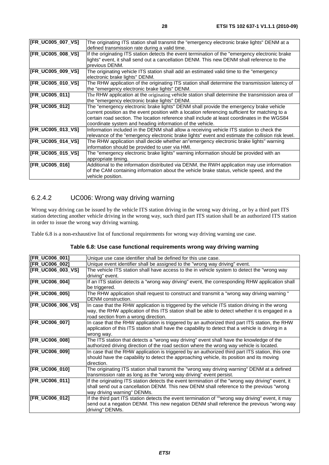| [FR_UC005_007_VS] | The originating ITS station shall transmit the "emergency electronic brake lights" DENM at a      |
|-------------------|---------------------------------------------------------------------------------------------------|
|                   |                                                                                                   |
|                   | defined transmission rate during a valid time.                                                    |
| [FR_UC005_008_VS] | If the originating ITS station detects the event termination of the "emergency electronic brake"  |
|                   | lights" event, it shall send out a cancellation DENM. This new DENM shall reference to the        |
|                   | previous DENM.                                                                                    |
| [FR_UC005_009_VS] | The originating vehicle ITS station shall add an estimated valid time to the "emergency           |
|                   | electronic brake lights" DENM.                                                                    |
| [FR_UC005_010_VS] | The RHW application of the originating ITS station shall determine the transmission latency of    |
|                   | the "emergency electronic brake lights" DENM.                                                     |
| [FR_UC005_011]    | The RHW application at the originating vehicle station shall determine the transmission area of   |
|                   | the "emergency electronic brake lights" DENM.                                                     |
| [FR_UC005_012]    | The "emergency electronic brake lights" DENM shall provide the emergency brake vehicle            |
|                   | current position as the event position with a location referencing sufficient for matching to a   |
|                   | certain road section. The location reference shall include at least coordinates in the WGS84      |
|                   | coordinate system and heading information of the vehicle.                                         |
| [FR_UC005_013_VS] | Information included in the DENM shall allow a receiving vehicle ITS station to check the         |
|                   | relevance of the "emergency electronic brake lights" event and estimate the collision risk level. |
| [FR_UC005_014_VS] | The RHW application shall decide whether an"emergency electronic brake lights" warning            |
|                   | information should be provided to user via HMI.                                                   |
| [FR_UC005_015_VS] | The "emergency electronic brake lights" warning information should be provided with an            |
|                   | appropriate timing.                                                                               |
| [FR_UC005_016]    | Additional to the information distributed via DENM, the RWH application may use information       |
|                   | of the CAM containing information about the vehicle brake status, vehicle speed, and the          |
|                   | vehicle position.                                                                                 |
|                   |                                                                                                   |

#### 6.2.4.2 UC006: Wrong way driving warning

Wrong way driving can be issued by the vehicle ITS station driving in the wrong way driving , or by a third part ITS station detecting another vehicle driving in the wrong way, such third part ITS station shall be an authorized ITS station in order to issue the wrong way driving warning.

Table 6.8 is a non-exhaustive list of functional requirements for wrong way driving warning use case.

| Table 6.8: Use case functional requirements wrong way driving warning |  |  |
|-----------------------------------------------------------------------|--|--|
|                                                                       |  |  |

| [FR_UC006_001]    | Unique use case identifier shall be defined for this use case.                                                                                                                                                                           |
|-------------------|------------------------------------------------------------------------------------------------------------------------------------------------------------------------------------------------------------------------------------------|
| [FR_UC006_002]    | Unique event identifier shall be assigned to the "wrong way driving" event.                                                                                                                                                              |
| [FR_UC006_003_VS] | The vehicle ITS station shall have access to the in vehicle system to detect the "wrong way<br>driving" event.                                                                                                                           |
| [FR_UC006_004]    | If an ITS station detects a "wrong way driving" event, the corresponding RHW application shall<br>be triggered.                                                                                                                          |
| [FR_UC006_005]    | The RHW application shall request to construct and transmit a "wrong way driving warning"<br>DENM construction.                                                                                                                          |
| [FR_UC006_006_VS] | In case that the RHW application is triggered by the vehicle ITS station driving in the wrong<br>way, the RHW application of this ITS station shall be able to detect whether it is engaged in a<br>road section from a wrong direction. |
| [FR_UC006_007]    | In case that the RHW application is triggered by an authorized third part ITS station, the RHW<br>application of this ITS station shall have the capability to detect that a vehicle is driving in a<br>wrong way.                       |
| [FR_UC006_008]    | The ITS station that detects a "wrong way driving" event shall have the knowledge of the<br>authorized driving direction of the road section where the wrong way vehicle is located.                                                     |
| [FR_UC006_009]    | In case that the RHW application is triggered by an authorized third part ITS station, this one<br>should have the capability to detect the approaching vehicle, its position and its moving<br>direction.                               |
| [FR_UC006_010]    | The originating ITS station shall transmit the "wrong way driving warning" DENM at a defined<br>transmission rate as long as the "wrong way driving" event persist.                                                                      |
| [FR_UC006_011]    | If the originating ITS station detects the event termination of the "wrong way driving" event, it<br>shall send out a cancellation DENM. This new DENM shall reference to the previous "wrong<br>way driving warning" DENMs.             |
| [FR_UC006_012]    | If the third part ITS station detects the event termination of ""wrong way driving" event, it may<br>send out a negation DENM. This new negation DENM shall reference the previous "wrong way<br>driving" DENMs.                         |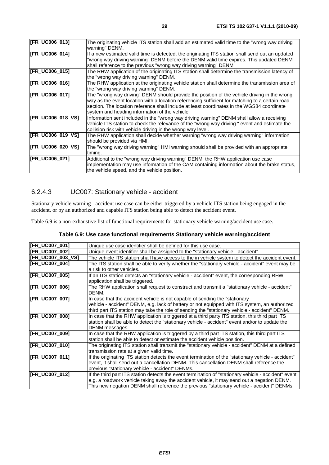| [FR_UC006_013]           | The originating vehicle ITS station shall add an estimated valid time to the "wrong way driving<br>warning" DENM.                                                                                                                                                                                                                               |
|--------------------------|-------------------------------------------------------------------------------------------------------------------------------------------------------------------------------------------------------------------------------------------------------------------------------------------------------------------------------------------------|
| [FR_UC006_014]           | If a new estimated valid time is detected, the originating ITS station shall send out an updated<br>"wrong way driving warning" DENM before the DENM valid time expires. This updated DENM<br>shall reference to the previous "wrong way driving warning" DENM.                                                                                 |
| [FR_UC006_015]           | The RHW application of the originating ITS station shall determine the transmission latency of<br>the "wrong way driving warning" DENM.                                                                                                                                                                                                         |
| [FR_UC006_016]           | The RHW application at the originating vehicle station shall determine the transmission area of<br>the "wrong way driving warning" DENM.                                                                                                                                                                                                        |
| [FR_UC006_017]           | The "wrong way driving" DENM should provide the position of the vehicle driving in the wrong<br>way as the event location with a location referencing sufficient for matching to a certain road<br>section. The location reference shall include at least coordinates in the WGS84 coordinate<br>system and heading information of the vehicle. |
| <b>IFR UC006 018 VS1</b> | Information sent included in the "wrong way driving warning" DENM shall allow a receiving<br>vehicle ITS station to check the relevance of the "wrong way driving" event and estimate the<br>collision risk with vehicle driving in the wrong way level.                                                                                        |
| [FR_UC006_019_VS]        | The RHW application shall decide whether warning "wrong way driving warning" information<br>should be provided via HMI.                                                                                                                                                                                                                         |
| [FR_UC006_020_VS]        | The "wrong way driving warning" HMI warning should shall be provided with an appropriate<br>timing.                                                                                                                                                                                                                                             |
| [FR_UC006_021]           | Additional to the "wrong way driving warning" DENM, the RHW application use case<br>implementation may use information of the CAM containing information about the brake status,<br>the vehicle speed, and the vehicle position.                                                                                                                |

#### 6.2.4.3 UC007: Stationary vehicle - accident

Stationary vehicle warning - accident use case can be either triggered by a vehicle ITS station being engaged in the accident, or by an authorized and capable ITS station being able to detect the accident event.

Table 6.9 is a non-exhaustive list of functional requirements for stationary vehicle warning/accident use case.

#### **Table 6.9: Use case functional requirements Stationary vehicle warning/accident**

| [FR_UC007_001]           | Unique use case identifier shall be defined for this use case.                                       |
|--------------------------|------------------------------------------------------------------------------------------------------|
| <b>IFR UC007 0021</b>    | Unique event identifier shall be assigned to the "stationary vehicle - accident".                    |
| <b>IFR UC007 003 VS1</b> | The vehicle ITS station shall have access to the in vehicle system to detect the accident event.     |
| <b>IFR UC007 0041</b>    | The ITS station shall be able to verify whether the "stationary vehicle - accident" event may be     |
|                          | a risk to other vehicles.                                                                            |
| [FR_UC007_005]           | If an ITS station detects an "stationary vehicle - accident" event, the corresponding RHW            |
|                          | application shall be triggered.                                                                      |
| [FR_UC007_006]           | The RHW application shall request to construct and transmit a "stationary vehicle - accident"        |
|                          | DENM.                                                                                                |
| [FR_UC007_007]           | In case that the accident vehicle is not capable of sending the "stationary                          |
|                          | vehicle - accident" DENM, e.g. lack of battery or not equipped with ITS system, an authorized        |
|                          | third part ITS station may take the role of sending the "stationary vehicle - accident" DENM.        |
| [FR_UC007_008]           | In case that the RHW application is triggered at a third party ITS station, this third part ITS      |
|                          | station shall be able to detect the "stationary vehicle - accident" event and/or to update the       |
|                          | DENM messages.                                                                                       |
| [FR_UC007_009]           | In case that the RHW application is triggered by a third part ITS station, this third part ITS       |
|                          | station shall be able to detect or estimate the accident vehicle position.                           |
| [FR_UC007_010]           | The originating ITS station shall transmit the "stationary vehicle - accident" DENM at a defined     |
|                          | transmission rate at a given valid time.                                                             |
| [FR_UC007_011]           | If the originating ITS station detects the event termination of the "stationary vehicle - accident"  |
|                          | event, it shall send out a cancellation DENM. This cancellation DENM shall reference the             |
|                          | previous "stationary vehicle - accident" DENMs.                                                      |
| [FR_UC007_012]           | If the third part ITS station detects the event termination of "stationary vehicle - accident" event |
|                          | e.g. a roadwork vehicle taking away the accident vehicle, it may send out a negation DENM.           |
|                          | This new negation DENM shall reference the previous "stationary vehicle - accident" DENMs.           |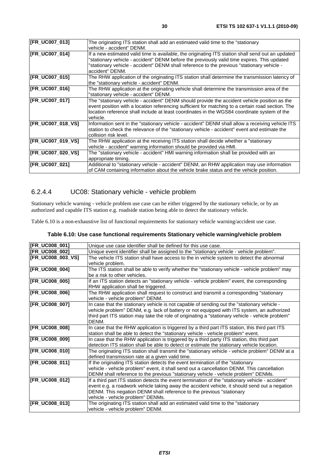| [FR_UC007_013]        | The originating ITS station shall add an estimated valid time to the "stationary<br>vehicle - accident" DENM.                                                                                                                                                                                                     |
|-----------------------|-------------------------------------------------------------------------------------------------------------------------------------------------------------------------------------------------------------------------------------------------------------------------------------------------------------------|
| [FR_UC007_014]        | If a new estimated valid time is available, the originating ITS station shall send out an updated<br>'stationary vehicle - accident" DENM before the previously valid time expires. This updated<br>'stationary vehicle - accident" DENM shall reference to the previous "stationary vehicle -<br>accident" DENM. |
| [FR_UC007_015]        | The RHW application of the originating ITS station shall determine the transmission latency of<br>the "stationary vehicle - accident" DENM.                                                                                                                                                                       |
| [FR_UC007_016]        | The RHW application at the originating vehicle shall determine the transmission area of the<br>"stationary vehicle - accident" DENM.                                                                                                                                                                              |
| <b>IFR UC007 0171</b> | The "stationary vehicle - accident" DENM should provide the accident vehicle position as the<br>event position with a location referencing sufficient for matching to a certain road section. The<br>location reference shall include at least coordinates in the WGS84 coordinate system of the<br>vehicle.      |
| [FR_UC007_018_VS]     | Information sent in the "stationary vehicle - accident" DENM shall allow a receiving vehicle ITS<br>station to check the relevance of the "stationary vehicle - accident" event and estimate the<br>collision risk level.                                                                                         |
| [FR_UC007_019_VS]     | The RHW application at the receiving ITS station shall decide whether a "stationary<br>vehicle - accident" warning information should be provided via HMI.                                                                                                                                                        |
| [FR_UC007_020_VS]     | The "stationary vehicle - accident" HMI warning information shall be provided with an<br>appropriate timing.                                                                                                                                                                                                      |
| [FR_UC007_021]        | Additional to "stationary vehicle - accident" DENM, an RHW application may use information<br>of CAM containing information about the vehicle brake status and the vehicle position.                                                                                                                              |

#### 6.2.4.4 UC08: Stationary vehicle - vehicle problem

Stationary vehicle warning - vehicle problem use case can be either triggered by the stationary vehicle, or by an authorized and capable ITS station e.g. roadside station being able to detect the stationary vehicle.

Table 6.10 is a non-exhaustive list of functional requirements for stationary vehicle warning/accident use case.

#### **Table 6.10: Use case functional requirements Stationary vehicle warning/vehicle problem**

| [FR_UC008_001]    | Unique use case identifier shall be defined for this use case.                                   |
|-------------------|--------------------------------------------------------------------------------------------------|
| [FR_UC008_002]    | Unique event identifier shall be assigned to the "stationary vehicle - vehicle problem".         |
| [FR_UC008_003_VS] | The vehicle ITS station shall have access to the in vehicle system to detect the abnormal        |
|                   | vehicle problem.                                                                                 |
| [FR_UC008_004]    | The ITS station shall be able to verify whether the "stationary vehicle - vehicle problem" may   |
|                   | be a risk to other vehicles.                                                                     |
| [FR_UC008_005]    | If an ITS station detects an "stationary vehicle - vehicle problem" event, the corresponding     |
|                   | RHW application shall be triggered.                                                              |
| [FR_UC008_006]    | The RHW application shall request to construct and transmit a corresponding "stationary          |
|                   | vehicle - vehicle problem" DENM.                                                                 |
| [FR_UC008_007]    | In case that the stationary vehicle is not capable of sending out the "stationary vehicle -      |
|                   | vehicle problem" DENM, e.g. lack of battery or not equipped with ITS system, an authorized       |
|                   | third part ITS station may take the role of originating a "stationary vehicle - vehicle problem" |
|                   | DENM.                                                                                            |
| [FR_UC008_008]    | In case that the RHW application is triggered by a third part ITS station, this third part ITS   |
|                   | station shall be able to detect the "stationary vehicle - vehicle problem" event.                |
| [FR_UC008_009]    | In case that the RHW application is triggered by a third party ITS station, this third part      |
|                   | detection ITS station shall be able to detect or estimate the stationary vehicle location.       |
| [FR_UC008_010]    | The originating ITS station shall transmit the "stationary vehicle - vehicle problem" DENM at a  |
|                   | defined transmission rate at a given valid time.                                                 |
| [FR_UC008_011]    | If the originating ITS station detects the event termination of the "stationary                  |
|                   | vehicle - vehicle problem" event, it shall send out a cancellation DENM. This cancellation       |
|                   | DENM shall reference to the previous "stationary vehicle - vehicle problem" DENMs.               |
| [FR_UC008_012]    | If a third part ITS station detects the event termination of the "stationary vehicle - accident" |
|                   | event e.g. a roadwork vehicle taking away the accident vehicle, it should send out a negation    |
|                   | DENM. This negation DENM shall reference to the previous "stationary                             |
|                   | vehicle - vehicle problem" DENMs.                                                                |
| [FR_UC008_013]    | The originating ITS station shall add an estimated valid time to the "stationary                 |
|                   | vehicle - vehicle problem" DENM.                                                                 |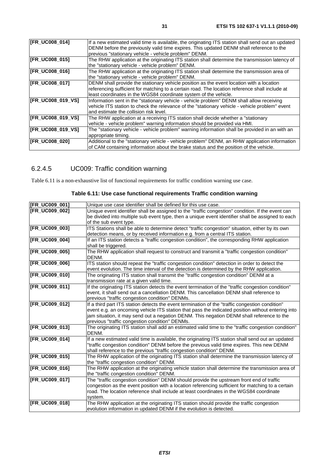| [FR_UC008_014]        | If a new estimated valid time is available, the originating ITS station shall send out an updated |
|-----------------------|---------------------------------------------------------------------------------------------------|
|                       | DENM before the previously valid time expires. This updated DENM shall reference to the           |
|                       | previous "stationary vehicle - vehicle problem" DENM.                                             |
|                       |                                                                                                   |
| [FR_UC008_015]        | The RHW application at the originating ITS station shall determine the transmission latency of    |
|                       | the "stationary vehicle - vehicle problem" DENM.                                                  |
| [FR_UC008_016]        | The RHW application at the originating ITS station shall determine the transmission area of       |
|                       | the "stationary vehicle - vehicle problem" DENM.                                                  |
| [FR_UC008_017]        | DENM shall provide the stationary vehicle position as the event location with a location          |
|                       | referencing sufficient for matching to a certain road. The location reference shall include at    |
|                       | least coordinates in the WGS84 coordinate system of the vehicle.                                  |
| [FR_UC008_019_VS]     | Information sent in the "stationary vehicle - vehicle problem" DENM shall allow receiving         |
|                       | vehicle ITS station to check the relevance of the "stationary vehicle - vehicle problem" event    |
|                       | and estimate the collision risk level.                                                            |
|                       |                                                                                                   |
| [FR_UC008_019_VS]     | The RHW application at a receiving ITS station shall decide whether a "stationary"                |
|                       | vehicle - vehicle problem" warning information should be provided via HMI.                        |
| [FR_UC008_019_VS]     | The "stationary vehicle - vehicle problem" warning information shall be provided in an with an    |
|                       | appropriate timing.                                                                               |
| <b>IFR UC008 0201</b> | Additional to the "stationary vehicle - vehicle problem" DENM, an RHW application information     |
|                       | of CAM containing information about the brake status and the position of the vehicle.             |
|                       |                                                                                                   |

## 6.2.4.5 UC009: Traffic condition warning

Table 6.11 is a non-exhaustive list of functional requirements for traffic condition warning use case.

| [FR_UC009_001] | Unique use case identifier shall be defined for this use case.                                      |
|----------------|-----------------------------------------------------------------------------------------------------|
| [FR_UC009_002] | Unique event identifier shall be assigned to the "traffic congestion" condition. If the event can   |
|                | be divided into multiple sub event type, then a unique event identifier shall be assigned to each   |
|                | of the sub event type.                                                                              |
| [FR_UC009_003] | ITS Stations shall be able to determine detect "traffic congestion" situation, either by its own    |
|                | detection means, or by received information e.g. from a central ITS station.                        |
| [FR_UC009_004] | If an ITS station detects a "traffic congestion condition", the corresponding RHW application       |
|                | shall be triggered.                                                                                 |
| [FR_UC009_005] | The RHW application shall request to construct and transmit a "traffic congestion condition"        |
|                | DENM.                                                                                               |
| [FR_UC009_006] | ITS station should repeat the "traffic congestion condition" detection in order to detect the       |
|                | event evolution. The time interval of the detection is determined by the RHW application.           |
| [FR_UC009_010] | The originating ITS station shall transmit the "traffic congestion condition" DENM at a             |
|                | transmission rate at a given valid time.                                                            |
| [FR_UC009_011] | If the originating ITS station detects the event termination of the "traffic congestion condition"  |
|                | event, it shall send out a cancellation DENM. This cancellation DENM shall reference to             |
|                | previous "traffic congestion condition" DENMs.                                                      |
| [FR_UC009_012] | If a third part ITS station detects the event termination of the "traffic congestion condition"     |
|                | event e.g. an oncoming vehicle ITS station that pass the indicated position without entering into   |
|                | jam situation, it may send out a negation DENM. This negation DENM shall reference to the           |
|                | previous "traffic congestion condition" DENMs.                                                      |
| [FR_UC009_013] | The originating ITS station shall add an estimated valid time to the "traffic congestion condition" |
|                | DENM.                                                                                               |
| [FR_UC009_014] | If a new estimated valid time is available, the originating ITS station shall send out an updated   |
|                | "traffic congestion condition" DENM before the previous valid time expires. This new DENM           |
|                | shall reference to the previous "traffic congestion condition" DENM.                                |
| [FR_UC009_015] | The RHW application of the originating ITS station shall determine the transmission latency of      |
|                | the "traffic congestion condition" DENM.                                                            |
| [FR_UC009_016] | The RHW application at the originating vehicle station shall determine the transmission area of     |
|                | the "traffic congestion condition" DENM.                                                            |
| [FR_UC009_017] | The "traffic congestion condition" DENM should provide the upstream front end of traffic            |
|                | congestion as the event position with a location referencing sufficient for matching to a certain   |
|                | road. The location reference shall include at least coordinates in the WGS84 coordinate             |
|                | system.                                                                                             |
| [FR_UC009_018] | The RHW application at the originating ITS station should provide the traffic congestion            |
|                | evolution information in updated DENM if the evolution is detected.                                 |

#### **Table 6.11: Use case functional requirements Traffic condition warning**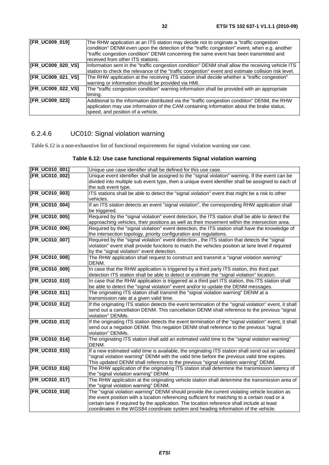| <b>IFR UC009 0191</b>    | The RHW application at an ITS station may decide not to originate a "traffic congestion"            |
|--------------------------|-----------------------------------------------------------------------------------------------------|
|                          | condition" DENM even upon the detection of the "traffic congestion" event, when e.g. another        |
|                          |                                                                                                     |
|                          | "traffic congestion condition" DENM concerning the same event has been transmitted and              |
|                          | received from other ITS stations.                                                                   |
| <b>IFR_UC009_020_VS]</b> | Information sent in the "traffic congestion condition" DENM shall allow the receiving vehicle ITS   |
|                          |                                                                                                     |
|                          | station to check the relevance of the "traffic congestion" event and estimate collision risk level. |
| [FR_UC009_021_VS]        | The RHW application at the receiving ITS station shall decide whether a "traffic congestion"        |
|                          | warning or information should be provided via HMI.                                                  |
| [FR_UC009_022_VS]        | The "traffic congestion condition" warning information shall be provided with an appropriate        |
|                          |                                                                                                     |
|                          | timing.                                                                                             |
| <b>IFR UC009 0231</b>    | Additional to the information distributed via the "traffic congestion condition" DENM, the RHW      |
|                          | application may use information of the CAM containing information about the brake status,           |
|                          |                                                                                                     |
|                          | speed, and position of a vehicle.                                                                   |

## 6.2.4.6 UC010: Signal violation warning

Table 6.12 is a non-exhaustive list of functional requirements for signal violation warning use case.

| Table 6.12: Use case functional requirements Signal violation warning |  |  |
|-----------------------------------------------------------------------|--|--|
|                                                                       |  |  |

| [FR_UC010_001]        | Unique use case identifier shall be defined for this use case.                                                                                                                                                                                                                                                                                                                    |
|-----------------------|-----------------------------------------------------------------------------------------------------------------------------------------------------------------------------------------------------------------------------------------------------------------------------------------------------------------------------------------------------------------------------------|
| <b>[FR_UC010_002]</b> | Unique event identifier shall be assigned to the "signal violation" warning. If the event can be<br>divided into multiple sub event type, then a unique event identifier shall be assigned to each of<br>the sub event type.                                                                                                                                                      |
| [FR_UC010_003]        | ITS stations shall be able to detect the "signal violation" event that might be a risk to other<br>vehicles.                                                                                                                                                                                                                                                                      |
| [FR_UC010_004]        | If an ITS station detects an event "signal violation", the corresponding RHW application shall<br>be triggered.                                                                                                                                                                                                                                                                   |
| [FR_UC010_005]        | Required by the "signal violation" event detection, the ITS station shall be able to detect the<br>approaching vehicles, their positions as well as their movement within the intersection area.                                                                                                                                                                                  |
| [FR_UC010_006]        | Required by the "signal violation" event detection, the ITS station shall have the knowledge of<br>the intersection topology, priority configuration and regulations.                                                                                                                                                                                                             |
| [FR_UC010_007]        | Required by the "signal violation" event detection, the ITS station that detects the "signal<br>violation" event shall provide functions to match the vehicles position at lane level if required<br>by the "signal violation" event detection.                                                                                                                                   |
| [FR_UC010_008]        | The RHW application shall request to construct and transmit a "signal violation warning"<br>DENM.                                                                                                                                                                                                                                                                                 |
| [FR_UC010_009]        | In case that the RHW application is triggered by a third party ITS station, this third part<br>detection ITS station shall be able to detect or estimate the "signal violation" location.                                                                                                                                                                                         |
| [FR_UC010_010]        | In case that the RHW application is triggered at a third part ITS station, this ITS station shall<br>be able to detect the "signal violation" event and/or to update the DENM messages.                                                                                                                                                                                           |
| [FR_UC010_011]        | The originating ITS station shall transmit the "signal violation warning" DENM at a<br>transmission rate at a given valid time.                                                                                                                                                                                                                                                   |
| [FR_UC010_012]        | If the originating ITS station detects the event termination of the "signal violation" event, it shall<br>send out a cancellation DENM. This cancellation DENM shall reference to the previous "signal<br>violation" DENMs.                                                                                                                                                       |
| [FR_UC010_013]        | If the originating ITS station detects the event termination of the "signal violation" event, it shall<br>send out a negation DENM. This negation DENM shall reference to the previous "signal<br>violation" DENMs.                                                                                                                                                               |
| [FR_UC010_014]        | The originating ITS station shall add an estimated valid time to the "signal violation warning"<br>DENM.                                                                                                                                                                                                                                                                          |
| [FR_UC010_015]        | If a new estimated valid time is available, the originating ITS station shall send out an updated<br>"signal violation warning" DENM with the valid time before the previous valid time expires.<br>This updated DENM shall reference to the previous "signal violation warning" DENM.                                                                                            |
| [FR_UC010_016]        | The RHW application of the originating ITS station shall determine the transmission latency of<br>the "signal violation warning" DENM.                                                                                                                                                                                                                                            |
| [FR_UC010_017]        | The RHW application at the originating vehicle station shall determine the transmission area of<br>the "signal violation warning" DENM.                                                                                                                                                                                                                                           |
| [FR_UC010_018]        | The "signal violation warning" DENM should provide the current violating vehicle location as<br>the event position with a location referencing sufficient for matching to a certain road or a<br>certain lane if required by the application. The location reference shall include at least<br>coordinates in the WGS84 coordinate system and heading information of the vehicle. |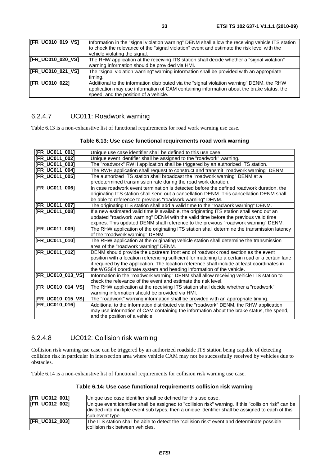| [FR_UC010_019_VS] | Information in the "signal violation warning" DENM shall allow the receiving vehicle ITS station<br>to check the relevance of the "signal violation" event and estimate the risk level with the<br>vehicle violating the signal. |
|-------------------|----------------------------------------------------------------------------------------------------------------------------------------------------------------------------------------------------------------------------------|
| [FR_UC010_020_VS] | The RHW application at the receiving ITS station shall decide whether a "signal violation"<br>warning information should be provided via HMI.                                                                                    |
| [FR_UC010_021_VS] | The "signal violation warning" warning information shall be provided with an appropriate<br>timing.                                                                                                                              |
| [FR_UC010_022]    | Additional to the information distributed via the "signal violation warning" DENM, the RHW<br>application may use information of CAM containing information about the brake status, the<br>speed, and the position of a vehicle. |

#### 6.2.4.7 UC011: Roadwork warning

Table 6.13 is a non-exhaustive list of functional requirements for road work warning use case.

| [FR_UC011_001]          | Unique use case identifier shall be defined to this use case.                                    |
|-------------------------|--------------------------------------------------------------------------------------------------|
| [FR_UC011_002]          | Unique event identifier shall be assigned to the "roadwork" warning.                             |
| [FR_UC011_003]          | The "roadwork" RWH application shall be triggered by an authorized ITS station.                  |
| [FR_UC011_004]          | The RWH application shall request to construct and transmit "roadwork warning" DENM.             |
| [FR_UC011_005]          | The authorized ITS station shall broadcast the "roadwork warning" DENM at a                      |
|                         | predetermined transmission rate during the road work duration.                                   |
| [FR_UC011_006]          | In case roadwork event termination is detected before the defined roadwork duration, the         |
|                         | originating ITS station shall send out a cancellation DENM. This cancellation DENM shall         |
|                         | be able to reference to previous "roadwork warning" DENM.                                        |
| [FR_UC011_007]          | The originating ITS station shall add a valid time to the "roadwork warning" DENM.               |
| [FR_UC011_008]          | If a new estimated valid time is available, the originating ITS station shall send out an        |
|                         | updated "roadwork warning" DENM with the valid time before the previous valid time               |
|                         | expires. This updated DENM shall reference to the previous "roadwork warning" DENM.              |
| [FR_UC011_009]          | The RHW application of the originating ITS station shall determine the transmission latency      |
|                         | of the "roadwork warning" DENM.                                                                  |
| [FR_UC011_010]          | The RHW application at the originating vehicle station shall determine the transmission          |
|                         | area of the "roadwork warning" DENM.                                                             |
| [FR_UC011_012]          | DENM should provide the upstream front end of roadwork road section as the event                 |
|                         | position with a location referencing sufficient for matching to a certain road or a certain lane |
|                         | if required by the application. The location reference shall include at least coordinates in     |
|                         | the WGS84 coordinate system and heading information of the vehicle.                              |
| [FR_UC010_013_VS]       | Information in the "roadwork warning" DENM shall allow receiving vehicle ITS station to          |
|                         | check the relevance of the event and estimate the risk level.                                    |
| [FR_UC010_014_VS]       | The RHW application at the receiving ITS station shall decide whether a "roadwork"               |
|                         | warning information should be provided via HMI.                                                  |
| <b>FR UC010 015 VS1</b> | The "roadwork" warning information shall be provided with an appropriate timing.                 |
| [FR_UC010_016]          | Additional to the information distributed via the "roadwork" DENM, the RHW application           |
|                         | may use information of CAM containing the information about the brake status, the speed,         |
|                         | and the position of a vehicle.                                                                   |

#### **Table 6.13: Use case functional requirements road work warning**

#### 6.2.4.8 UC012: Collision risk warning

Collision risk warning use case can be triggered by an authorized roadside ITS station being capable of detecting collision risk in particular in intersection area where vehicle CAM may not be successfully received by vehicles due to obstacles.

Table 6.14 is a non-exhaustive list of functional requirements for collision risk warning use case.

| [FR_UC012_001]        | Unique use case identifier shall be defined for this use case.                                                                                                                                                                 |
|-----------------------|--------------------------------------------------------------------------------------------------------------------------------------------------------------------------------------------------------------------------------|
| <b>IFR UC012 0021</b> | Unique event identifier shall be assigned to "collision risk" warning. If this "collision risk" can be<br>divided into multiple event sub types, then a unique identifier shall be assigned to each of this<br>sub event type. |
| <b>IFR UC012 0031</b> | The ITS station shall be able to detect the "collision risk" event and determinate possible<br>collision risk between vehicles.                                                                                                |

**Table 6.14: Use case functional requirements collision risk warning**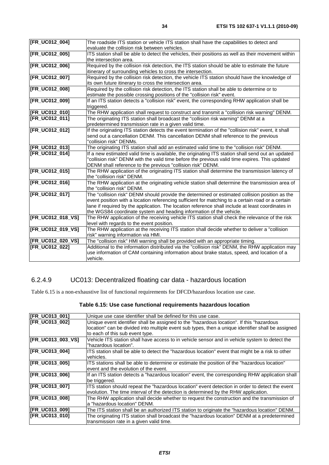| [FR_UC012_004]        | The roadside ITS station or vehicle ITS station shall have the capabilities to detect and            |
|-----------------------|------------------------------------------------------------------------------------------------------|
|                       | evaluate the collision risk between vehicles.                                                        |
| [FR_UC012_005]        | ITS station shall be able to detect the vehicles, their positions as well as their movement within   |
|                       | the intersection area.                                                                               |
| [FR_UC012_006]        | Required by the collision risk detection, the ITS station should be able to estimate the future      |
|                       | itinerary of surrounding vehicles to cross the intersection.                                         |
| [FR_UC012_007]        | Required by the collision risk detection, the vehicle ITS station should have the knowledge of       |
|                       | its own future itinerary to cross the intersection area.                                             |
| [FR_UC012_008]        | Required by the collision risk detection, the ITS station shall be able to determine or to           |
|                       | estimate the possible crossing positions of the "collision risk" event.                              |
| [FR_UC012_009]        | If an ITS station detects a "collision risk" event, the corresponding RHW application shall be       |
|                       | triggered.                                                                                           |
| [FR_UC012_010]        | The RHW application shall request to construct and transmit a "collision risk warning" DENM.         |
| <b>[FR_UC012_011]</b> | The originating ITS station shall broadcast the "collision risk warning" DENM at a                   |
|                       | predetermined transmission rate in a given valid time.                                               |
| [FR_UC012_012]        | If the originating ITS station detects the event termination of the "collision risk" event, it shall |
|                       | send out a cancellation DENM. This cancellation DENM shall reference to the previous                 |
|                       | "collision risk" DENMs.                                                                              |
| <b>[FR_UC012_013]</b> |                                                                                                      |
|                       | The originating ITS station shall add an estimated valid time to the "collision risk" DENM.          |
| <b>[FR_UC012_014]</b> | If a new estimated valid time is available, the originating ITS station shall send out an updated    |
|                       | "collision risk" DENM with the valid time before the previous valid time expires. This updated       |
|                       | DENM shall reference to the previous "collision risk" DENM.                                          |
| [FR_UC012_015]        | The RHW application of the originating ITS station shall determine the transmission latency of       |
|                       | the "collision risk" DENM.                                                                           |
| [FR_UC012_016]        | The RHW application at the originating vehicle station shall determine the transmission area of      |
|                       | the "collision risk" DENM.                                                                           |
| [FR_UC012_017]        | The "collision risk" DENM should provide the determined or estimated collision position as the       |
|                       | event position with a location referencing sufficient for matching to a certain road or a certain    |
|                       | lane if required by the application. The location reference shall include at least coordinates in    |
|                       | the WGS84 coordinate system and heading information of the vehicle.                                  |
| [FR_UC012_018_VS]     | The RHW application of the receiving vehicle ITS station shall check the relevance of the risk       |
|                       | level with regards to the event position.                                                            |
| [FR_UC012_019_VS]     | The RHW application at the receiving ITS station shall decide whether to deliver a "collision        |
|                       | risk" warning information via HMI.                                                                   |
| [FR_UC012_020_VS]     | The "collision risk" HMI warning shall be provided with an appropriate timing.                       |
| [FR_UC012_022]        | Additional to the information distributed via the "collision risk" DENM, the RHW application may     |
|                       | use information of CAM containing information about brake status, speed, and location of a           |
|                       | vehicle.                                                                                             |
|                       |                                                                                                      |

#### 6.2.4.9 UC013: Decentralized floating car data - hazardous location

Table 6.15 is a non-exhaustive list of functional requirements for DFCD/hazardous location use case.

| [FR_UC013_001]        | Unique use case identifier shall be defined for this use case.                                     |
|-----------------------|----------------------------------------------------------------------------------------------------|
| [FR_UC013_002]        | Unique event identifier shall be assigned to the "hazardous location". If this "hazardous          |
|                       | location" can be divided into multiple event sub types, then a unique identifier shall be assigned |
|                       | to each of this sub event type.                                                                    |
| [FR_UC013_003_VS]     | Vehicle ITS station shall have access to in vehicle sensor and in vehicle system to detect the     |
|                       | "hazardous location".                                                                              |
| [FR_UC013_004]        | ITS station shall be able to detect the "hazardous location" event that might be a risk to other   |
|                       | vehicles.                                                                                          |
| [FR_UC013_005]        | ITS stations shall be able to determine or estimate the position of the "hazardous location"       |
|                       | event and the evolution of the event.                                                              |
| <b>IFR_UC013_006]</b> | If an ITS station detects a "hazardous location" event, the corresponding RHW application shall    |
|                       | be triggered.                                                                                      |
| [FR_UC013_007]        | ITS station should repeat the "hazardous location" event detection in order to detect the event    |
|                       | evolution. The time interval of the detection is determined by the RHW application.                |
| [FR_UC013_008]        | The RHW application shall decide whether to request the construction and the transmission of       |
|                       | a "hazardous location" DENM.                                                                       |
| [FR_UC013_009]        | The ITS station shall be an authorized ITS station to originate the "hazardous location" DENM.     |
| <b>IFR UC013 0101</b> | The originating ITS station shall broadcast the "hazardous location" DENM at a predetermined       |
|                       | transmission rate in a given valid time.                                                           |

#### **Table 6.15: Use case functional requirements hazardous location**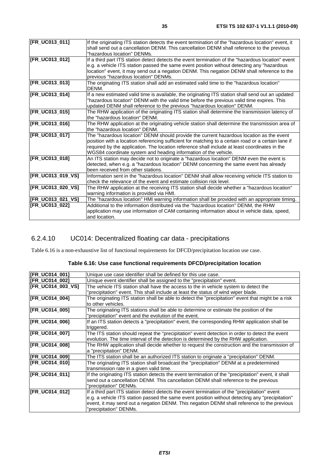| [FR_UC013_011]    | If the originating ITS station detects the event termination of the "hazardous location" event, it<br>shall send out a cancellation DENM. This cancellation DENM shall reference to the previous<br>"hazardous location" DENMs.                                                                                                                                     |
|-------------------|---------------------------------------------------------------------------------------------------------------------------------------------------------------------------------------------------------------------------------------------------------------------------------------------------------------------------------------------------------------------|
| [FR_UC013_012]    | If a third part ITS station detect detects the event termination of the "hazardous location" event<br>e.g. a vehicle ITS station passed the same event position without detecting any "hazardous<br>location" event, it may send out a negation DENM. This negation DENM shall reference to the<br>previous "hazardous location" DENMs.                             |
| [FR_UC013_013]    | The originating ITS station shall add an estimated valid time to the "hazardous location"<br>DENM.                                                                                                                                                                                                                                                                  |
| [FR_UC013_014]    | If a new estimated valid time is available, the originating ITS station shall send out an updated<br>"hazardous location" DENM with the valid time before the previous valid time expires. This<br>updated DENM shall reference to the previous "hazardous location" DENM.                                                                                          |
| [FR_UC013_015]    | The RHW application of the originating ITS station shall determine the transmission latency of<br>the "hazardous location" DENM.                                                                                                                                                                                                                                    |
| [FR_UC013_016]    | The RHW application at the originating vehicle station shall determine the transmission area of<br>lthe "hazardous location" DENM.                                                                                                                                                                                                                                  |
| [FR_UC013_017]    | The "hazardous location" DENM should provide the current hazardous location as the event<br>position with a location referencing sufficient for matching to a certain road or a certain lane if<br>required by the application. The location reference shall include at least coordinates in the<br>WGS84 coordinate system and heading information of the vehicle. |
| [FR_UC013_018]    | An ITS station may decide not to originate a "hazardous location" DENM even the event is<br>detected, when e.g. a "hazardous location" DENM concerning the same event has already<br>been received from other stations.                                                                                                                                             |
| [FR_UC013_019_VS] | Information sent in the "hazardous location" DENM shall allow receiving vehicle ITS station to<br>check the relevance of the event and estimate collision risk level.                                                                                                                                                                                               |
| [FR_UC013_020_VS] | The RHW application at the receiving ITS station shall decide whether a "hazardous location"<br>warning information is provided via HMI.                                                                                                                                                                                                                            |
| [FR_UC013_021_VS] | The "hazardous location" HMI warning information shall be provided with an appropriate timing.                                                                                                                                                                                                                                                                      |
| [FR_UC013_022]    | Additional to the information distributed via the "hazardous location" DENM, the RHW<br>application may use information of CAM containing information about in vehicle data, speed,<br>and location.                                                                                                                                                                |
|                   |                                                                                                                                                                                                                                                                                                                                                                     |

#### 6.2.4.10 UC014: Decentralized floating car data - precipitations

Table 6.16 is a non-exhaustive list of functional requirements for DFCD/precipitation location use case.

#### **Table 6.16: Use case functional requirements DFCD/precipitation location**

| [FR_UC014_001]           | Unique use case identifier shall be defined for this use case.                                      |
|--------------------------|-----------------------------------------------------------------------------------------------------|
| [FR_UC014_002]           | Unique event identifier shall be assigned to the "precipitation" event.                             |
| <b>IFR UC014 003 VS1</b> | The vehicle ITS station shall have the access to the in vehicle system to detect the                |
|                          | 'precipitation" event. This shall include at least the status of wind wiper blade.                  |
| [FR_UC014_004]           | The originating ITS station shall be able to detect the "precipitation" event that might be a risk  |
|                          | to other vehicles.                                                                                  |
| [FR_UC014_005]           | The originating ITS stations shall be able to determine or estimate the position of the             |
|                          | 'precipitation" event and the evolution of the event.                                               |
| [FR_UC014_006]           | If an ITS station detects a "precipitation" event, the corresponding RHW application shall be       |
|                          | triggered.                                                                                          |
| [FR_UC014_007]           | The ITS station should repeat the "precipitation" event detection in order to detect the event      |
|                          | evolution. The time interval of the detection is determined by the RHW application.                 |
| [FR_UC014_008]           | The RHW application shall decide whether to request the construction and the transmission of        |
|                          | a "precipitation" DENM.                                                                             |
| [FR_UC014_009]           | The ITS station shall be an authorized ITS station to originate a "precipitation" DENM.             |
| [FR_UC014_010]           | The originating ITS station shall broadcast the "precipitation" DENM at a predetermined             |
|                          | transmission rate in a given valid time.                                                            |
| [FR_UC014_011]           | If the originating ITS station detects the event termination of the "precipitation" event, it shall |
|                          | send out a cancellation DENM. This cancellation DENM shall reference to the previous                |
|                          | 'precipitation" DENMs.                                                                              |
| [FR_UC014_012]           | If a third part ITS station detect detects the event termination of the "precipitation" event       |
|                          | e.g. a vehicle ITS station passed the same event position without detecting any "precipitation"     |
|                          | event, it may send out a negation DENM. This negation DENM shall reference to the previous          |
|                          | "precipitation" DENMs.                                                                              |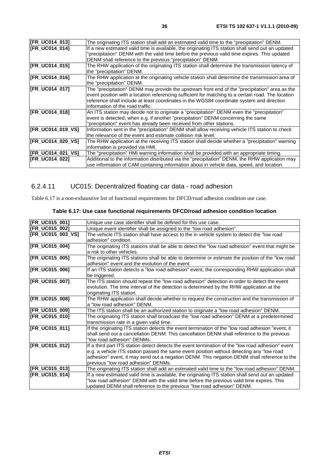| [FR_UC014_013]        | The originating ITS station shall add an estimated valid time to the "precipitation" DENM.                                                                                                                                                                                                                                             |
|-----------------------|----------------------------------------------------------------------------------------------------------------------------------------------------------------------------------------------------------------------------------------------------------------------------------------------------------------------------------------|
| <b>IFR UC014 0141</b> | If a new estimated valid time is available, the originating ITS station shall send out an updated<br>'precipitation" DENM with the valid time before the previous valid time expires. This updated<br>DENM shall reference to the previous "precipitation" DENM.                                                                       |
| [FR_UC014_015]        | The RHW application of the originating ITS station shall determine the transmission latency of<br>the "precipitation" DENM.                                                                                                                                                                                                            |
| [FR_UC014_016]        | The RHW application at the originating vehicle station shall determine the transmission area of<br>the "precipitation" DENM.                                                                                                                                                                                                           |
| [FR_UC014_017]        | The "precipitation" DENM may provide the upstream front end of the "precipitation" area as the<br>event position with a location referencing sufficient for matching to a certain road. The location<br>reference shall include at least coordinates in the WGS84 coordinate system and direction<br>linformation of the road traffic. |
| [FR_UC014_018]        | An ITS station may decide not to originate a "precipitation" DENM even the "precipitation"<br>event is detected, when e.g. if another "precipitation" DENM concerning the same<br>"precipitation" event has already been received from other stations.                                                                                 |
| [FR_UC014_019_VS]     | Information sent in the "precipitation" DENM shall allow receiving vehicle ITS station to check<br>the relevance of the event and estimate collision risk level.                                                                                                                                                                       |
| [FR_UC014_020_VS]     | The RHW application at the receiving ITS station shall decide whether a "precipitation" warning<br>information is provided via HMI.                                                                                                                                                                                                    |
| [FR_UC014_021_VS]     | The "precipitation" HMI warning information shall be provided with an appropriate timing.                                                                                                                                                                                                                                              |
| <b>IFR UC014 0221</b> | Additional to the information distributed via the "precipitation" DENM, the RHW application may<br>use information of CAM containing information about in vehicle data, speed, and location.                                                                                                                                           |

#### 6.2.4.11 UC015: Decentralized floating car data - road adhesion

Table 6.17 is a non-exhaustive list of functional requirements for DFCD/road adhesion condition use case.

| [FR_UC015_001]    | Unique use case identifier shall be defined for this use case.                                    |
|-------------------|---------------------------------------------------------------------------------------------------|
| [FR_UC015_002]    | Unique event identifier shall be assigned to the "low road adhesion".                             |
| [FR_UC015_003_VS] | The vehicle ITS station shall have access to the in vehicle system to detect the "low road        |
|                   | adhesion" condition.                                                                              |
| [FR_UC015_004]    | The originating ITS stations shall be able to detect the "low road adhesion" event that might be  |
|                   | a risk to other vehicles.                                                                         |
| [FR_UC015_005]    | The originating ITS stations shall be able to determine or estimate the position of the "low road |
|                   | adhesion" event and the evolution of the event.                                                   |
| [FR_UC015_006]    | If an ITS station detects a "low road adhesion" event, the corresponding RHW application shall    |
|                   | be triggered.                                                                                     |
| [FR_UC015_007]    | The ITS station should repeat the "low road adhesion" detection in order to detect the event      |
|                   | evolution. The time interval of the detection is determined by the RHW application at the         |
|                   | originating ITS station.                                                                          |
| [FR_UC015_008]    | The RHW application shall decide whether to request the construction and the transmission of      |
|                   | a "low road adhesion" DENM.                                                                       |
| [FR_UC015_009]    | The ITS station shall be an authorized station to originate a "low road adhesion" DENM.           |
| [FR_UC015_010]    | The originating ITS station shall broadcast the "low road adhesion" DENM at a predetermined       |
|                   | transmission rate in a given valid time.                                                          |
| [FR_UC015_011]    | If the originating ITS station detects the event termination of the "low road adhesion "event, it |
|                   | shall send out a cancellation DENM. This cancellation DENM shall reference to the previous        |
|                   | "low road adhesion" DENMs.                                                                        |
| [FR_UC015_012]    | If a third part ITS station detect detects the event termination of the "low road adhesion" event |
|                   | e.g. a vehicle ITS station passed the same event position without detecting any "low road         |
|                   | adhesion" event, it may send out a negation DENM. This negation DENM shall reference to the       |
|                   | previous "low road adhesion" DENMs.                                                               |
| [FR_UC015_013]    | The originating ITS station shall add an estimated valid time to the "low road adhesion" DENM.    |
| [FR_UC015_014]    | If a new estimated valid time is available, the originating ITS station shall send out an updated |
|                   | "low road adhesion" DENM with the valid time before the previous valid time expires. This         |
|                   | updated DENM shall reference to the previous "low road adhesion" DENM.                            |

#### **Table 6.17: Use case functional requirements DFCD/road adhesion condition location**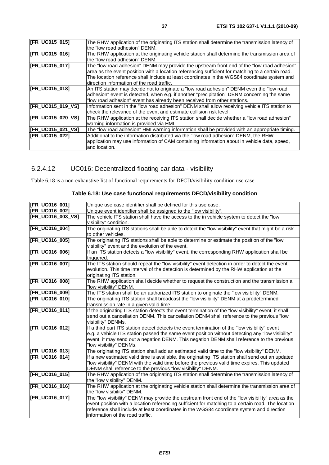| [FR_UC015_015]        | The RHW application of the originating ITS station shall determine the transmission latency of    |
|-----------------------|---------------------------------------------------------------------------------------------------|
|                       | the "low road adhesion" DENM.                                                                     |
| [FR_UC015_016]        | The RHW application at the originating vehicle station shall determine the transmission area of   |
|                       | the "low road adhesion" DENM.                                                                     |
| <b>IFR UC015 0171</b> | The "low road adhesion" DENM may provide the upstream front end of the "low road adhesion"        |
|                       | area as the event position with a location referencing sufficient for matching to a certain road. |
|                       | The location reference shall include at least coordinates in the WGS84 coordinate system and      |
|                       | direction information of the road traffic.                                                        |
| [FR_UC015_018]        | An ITS station may decide not to originate a "low road adhesion" DENM even the "low road          |
|                       | adhesion" event is detected, when e.g. if another "precipitation" DENM concerning the same        |
|                       | "low road adhesion" event has already been received from other stations.                          |
| [FR_UC015_019_VS]     | Information sent in the "low road adhesion" DENM shall allow receiving vehicle ITS station to     |
|                       | check the relevance of the event and estimate collision risk level.                               |
| [FR_UC015_020_VS]     | The RHW application at the receiving ITS station shall decide whether a "low road adhesion"       |
|                       | warning information is provided via HMI.                                                          |
| [FR_UC015_021_VS]     | The "low road adhesion" HMI warning information shall be provided with an appropriate timing.     |
| [FR_UC015_022]        | Additional to the information distributed via the "low road adhesion" DENM, the RHW               |
|                       | application may use information of CAM containing information about in vehicle data, speed,       |
|                       | and location.                                                                                     |
|                       |                                                                                                   |

## 6.2.4.12 UC016: Decentralized floating car data - visibility

Table 6.18 is a non-exhaustive list of functional requirements for DFCD/visibility condition use case.

| [FR_UC016_001]        | Unique use case identifier shall be defined for this use case.                                                                |
|-----------------------|-------------------------------------------------------------------------------------------------------------------------------|
| [FR_UC016_002]        | Unique event identifier shall be assigned to the "low visibility".                                                            |
| [FR_UC016_003_VS]     | The vehicle ITS station shall have the access to the in vehicle system to detect the "low                                     |
|                       | visibility" condition.                                                                                                        |
| <b>[FR_UC016_004]</b> | The originating ITS stations shall be able to detect the "low visibility" event that might be a risk                          |
|                       | to other vehicles.                                                                                                            |
| [FR_UC016_005]        | The originating ITS stations shall be able to determine or estimate the position of the "low                                  |
|                       | visibility" event and the evolution of the event.                                                                             |
| [FR_UC016_006]        | If an ITS station detects a "low visibility" event, the corresponding RHW application shall be                                |
|                       | triggered.                                                                                                                    |
| [FR_UC016_007]        | The ITS station should repeat the "low visibility" event detection in order to detect the event                               |
|                       | evolution. This time interval of the detection is determined by the RHW application at the                                    |
| [FR_UC016_008]        | originating ITS station.<br>The RHW application shall decide whether to request the construction and the transmission a       |
|                       | "low visibility" DENM.                                                                                                        |
| [FR_UC016_009]        | The ITS station shall be an authorized ITS station to originate the "low visibility" DENM.                                    |
| [FR_UC016_010]        | The originating ITS station shall broadcast the "low visibility" DENM at a predetermined                                      |
|                       | transmission rate in a given valid time.                                                                                      |
| [FR_UC016_011]        | If the originating ITS station detects the event termination of the "low visibility" event, it shall                          |
|                       | send out a cancellation DENM. This cancellation DENM shall reference to the previous "low                                     |
|                       | visibility" DENMs.                                                                                                            |
| [FR_UC016_012]        | If a third part ITS station detect detects the event termination of the "low visibility" event                                |
|                       | e.g. a vehicle ITS station passed the same event position without detecting any "low visibility"                              |
|                       | event, it may send out a negation DENM. This negation DENM shall reference to the previous                                    |
|                       | "low visibility" DENMs.                                                                                                       |
| [FR_UC016_013]        | The originating ITS station shall add an estimated valid time to the "low visibility" DENM.                                   |
| [FR_UC016_014]        | If a new estimated valid time is available, the originating ITS station shall send out an updated                             |
|                       | "low visibility" DENM with the valid time before the previous valid time expires. This updated                                |
|                       | DENM shall reference to the previous "low visibility" DENM.                                                                   |
| [FR_UC016_015]        | The RHW application of the originating ITS station shall determine the transmission latency of                                |
| [FR_UC016_016]        | the "low visibility" DENM.<br>The RHW application at the originating vehicle station shall determine the transmission area of |
|                       | the "low visibility" DENM.                                                                                                    |
| [FR_UC016_017]        | The "low visibility" DENM may provide the upstream front end of the "low visibility" area as the                              |
|                       | event position with a location referencing sufficient for matching to a certain road. The location                            |
|                       | reference shall include at least coordinates in the WGS84 coordinate system and direction                                     |
|                       | information of the road traffic.                                                                                              |
|                       |                                                                                                                               |

#### **Table 6.18: Use case functional requirements DFCD/visibility condition**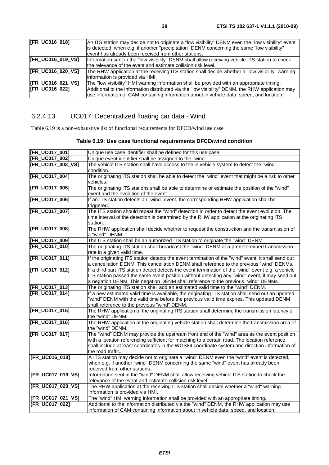| <b>FR_UC016_018]</b>     | An ITS station may decide not to originate a "low visibility" DENM even the "low visibility" event<br>is detected, when e.g. if another "precipitation" DENM concerning the same "low visibility"<br>event has already been received from other stations. |
|--------------------------|-----------------------------------------------------------------------------------------------------------------------------------------------------------------------------------------------------------------------------------------------------------|
|                          |                                                                                                                                                                                                                                                           |
| [FR_UC016_019_VS]        | Information sent in the "low visibility" DENM shall allow receiving vehicle ITS station to check                                                                                                                                                          |
|                          | the relevance of the event and estimate collision risk level.                                                                                                                                                                                             |
| [FR_UC016_020_VS]        | The RHW application at the receiving ITS station shall decide whether a "low visibility" warning                                                                                                                                                          |
|                          | information is provided via HMI.                                                                                                                                                                                                                          |
| <b>IFR UC016 021 VSI</b> | The "low visibility" HMI warning information shall be provided with an appropriate timing.                                                                                                                                                                |
| <b>IFR_UC016_0221</b>    | Additional to the information distributed via the "low visibility" DENM, the RHW application may                                                                                                                                                          |
|                          | use information of CAM containing information about in vehicle data, speed, and location.                                                                                                                                                                 |

## 6.2.4.13 UC017: Decentralized floating car data - Wind

Table 6.19 is a non-exhaustive list of functional requirements for DFCD/wind use case.

| Table 6.19: Use case functional requirements DFCD/wind condition |
|------------------------------------------------------------------|
|------------------------------------------------------------------|

| [FR_UC017_001]       | Unique use case identifier shall be defined for this use case.                                      |
|----------------------|-----------------------------------------------------------------------------------------------------|
| <b>FR UC017 0021</b> | Unique event identifier shall be assigned to the "wind".                                            |
| [FR_UC017_003_VS]    | The vehicle ITS station shall have access to the in vehicle system to detect the "wind"             |
|                      | condition.                                                                                          |
| [FR_UC017_004]       | The originating ITS station shall be able to detect the "wind" event that might be a risk to other  |
|                      | vehicles.                                                                                           |
| [FR_UC017_005]       | The originating ITS stations shall be able to determine or estimate the position of the "wind"      |
|                      | event and the evolution of the event.                                                               |
| [FR_UC017_006]       | If an ITS station detects an "wind" event, the corresponding RHW application shall be               |
|                      | triggered.                                                                                          |
| [FR_UC017_007]       | The ITS station should repeat the "wind" detection in order to detect the event evolution. The      |
|                      | time interval of the detection is determined by the RHW application at the originating ITS          |
|                      | station.                                                                                            |
| [FR_UC017_008]       | The RHW application shall decide whether to request the construction and the transmission of        |
|                      | a "wind" DENM.                                                                                      |
| [FR_UC017_009]       | The ITS station shall be an authorized ITS station to originate the "wind" DENM.                    |
| <b>FR UC017 0101</b> | The originating ITS station shall broadcast the "wind" DENM at a predetermined transmission         |
|                      | rate in a given valid time.                                                                         |
| [FR_UC017_011]       | If the originating ITS station detects the event termination of the "wind" event, it shall send out |
|                      | a cancellation DENM. This cancellation DENM shall reference to the previous "wind" DENMs.           |
| [FR_UC017_012]       | If a third part ITS station detect detects the event termination of the "wind" event e.g. a vehicle |
|                      | ITS station passed the same event position without detecting any "wind" event, it may send out      |
|                      | a negation DENM. This negation DENM shall reference to the previous "wind" DENMs.                   |
| [FR_UC017_013]       | The originating ITS station shall add an estimated valid time to the "wind" DENM.                   |
| [FR_UC017_014]       | If a new estimated valid time is available, the originating ITS station shall send out an updated   |
|                      | "wind" DENM with the valid time before the previous valid time expires. This updated DENM           |
|                      | shall reference to the previous "wind" DENM.                                                        |
| [FR_UC017_015]       | The RHW application of the originating ITS station shall determine the transmission latency of      |
|                      | the "wind" DENM.                                                                                    |
| [FR_UC017_016]       | The RHW application at the originating vehicle station shall determine the transmission area of     |
|                      | the "wind" DENM.                                                                                    |
| [FR_UC017_017]       | The "wind" DENM may provide the upstream front end of the "wind" area as the event position         |
|                      | with a location referencing sufficient for matching to a certain road. The location reference       |
|                      | shall include at least coordinates in the WGS84 coordinate system and direction information of      |
|                      | the road traffic.                                                                                   |
| [FR_UC016_018]       | A ITS station may decide not to originate a "wind" DENM even the "wind" event is detected,          |
|                      | when e.g. if another "wind" DENM concerning the same "wind" event has already been                  |
|                      | received from other stations.                                                                       |
| [FR_UC017_019_VS]    | Information sent in the "wind" DENM shall allow receiving vehicle ITS station to check the          |
|                      | relevance of the event and estimate collision risk level.                                           |
| [FR_UC017_020_VS]    | The RHW application at the receiving ITS station shall decide whether a "wind" warning              |
|                      | information is provided via HMI.                                                                    |
| [FR UC017 021 VS]    | The "wind" HMI warning information shall be provided with an appropriate timing.                    |
| [FR_UC017_022]       | Additional to the information distributed via the "wind" DENM, the RHW application may use          |
|                      | information of CAM containing information about in vehicle data, speed, and location.               |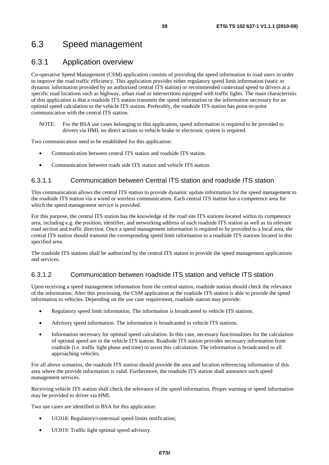## 6.3 Speed management

### 6.3.1 Application overview

Co-operative Speed Management (CSM) application consists of providing the speed information to road users in order to improve the road traffic efficiency. This application provides either regulatory speed limit information (static or dynamic information provided by an authorized central ITS station) or recommended contextual speed to drivers at a specific road locations such as highway, urban road or intersections equipped with traffic lights. The main characteristic of this application is that a roadside ITS station transmits the speed information or the information necessary for an optimal speed calculation to the vehicle ITS station. Preferably, the roadside ITS station has point-to-point communication with the central ITS station.

NOTE: For the BSA use cases belonging to this application, speed information is required to be provided to drivers via HMI, no direct actions to vehicle brake or electronic system is required.

Two communication need to be established for this application:

- Communication between central ITS station and roadside ITS station.
- Communication between roads side ITS station and vehicle ITS station.

#### 6.3.1.1 Communication between Central ITS station and roadside ITS station

This communication allows the central ITS station to provide dynamic update information for the speed management to the roadside ITS station via a wired or wireless communication. Each central ITS station has a competence area for which the speed management service is provided.

For this purpose, the central ITS station has the knowledge of the road site ITS stations located within its competence area, including e.g. the position, identifier, and networking address of each roadside ITS station as well as its relevant road section and traffic direction. Once a speed management information is required to be provided to a local area, the central ITS station should transmit the corresponding speed limit information to a roadside ITS stations located in this specified area.

The roadside ITS stations shall be authorized by the central ITS station to provide the speed management applications and services.

#### 6.3.1.2 Communication between roadside ITS station and vehicle ITS station

Upon receiving a speed management information from the central station, roadside station should check the relevance of the information. After this processing, the CSM application at the roadside ITS station is able to provide the speed information to vehicles. Depending on the use case requirement, roadside station may provide:

- Regulatory speed limit information. The information is broadcasted to vehicle ITS stations.
- Advisory speed information. The information is broadcasted to vehicle ITS stations.
- Information necessary for optimal speed calculation. In this case, necessary functionalities for the calculation of optimal speed are in the vehicle ITS station. Roadside ITS station provides necessary information from roadside (i.e. traffic light phase and time) to assist this calculation. The information is broadcasted to all approaching vehicles.

For all above scenarios, the roadside ITS station should provide the area and location referencing information of this area where the provide information is valid. Furthermore, the roadside ITS station shall announce such speed management services.

Receiving vehicle ITS station shall check the relevance of the speed information. Proper warning or speed information may be provided to driver via HMI.

Two use cases are identified in BSA for this application:

- UC018: Regulatory/contextual speed limits notification;
- UC019: Traffic light optimal speed advisory.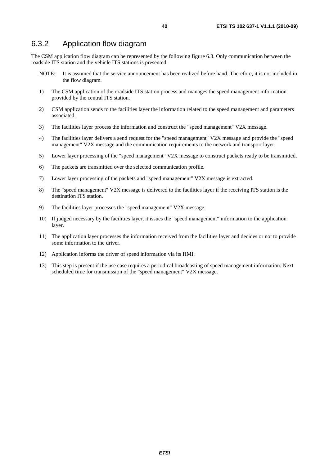#### 6.3.2 Application flow diagram

The CSM application flow diagram can be represented by the following figure 6.3. Only communication between the roadside ITS station and the vehicle ITS stations is presented.

- NOTE: It is assumed that the service announcement has been realized before hand. Therefore, it is not included in the flow diagram.
- 1) The CSM application of the roadside ITS station process and manages the speed management information provided by the central ITS station.
- 2) CSM application sends to the facilities layer the information related to the speed management and parameters associated.
- 3) The facilities layer process the information and construct the "speed management" V2X message.
- 4) The facilities layer delivers a send request for the "speed management" V2X message and provide the "speed management" V2X message and the communication requirements to the network and transport layer.
- 5) Lower layer processing of the "speed management" V2X message to construct packets ready to be transmitted.
- 6) The packets are transmitted over the selected communication profile.
- 7) Lower layer processing of the packets and "speed management" V2X message is extracted.
- 8) The "speed management" V2X message is delivered to the facilities layer if the receiving ITS station is the destination ITS station.
- 9) The facilities layer processes the "speed management" V2X message.
- 10) If judged necessary by the facilities layer, it issues the "speed management" information to the application layer.
- 11) The application layer processes the information received from the facilities layer and decides or not to provide some information to the driver.
- 12) Application informs the driver of speed information via its HMI.
- 13) This step is present if the use case requires a periodical broadcasting of speed management information. Next scheduled time for transmission of the "speed management" V2X message.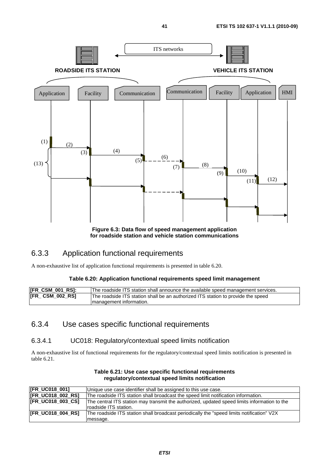

**for roadside station and vehicle station communications** 

## 6.3.3 Application functional requirements

A non-exhaustive list of application functional requirements is presented in table 6.20.

#### **Table 6.20: Application functional requirements speed limit management**

| [FR_CSM_001_RS]: | The roadside ITS station shall announce the available speed management services. |
|------------------|----------------------------------------------------------------------------------|
| [FR_ CSM_002_RS] | The roadside ITS station shall be an authorized ITS station to provide the speed |
|                  | Imanagement information.                                                         |

### 6.3.4 Use cases specific functional requirements

#### 6.3.4.1 UC018: Regulatory/contextual speed limits notification

A non-exhaustive list of functional requirements for the regulatory/contextual speed limits notification is presented in table 6.21.

| [FR_UC018_001]           | Unique use case identifier shall be assigned to this use case.                               |
|--------------------------|----------------------------------------------------------------------------------------------|
| [FR_UC018_002_RS]        | The roadside ITS station shall broadcast the speed limit notification information.           |
| <b>IFR UC018 003 CS1</b> | The central ITS station may transmit the authorized, updated speed limits information to the |
|                          | roadside ITS station.                                                                        |
| <b>IFR UC018 004 RS1</b> | The roadside ITS station shall broadcast periodically the "speed limits notification" V2X    |
|                          | message.                                                                                     |

#### **Table 6.21: Use case specific functional requirements regulatory/contextual speed limits notification**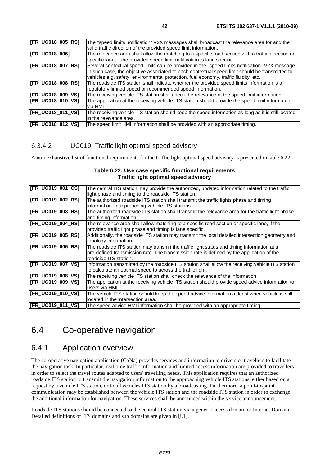| [FR_UC018_005_RS] | The "speed limits notification" V2X messages shall broadcast the relevance area for and the                 |
|-------------------|-------------------------------------------------------------------------------------------------------------|
|                   | valid traffic direction of the provided speed limit information.                                            |
| [FR_UC018_006]    | The relevance area shall allow the matching to a specific road section with a traffic direction or          |
|                   | specific lane, if the provided speed limit notification is lane specific.                                   |
| [FR_UC018_007_RS] | Several contextual speed limits can be provided in the "speed limits notification" V2X message.             |
|                   | In such case, the objective associated to each contextual speed limit should be transmitted to              |
|                   | vehicles e.g. safety, environmental protection, fuel economy, traffic fluidity, etc.                        |
| [FR_UC018_008_RS] | The roadside ITS station shall indicate whether the provided speed limits information is a                  |
|                   | regulatory limited speed or recommended speed information.                                                  |
| [FR_UC018_009_VS] | The receiving vehicle ITS station shall check the relevance of the speed limit information.                 |
| [FR_UC018_010_VS] | The application at the receiving vehicle ITS station should provide the speed limit information<br>via HMI. |
| [FR_UC018_011_VS] | The receiving vehicle ITS station should keep the speed information as long as it is still located          |
|                   | lin the relevance area.                                                                                     |
| [FR_UC018_012_VS] | The speed limit HMI information shall be provided with an appropriate timing.                               |

#### 6.3.4.2 UC019: Traffic light optimal speed advisory

A non-exhaustive list of functional requirements for the traffic light optimal speed advisory is presented in table 6.22.

#### **Table 6.22: Use case specific functional requirements Traffic light optimal speed advisory**

| [FR_UC019_001_CS] | The central ITS station may provide the authorized, updated information related to the traffic<br>light phase and timing to the roadside ITS station. |
|-------------------|-------------------------------------------------------------------------------------------------------------------------------------------------------|
|                   |                                                                                                                                                       |
| [FR_UC019_002_RS] | The authorized roadside ITS station shall transmit the traffic lights phase and timing                                                                |
|                   | information to approaching vehicle ITS stations.                                                                                                      |
| [FR_UC019_003_RS] | The authorized roadside ITS station shall transmit the relevance area for the traffic light phase                                                     |
|                   | and timing information.                                                                                                                               |
| [FR_UC019_004_RS] | The relevance area shall allow matching to a specific road section or specific lane, if the                                                           |
|                   | provided traffic light phase and timing is lane specific.                                                                                             |
| [FR_UC019_005_RS] | Additionally, the roadside ITS station may transmit the local detailed intersection geometry and                                                      |
|                   | topology information.                                                                                                                                 |
| [FR_UC019_006_RS] | The roadside ITS station may transmit the traffic light status and timing information at a                                                            |
|                   | pre-defined transmission rate. The transmission rate is defined by the application of the                                                             |
|                   | roadside ITS station.                                                                                                                                 |
| [FR_UC019_007_VS] | Information transmitted by the roadside ITS station shall allow the receiving vehicle ITS station                                                     |
|                   |                                                                                                                                                       |
|                   | to calculate an optimal speed to across the traffic light.                                                                                            |
| [FR_UC019_008_VS] | The receiving vehicle ITS station shall check the relevance of the information.                                                                       |
| [FR_UC019_009_VS] | The application at the receiving vehicle ITS station should provide speed advice information to                                                       |
|                   | users via HMI.                                                                                                                                        |
| [FR_UC019_010_VS] | The vehicle ITS station should keep the speed advice information at least when vehicle is still                                                       |
|                   | located in the intersection area.                                                                                                                     |
| [FR_UC019_011_VS] | The speed advice HMI information shall be provided with an appropriate timing.                                                                        |
|                   |                                                                                                                                                       |

## 6.4 Co-operative navigation

### 6.4.1 Application overview

The co-operative navigation application (CoNa) provides services and information to drivers or travellers to facilitate the navigation task. In particular, real time traffic information and limited access information are provided to travellers in order to select the travel routes adapted to users' travelling needs. This application requires that an authorized roadside ITS station to transmit the navigation information to the approaching vehicle ITS stations, either based on a request by a vehicle ITS station, or to all vehicles ITS station by a broadcasting. Furthermore, a point-to-point communication may be established between the vehicle ITS station and the roadside ITS station in order to exchange the additional information for navigation. These services shall be announced within the service announcement.

Roadside ITS stations should be connected to the central ITS station via a generic access domain or Internet Domain. Detailed definitions of ITS domains and sub domains are given in [i.1].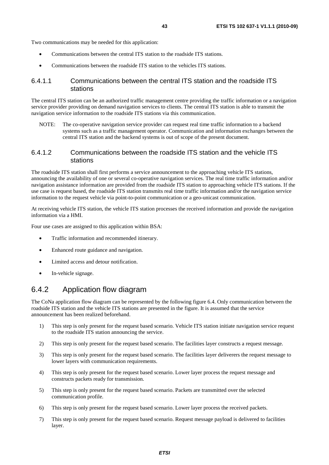Two communications may be needed for this application:

- Communications between the central ITS station to the roadside ITS stations.
- Communications between the roadside ITS station to the vehicles ITS stations.

#### 6.4.1.1 Communications between the central ITS station and the roadside ITS stations

The central ITS station can be an authorized traffic management centre providing the traffic information or a navigation service provider providing on demand navigation services to clients. The central ITS station is able to transmit the navigation service information to the roadside ITS stations via this communication.

NOTE: The co-operative navigation service provider can request real time traffic information to a backend systems such as a traffic management operator. Communication and information exchanges between the central ITS station and the backend systems is out of scope of the present document.

#### 6.4.1.2 Communications between the roadside ITS station and the vehicle ITS stations

The roadside ITS station shall first performs a service announcement to the approaching vehicle ITS stations, announcing the availability of one or several co-operative navigation services. The real time traffic information and/or navigation assistance information are provided from the roadside ITS station to approaching vehicle ITS stations. If the use case is request based, the roadside ITS station transmits real time traffic information and/or the navigation service information to the request vehicle via point-to-point communication or a geo-unicast communication.

At receiving vehicle ITS station, the vehicle ITS station processes the received information and provide the navigation information via a HMI.

Four use cases are assigned to this application within BSA:

- Traffic information and recommended itinerary.
- Enhanced route guidance and navigation.
- Limited access and detour notification.
- In-vehicle signage.

#### 6.4.2 Application flow diagram

The CoNa application flow diagram can be represented by the following figure 6.4. Only communication between the roadside ITS station and the vehicle ITS stations are presented in the figure. It is assumed that the service announcement has been realized beforehand.

- 1) This step is only present for the request based scenario. Vehicle ITS station initiate navigation service request to the roadside ITS station announcing the service.
- 2) This step is only present for the request based scenario. The facilities layer constructs a request message.
- 3) This step is only present for the request based scenario. The facilities layer deliverers the request message to lower layers with communication requirements.
- 4) This step is only present for the request based scenario. Lower layer process the request message and constructs packets ready for transmission.
- 5) This step is only present for the request based scenario. Packets are transmitted over the selected communication profile.
- 6) This step is only present for the request based scenario. Lower layer process the received packets.
- 7) This step is only present for the request based scenario. Request message payload is delivered to facilities layer.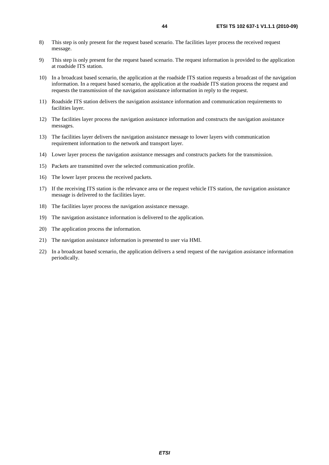- 8) This step is only present for the request based scenario. The facilities layer process the received request message.
- 9) This step is only present for the request based scenario. The request information is provided to the application at roadside ITS station.
- 10) In a broadcast based scenario, the application at the roadside ITS station requests a broadcast of the navigation information. In a request based scenario, the application at the roadside ITS station process the request and requests the transmission of the navigation assistance information in reply to the request.
- 11) Roadside ITS station delivers the navigation assistance information and communication requirements to facilities layer.
- 12) The facilities layer process the navigation assistance information and constructs the navigation assistance messages.
- 13) The facilities layer delivers the navigation assistance message to lower layers with communication requirement information to the network and transport layer.
- 14) Lower layer process the navigation assistance messages and constructs packets for the transmission.
- 15) Packets are transmitted over the selected communication profile.
- 16) The lower layer process the received packets.
- 17) If the receiving ITS station is the relevance area or the request vehicle ITS station, the navigation assistance message is delivered to the facilities layer.
- 18) The facilities layer process the navigation assistance message.
- 19) The navigation assistance information is delivered to the application.
- 20) The application process the information.
- 21) The navigation assistance information is presented to user via HMI.
- 22) In a broadcast based scenario, the application delivers a send request of the navigation assistance information periodically.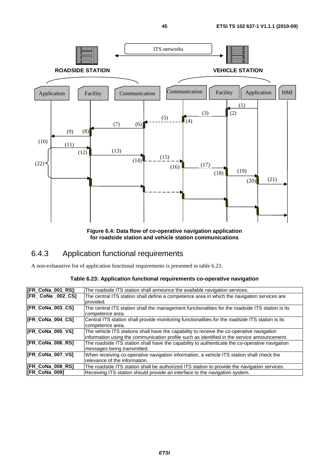

**Figure 6.4: Data flow of co-operative navigation application for roadside station and vehicle station communications** 

## 6.4.3 Application functional requirements

A non-exhaustive list of application functional requirements is presented in table 6.23.

|  | Table 6.23: Application functional requirements co-operative navigation |  |
|--|-------------------------------------------------------------------------|--|
|--|-------------------------------------------------------------------------|--|

| [FR_CoNa_001_RS]:       | The roadside ITS station shall announce the available navigation services.                       |
|-------------------------|--------------------------------------------------------------------------------------------------|
| [FR_ CoNa _002_CS]      | The central ITS station shall define a competence area in which the navigation services are      |
|                         | Iprovided.                                                                                       |
| [FR_CoNa_003_CS]        | The central ITS station shall the management functionalities for the roadside ITS station is its |
|                         | competence area.                                                                                 |
| [FR_CoNa_004_CS]        | Central ITS station shall provide monitoring functionalities for the roadside ITS station is its |
|                         | competence area.                                                                                 |
| [FR_CoNa_005_VS]        | The vehicle ITS stations shall have the capability to receive the co-operative navigation        |
|                         | information using the communication profile such as identified in the service announcement.      |
| <b>IFR CoNa 006 RS1</b> | The roadside ITS station shall have the capability to authenticate the co-operative navigation   |
|                         | messages being transmitted.                                                                      |
| [FR_CoNa_007_VS]        | When receiving co-operative navigation information, a vehicle ITS station shall check the        |
|                         | relevance of the information.                                                                    |
| [FR_CoNa_008_RS]        | The roadside ITS station shall be authorized ITS station to provide the navigation services.     |
| <b>IFR CoNa 0091</b>    | Receiving ITS station should provide an interface to the navigation system.                      |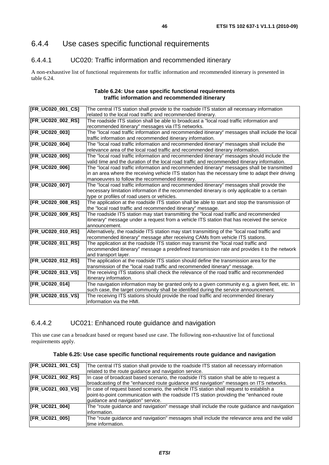## 6.4.4 Use cases specific functional requirements

#### 6.4.4.1 UC020: Traffic information and recommended itinerary

A non-exhaustive list of functional requirements for traffic information and recommended itinerary is presented in table 6.24.

#### **Table 6.24: Use case specific functional requirements traffic information and recommended itinerary**

| [FR_UC020_001_CS] | The central ITS station shall provide to the roadside ITS station all necessary information      |
|-------------------|--------------------------------------------------------------------------------------------------|
|                   | related to the local road traffic and recommended itinerary.                                     |
| [FR_UC020_002_RS] | The roadside ITS station shall be able to broadcast a "local road traffic information and        |
|                   | recommended itinerary" messages via ITS networks.                                                |
| [FR_UC020_003]    | The "local road traffic information and recommended itinerary" messages shall include the local  |
|                   | traffic information and recommended itinerary information.                                       |
| [FR_UC020_004]    | The "local road traffic information and recommended itinerary" messages shall include the        |
|                   | relevance area of the local road traffic and recommended itinerary information.                  |
| [FR_UC020_005]    | The "local road traffic information and recommended itinerary" messages should include the       |
|                   | valid time and the duration of the local road traffic and recommended itinerary information.     |
| [FR_UC020_006]    | The "local road traffic information and recommended itinerary" messages shall be transmitted     |
|                   | in an area where the receiving vehicle ITS station has the necessary time to adapt their driving |
|                   | manoeuvres to follow the recommended itinerary.                                                  |
| [FR_UC020_007]    | The "local road traffic information and recommended itinerary" messages shall provide the        |
|                   | necessary limitation information if the recommended itinerary is only applicable to a certain    |
|                   | type or profiles of road users or vehicles.                                                      |
| [FR_UC020_008_RS] | The application at the roadside ITS station shall be able to start and stop the transmission of  |
|                   | the "local road traffic and recommended itinerary" message.                                      |
| [FR_UC020_009_RS] | The roadside ITS station may start transmitting the "local road traffic and recommended          |
|                   | itinerary" message under a request from a vehicle ITS station that has received the service      |
|                   | announcement.                                                                                    |
| [FR_UC020_010_RS] | Alternatively, the roadside ITS station may start transmitting of the "local road traffic and    |
|                   | recommended itinerary" message after receiving CAMs from vehicle ITS stations.                   |
| [FR_UC020_011_RS] | The application at the roadside ITS station may transmit the "local road traffic and             |
|                   | recommended itinerary" message a predefined transmission rate and provides it to the network     |
|                   | and transport layer.                                                                             |
| [FR_UC020_012_RS] | The application at the roadside ITS station should define the transmission area for the          |
|                   | transmission of the "local road traffic and recommended itinerary" message.                      |
| [FR_UC020_013_VS] | The receiving ITS stations shall check the relevance of the road traffic and recommended         |
|                   | itinerary information.                                                                           |
| [FR_UC020_014]    | The navigation information may be granted only to a given community e.g. a given fleet, etc. In  |
|                   | such case, the target community shall be identified during the service announcement.             |
| [FR_UC020_015_VS] | The receiving ITS stations should provide the road traffic and recommended itinerary             |
|                   | information via the HMI.                                                                         |

#### 6.4.4.2 UC021: Enhanced route guidance and navigation

This use case can a broadcast based or request based use case. The following non-exhaustive list of functional requirements apply.

|  | Table 6.25: Use case specific functional requirements route guidance and navigation |
|--|-------------------------------------------------------------------------------------|
|--|-------------------------------------------------------------------------------------|

| [FR_UC021_001_CS]     | The central ITS station shall provide to the roadside ITS station all necessary information |
|-----------------------|---------------------------------------------------------------------------------------------|
|                       | related to the route guidance and navigation service.                                       |
| [FR_UC021_002_RS]     | In case of broadcast based scenario, the roadside ITS station shall be able to request a    |
|                       | broadcasting of the "enhanced route guidance and navigation" messages on ITS networks.      |
| [FR_UC021_003_VS]     | In case of request based scenario, the vehicle ITS station shall request to establish a     |
|                       | point-to-point communication with the roadside ITS station providing the "enhanced route"   |
|                       | guidance and navigation" service.                                                           |
| <b>IFR_UC021_004]</b> | The "route guidance and navigation" message shall include the route guidance and navigation |
|                       | linformation.                                                                               |
| [FR_UC021_005]        | The "route guidance and navigation" messages shall include the relevance area and the valid |
|                       | Itime information.                                                                          |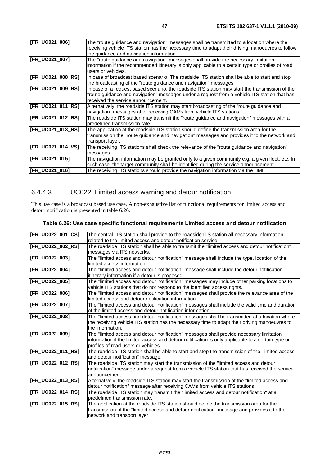| [FR_UC021_006]    | The "route guidance and navigation" messages shall be transmitted to a location where the<br>receiving vehicle ITS station has the necessary time to adapt their driving manoeuvres to follow<br>the guidance and navigation information. |
|-------------------|-------------------------------------------------------------------------------------------------------------------------------------------------------------------------------------------------------------------------------------------|
| [FR_UC021_007]    | The "route guidance and navigation" messages shall provide the necessary limitation<br>information if the recommended itinerary is only applicable to a certain type or profiles of road<br>users or vehicles.                            |
| [FR_UC021_008_RS] | In case of broadcast based scenario. The roadside ITS station shall be able to start and stop<br>the broadcasting of the "route guidance and navigation" messages.                                                                        |
| [FR_UC021_009_RS] | In case of a request based scenario, the roadside ITS station may start the transmission of the<br>"route guidance and navigation" messages under a request from a vehicle ITS station that has<br>received the service announcement.     |
| [FR_UC021_011_RS] | Alternatively, the roadside ITS station may start broadcasting of the "route guidance and<br>navigation" messages after receiving CAMs from vehicle ITS stations.                                                                         |
| [FR_UC021_012_RS] | The roadside ITS station may transmit the "route guidance and navigation" messages with a<br>Ipredefined transmission rate.                                                                                                               |
| [FR_UC021_013_RS] | The application at the roadside ITS station should define the transmission area for the<br>transmission the "route guidance and navigation" messages and provides it to the network and<br>transport layer.                               |
| [FR_UC021_014_VS] | The receiving ITS stations shall check the relevance of the "route guidance and navigation"<br>messages.                                                                                                                                  |
| [FR_UC021_015]    | The navigation information may be granted only to a given community e.g. a given fleet, etc. In<br>such case, the target community shall be identified during the service announcement.                                                   |
| [FR_UC021_016]    | The receiving ITS stations should provide the navigation information via the HMI.                                                                                                                                                         |

## 6.4.4.3 UC022: Limited access warning and detour notification

This use case is a broadcast based use case. A non-exhaustive list of functional requirements for limited access and detour notification is presented in table 6.26.

| Table 6.26: Use case specific functional requirements Limited access and detour notification |  |  |  |  |
|----------------------------------------------------------------------------------------------|--|--|--|--|
|----------------------------------------------------------------------------------------------|--|--|--|--|

| [FR_UC022_001_CS] | The central ITS station shall provide to the roadside ITS station all necessary information       |
|-------------------|---------------------------------------------------------------------------------------------------|
|                   | related to the limited access and detour notification service.                                    |
| [FR_UC022_002_RS] | The roadside ITS station shall be able to transmit the "limited access and detour notification"   |
|                   | messages via ITS networks.                                                                        |
| [FR_UC022_003]    | The "limited access and detour notification" message shall include the type, location of the      |
|                   | limited access information.                                                                       |
| [FR_UC022_004]    | The "limited access and detour notification" message shall include the detour notification        |
|                   | itinerary information if a detour is proposed.                                                    |
| [FR_UC022_005]    | The "limited access and detour notification" messages may include other parking locations to      |
|                   | vehicle ITS stations that do not respond to the identified access rights.                         |
| [FR_UC022_006]    | The "limited access and detour notification" messages shall provide the relevance area of the     |
|                   | limited access and detour notification information.                                               |
| [FR_UC022_007]    | The "limited access and detour notification" messages shall include the valid time and duration   |
|                   | of the limited access and detour notification information.                                        |
| [FR_UC022_008]    | The "limited access and detour notification" messages shall be transmitted at a location where    |
|                   | the receiving vehicle ITS station has the necessary time to adapt their driving manoeuvres to     |
|                   | the information.                                                                                  |
| [FR_UC022_009]    | The "limited access and detour notification" messages shall provide necessary limitation          |
|                   | information if the limited access and detour notification is only applicable to a certain type or |
|                   | profiles of road users or vehicles.                                                               |
| [FR_UC022_011_RS] | The roadside ITS station shall be able to start and stop the transmission of the "limited access  |
|                   | and detour notification" message.                                                                 |
| [FR_UC022_012_RS] | The roadside ITS station may start the transmission of the "limited access and detour             |
|                   | notification" message under a request from a vehicle ITS station that has received the service    |
|                   | announcement.                                                                                     |
| [FR_UC022_013_RS] | Alternatively, the roadside ITS station may start the transmission of the "limited access and     |
|                   | detour notification" message after receiving CAMs from vehicle ITS stations.                      |
| [FR_UC022_014_RS] | The roadside ITS station may transmit the "limited access and detour notification" at a           |
|                   | predefined transmission rate.                                                                     |
| [FR_UC022_015_RS] | The application at the roadside ITS station should define the transmission area for the           |
|                   | transmission of the "limited access and detour notification" message and provides it to the       |
|                   | network and transport layer.                                                                      |
|                   |                                                                                                   |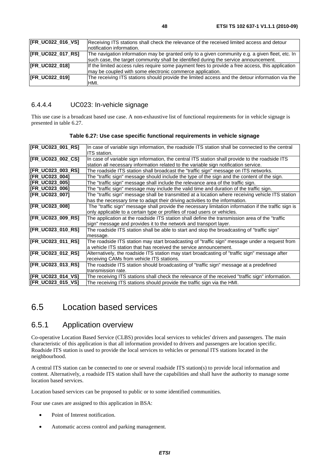| Receiving ITS stations shall check the relevance of the received limited access and detour       |
|--------------------------------------------------------------------------------------------------|
| Inotification information.                                                                       |
| The navigation information may be granted only to a given community e.g. a given fleet, etc. In  |
| such case, the target community shall be identified during the service announcement.             |
| If the limited access rules require some payment fees to provide a free access, this application |
| may be coupled with some electronic commerce application.                                        |
| The receiving ITS stations should provide the limited access and the detour information via the  |
| HMI.                                                                                             |
|                                                                                                  |

#### 6.4.4.4 UC023: In-vehicle signage

This use case is a broadcast based use case. A non-exhaustive list of functional requirements for in vehicle signage is presented in table 6.27.

| [FR_UC023_001_RS]     | In case of variable sign information, the roadside ITS station shall be connected to the central<br>ITS station. |
|-----------------------|------------------------------------------------------------------------------------------------------------------|
| [FR_UC023_002_CS]     | In case of variable sign information, the central ITS station shall provide to the roadside ITS                  |
|                       |                                                                                                                  |
|                       | station all necessary information related to the variable sign notification service.                             |
| [FR_UC023_003_RS]     | The roadside ITS station shall broadcast the "traffic sign" message on ITS networks.                             |
| <b>IFR UC023 0041</b> | The "traffic sign" message should include the type of the sign and the content of the sign.                      |
| <b>IFR UC023 0051</b> | The "traffic sign" message shall include the relevance area of the traffic sign.                                 |
| <b>IFR UC023 0061</b> | The "traffic sign" message may include the valid time and duration of the traffic sign.                          |
| <b>IFR UC023 0071</b> | The "traffic sign" message shall be transmitted at a location where receiving vehicle ITS station                |
|                       | has the necessary time to adapt their driving activities to the information.                                     |
| [FR_UC023_008]        | The "traffic sign" message shall provide the necessary limitation information if the traffic sign is             |
|                       | only applicable to a certain type or profiles of road users or vehicles.                                         |
| [FR_UC023_009_RS]     | The application at the roadside ITS station shall define the transmission area of the "traffic                   |
|                       | sign" message and provides it to the network and transport layer.                                                |
| [FR_UC023_010_RS]     | The roadside ITS station shall be able to start and stop the broadcasting of "traffic sign"                      |
|                       | message.                                                                                                         |
| [FR_UC023_011_RS]     | The roadside ITS station may start broadcasting of "traffic sign" message under a request from                   |
|                       | a vehicle ITS station that has received the service announcement.                                                |
| [FR_UC023_012_RS]     | Alternatively, the roadside ITS station may start broadcasting of "traffic sign" message after                   |
|                       | receiving CAMs from vehicle ITS stations.                                                                        |
| [FR_UC023_013_RS]     | The roadside ITS station should broadcasting of "traffic sign" message at a predefined                           |
|                       | transmission rate.                                                                                               |
| [FR UC023 014 VS]     | The receiving ITS stations shall check the relevance of the received "traffic sign" information.                 |
| [FR_UC023_015_VS]     | The receiving ITS stations should provide the traffic sign via the HMI.                                          |

**Table 6.27: Use case specific functional requirements in vehicle signage** 

## 6.5 Location based services

### 6.5.1 Application overview

Co-operative Location Based Service (CLBS) provides local services to vehicles' drivers and passengers. The main characteristic of this application is that all information provided to drivers and passengers are location specific. Roadside ITS station is used to provide the local services to vehicles or personal ITS stations located in the neighbourhood.

A central ITS station can be connected to one or several roadside ITS station(s) to provide local information and content. Alternatively, a roadside ITS station shall have the capabilities and shall have the authority to manage some location based services.

Location based services can be proposed to public or to some identified communities.

Four use cases are assigned to this application in BSA:

- Point of Interest notification.
- Automatic access control and parking management.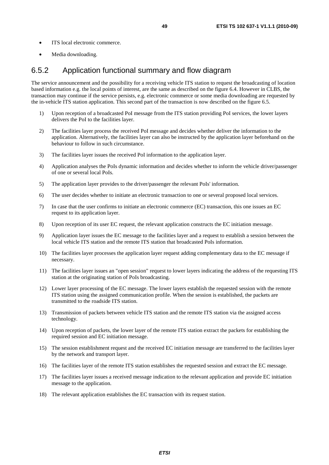- ITS local electronic commerce.
- Media downloading.

#### 6.5.2 Application functional summary and flow diagram

The service announcement and the possibility for a receiving vehicle ITS station to request the broadcasting of location based information e.g. the local points of interest, are the same as described on the figure 6.4. However in CLBS, the transaction may continue if the service persists, e.g. electronic commerce or some media downloading are requested by the in-vehicle ITS station application. This second part of the transaction is now described on the figure 6.5.

- 1) Upon reception of a broadcasted PoI message from the ITS station providing PoI services, the lower layers delivers the PoI to the facilities layer.
- 2) The facilities layer process the received PoI message and decides whether deliver the information to the application. Alternatively, the facilities layer can also be instructed by the application layer beforehand on the behaviour to follow in such circumstance.
- 3) The facilities layer issues the received PoI information to the application layer.
- 4) Application analyses the PoIs dynamic information and decides whether to inform the vehicle driver/passenger of one or several local PoIs.
- 5) The application layer provides to the driver/passenger the relevant PoIs' information.
- 6) The user decides whether to initiate an electronic transaction to one or several proposed local services.
- 7) In case that the user confirms to initiate an electronic commerce (EC) transaction, this one issues an EC request to its application layer.
- 8) Upon reception of its user EC request, the relevant application constructs the EC initiation message.
- 9) Application layer issues the EC message to the facilities layer and a request to establish a session between the local vehicle ITS station and the remote ITS station that broadcasted PoIs information.
- 10) The facilities layer processes the application layer request adding complementary data to the EC message if necessary.
- 11) The facilities layer issues an "open session" request to lower layers indicating the address of the requesting ITS station at the originating station of PoIs broadcasting.
- 12) Lower layer processing of the EC message. The lower layers establish the requested session with the remote ITS station using the assigned communication profile. When the session is established, the packets are transmitted to the roadside ITS station.
- 13) Transmission of packets between vehicle ITS station and the remote ITS station via the assigned access technology.
- 14) Upon reception of packets, the lower layer of the remote ITS station extract the packets for establishing the required session and EC initiation message.
- 15) The session establishment request and the received EC initiation message are transferred to the facilities layer by the network and transport layer.
- 16) The facilities layer of the remote ITS station establishes the requested session and extract the EC message.
- 17) The facilities layer issues a received message indication to the relevant application and provide EC initiation message to the application.
- 18) The relevant application establishes the EC transaction with its request station.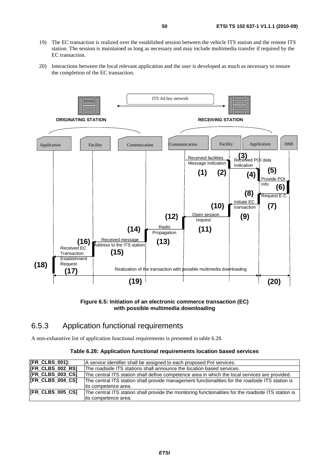- 19) The EC transaction is realized over the established session between the vehicle ITS station and the remote ITS station. The session is maintained as long as necessary and may include multimedia transfer if required by the EC transaction.
- 20) Interactions between the local relevant application and the user is developed as much as necessary to ensure the completion of the EC transaction.



**Figure 6.5: Initiation of an electronic commerce transaction (EC) with possible multimedia downloading**

### 6.5.3 Application functional requirements

A non-exhaustive list of application functional requirements is presented in table 6.28.

#### **Table 6.28: Application functional requirements location based services**

| [FR_CLBS_001]:          | A service identifier shall be assigned to each proposed Pol services.                                |
|-------------------------|------------------------------------------------------------------------------------------------------|
| <b>IFR CLBS 002 RS1</b> | The roadside ITS stations shall announce the location based services.                                |
| [FR_CLBS_003_CS]        | The central ITS station shall define competence area in which the local services are provided.       |
| <b>IFR CLBS 004 CSI</b> | The central ITS station shall provide management functionalities for the roadside ITS station is     |
|                         | lits competence area.                                                                                |
| <b>IFR_CLBS_005_CS1</b> | The central ITS station shall provide the monitoring functionalities for the roadside ITS station is |
|                         | lits competence area.                                                                                |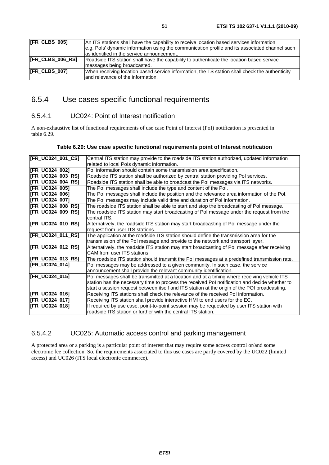| $\overline{\text{IFR}}$ CLBS 005] | An ITS stations shall have the capability to receive location based services information       |
|-----------------------------------|------------------------------------------------------------------------------------------------|
|                                   | e.g. Pols' dynamic information using the communication profile and its associated channel such |
|                                   | las identified in the service announcement.                                                    |
| <b>IFR CLBS 006 RSI</b>           | Roadside ITS station shall have the capability to authenticate the location based service      |
|                                   | messages being broadcasted.                                                                    |
| <b>IFR CLBS 0071</b>              | When receiving location based service information, the TS station shall check the authenticity |
|                                   | land relevance of the information.                                                             |
|                                   |                                                                                                |

## 6.5.4 Use cases specific functional requirements

#### 6.5.4.1 UC024: Point of Interest notification

A non-exhaustive list of functional requirements of use case Point of Interest (PoI) notification is presented in table 6.29.

| [FR_UC024_001_CS]        | Central ITS station may provide to the roadside ITS station authorized, updated information   |
|--------------------------|-----------------------------------------------------------------------------------------------|
|                          | related to local Pols dynamic information.                                                    |
| [FR_UC024_002]           | Pol information should contain some transmission area specification.                          |
| [FR UC024 003 RS]        | Roadside ITS station shall be authorized by central station providing Pol services.           |
| <b>IFR UC024 004 RS1</b> | Roadside ITS station shall be able to broadcast the Pol messages via ITS networks.            |
| [FR_UC024_005]           | The Pol messages shall include the type and content of the Pol.                               |
| <b>IFR UC024 0061</b>    | The Pol messages shall include the position and the relevance area information of the Pol.    |
| [FR_UC024_007]           | The Pol messages may include valid time and duration of Pol information.                      |
| <b>IFR UC024 008 RS1</b> | The roadside ITS station shall be able to start and stop the broadcasting of Pol message.     |
| [FR_UC024_009_RS]        | The roadside ITS station may start broadcasting of Pol message under the request from the     |
|                          | central ITS.                                                                                  |
| [FR_UC024_010_RS]        | Alternatively, the roadside ITS station may start broadcasting of Pol message under the       |
|                          | request from user ITS stations.                                                               |
| [FR_UC024_011_RS]        | The application at the roadside ITS station should define the transmission area for the       |
|                          | transmission of the Pol message and provide to the network and transport layer.               |
| [FR_UC024_012_RS]        | Alternatively, the roadside ITS station may start broadcasting of Pol message after receiving |
|                          | CAM from user ITS stations.                                                                   |
| [FR_UC024_013_RS]        | The roadside ITS station should transmit the Pol messages at a predefined transmission rate.  |
| [FR_UC024_014]           | Pol messages may be addressed to a given community. In such case, the service                 |
|                          | announcement shall provide the relevant community identification.                             |
| [FR_UC024_015]           | Pol messages shall be transmitted at a location and at a timing where receiving vehicle ITS   |
|                          | station has the necessary time to process the received Pol notification and decide whether to |
|                          | start a session request between itself and ITS station at the origin of the POI broadcasting. |
| [FR_UC024_016]           | Receiving ITS stations shall check the relevance of the received Pol information.             |
| [FR_UC024_017]           | Receiving ITS station shall provide interactive HMI to end users for the EC.                  |
| [FR_UC024_018]           | If required by use case, point-to-point session may be requested by user ITS station with     |
|                          | roadside ITS station or further with the central ITS station.                                 |

#### 6.5.4.2 UC025: Automatic access control and parking management

A protected area or a parking is a particular point of interest that may require some access control or/and some electronic fee collection. So, the requirements associated to this use cases are partly covered by the UC022 (limited access) and UC026 (ITS local electronic commerce).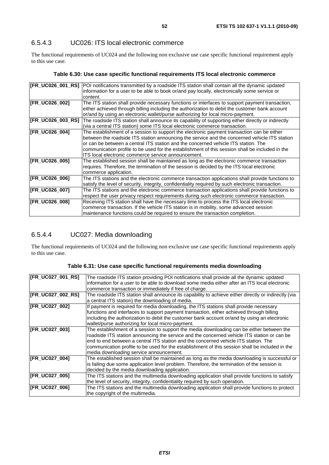The functional requirements of UC024 and the following non exclusive use case specific functional requirement apply to this use case.

#### **Table 6.30: Use case specific functional requirements ITS local electronic commerce**

| [FR_UC026_001_RS]     | POI notifications transmitted by a roadside ITS station shall contain all the dynamic updated      |
|-----------------------|----------------------------------------------------------------------------------------------------|
|                       | information for a user to be able to book or/and pay locally, electronically some service or       |
|                       | content.                                                                                           |
| [FR_UC026_002]        | The ITS station shall provide necessary functions or interfaces to support payment transaction,    |
|                       | either achieved through billing including the authorization to debit the customer bank account     |
|                       | or/and by using an electronic wallet/purse authorizing for local micro-payment.                    |
| [FR_UC026_003_RS]     | The roadside ITS station shall announce its capability of supporting either directly or indirectly |
|                       | (via a central ITS station) some ITS local electronic commerce transaction.                        |
| <b>IFR UC026 0041</b> | The establishment of a session to support the electronic payment transaction can be either         |
|                       | between the roadside ITS station announcing the service and the concerned vehicle ITS station      |
|                       | or can be between a central ITS station and the concerned vehicle ITS station. The                 |
|                       | communication profile to be used for the establishment of this session shall be included in the    |
|                       | ITS local electronic commerce service announcement.                                                |
| [FR_UC026_005]        | The established session shall be maintained as long as the electronic commerce transaction         |
|                       | requires. Therefore, the termination of the session is decided by the ITS local electronic         |
|                       | commerce application.                                                                              |
| [FR_UC026_006]        | The ITS stations and the electronic commerce transaction applications shall provide functions to   |
|                       | satisfy the level of security, integrity, confidentiality required by such electronic transaction. |
| [FR_UC026_007]        | The ITS stations and the electronic commerce transaction applications shall provide functions to   |
|                       | respect the user privacy respect requirements during such electronic commerce transaction.         |
| [FR_UC026_008]        | Receiving ITS station shall have the necessary time to process the ITS local electronic            |
|                       | commerce transaction. If the vehicle ITS station is in mobility, some advanced session             |
|                       | maintenance functions could be required to ensure the transaction completion.                      |

### 6.5.4.4 UC027: Media downloading

The functional requirements of UC024 and the following non exclusive use case specific functional requirements apply to this use case.

| [FR_UC027_001_RS]    | The roadside ITS station providing POI notifications shall provide all the dynamic updated           |
|----------------------|------------------------------------------------------------------------------------------------------|
|                      | information for a user to be able to download some media either after an ITS local electronic        |
|                      | commerce transaction or immediately if free of charge.                                               |
| [FR_UC027_002_RS]    | The roadside ITS station shall announce its capability to achieve either directly or indirectly (via |
|                      | a central ITS station) the downloading of media.                                                     |
| [FR_UC027_002]       | If payment is required for media downloading, the ITS stations shall provide necessary               |
|                      | functions and interfaces to support payment transaction, either achieved through billing             |
|                      | including the authorization to debit the customer bank account or/and by using an electronic         |
|                      | wallet/purse authorizing for local micro-payment.                                                    |
| [FR_UC027_003]       | The establishment of a session to support the media downloading can be either between the            |
|                      | roadside ITS station announcing the service and the concerned vehicle ITS station or can be          |
|                      | end to end between a central ITS station and the concerned vehicle ITS station. The                  |
|                      | communication profile to be used for the establishment of this session shall be included in the      |
|                      | media downloading service announcement.                                                              |
| [FR_UC027_004]       | The established session shall be maintained as long as the media downloading is successful or        |
|                      | is failing due some application level problem. Therefore, the termination of the session is          |
|                      | decided by the media downloading application.                                                        |
| [FR_UC027_005]       | The ITS stations and the multimedia downloading application shall provide functions to satisfy       |
|                      | the level of security, integrity, confidentiality required by such operation.                        |
| <b>FR UC027 0061</b> | The ITS stations and the multimedia downloading application shall provide functions to protect       |
|                      | the copyright of the multimedia.                                                                     |

|  |  | Table 6.31: Use case specific functional requirements media downloading |
|--|--|-------------------------------------------------------------------------|
|--|--|-------------------------------------------------------------------------|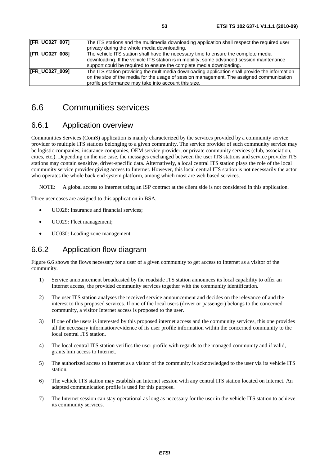| [FR_UC027_007] | The ITS stations and the multimedia downloading application shall respect the required user    |
|----------------|------------------------------------------------------------------------------------------------|
|                | privacy during the whole media downloading.                                                    |
| [FR_UC027_008] | The vehicle ITS station shall have the necessary time to ensure the complete media             |
|                | downloading. If the vehicle ITS station is in mobility, some advanced session maintenance      |
|                | support could be required to ensure the complete media downloading.                            |
| [FR_UC027_009] | The ITS station providing the multimedia downloading application shall provide the information |
|                | on the size of the media for the usage of session management. The assigned communication       |
|                | profile performance may take into account this size.                                           |

## 6.6 Communities services

### 6.6.1 Application overview

Communities Services (ComS) application is mainly characterized by the services provided by a community service provider to multiple ITS stations belonging to a given community. The service provider of such community service may be logistic companies, insurance companies, OEM service provider, or private community services (club, association, cities, etc.). Depending on the use case, the messages exchanged between the user ITS stations and service provider ITS stations may contain sensitive, driver-specific data. Alternatively, a local central ITS station plays the role of the local community service provider giving access to Internet. However, this local central ITS station is not necessarily the actor who operates the whole back end system platform, among which most are web based services.

NOTE: A global access to Internet using an ISP contract at the client side is not considered in this application.

Three user cases are assigned to this application in BSA.

- UC028: Insurance and financial services;
- UC029: Fleet management:
- UC030: Loading zone management.

### 6.6.2 Application flow diagram

Figure 6.6 shows the flows necessary for a user of a given community to get access to Internet as a visitor of the community.

- 1) Service announcement broadcasted by the roadside ITS station announces its local capability to offer an Internet access, the provided community services together with the community identification.
- 2) The user ITS station analyses the received service announcement and decides on the relevance of and the interest to this proposed services. If one of the local users (driver or passenger) belongs to the concerned community, a visitor Internet access is proposed to the user.
- 3) If one of the users is interested by this proposed internet access and the community services, this one provides all the necessary information/evidence of its user profile information within the concerned community to the local central ITS station.
- 4) The local central ITS station verifies the user profile with regards to the managed community and if valid, grants him access to Internet.
- 5) The authorized access to Internet as a visitor of the community is acknowledged to the user via its vehicle ITS station.
- 6) The vehicle ITS station may establish an Internet session with any central ITS station located on Internet. An adapted communication profile is used for this purpose.
- 7) The Internet session can stay operational as long as necessary for the user in the vehicle ITS station to achieve its community services.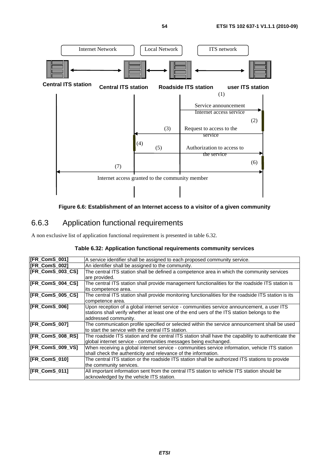

**Figure 6.6: Establishment of an Internet access to a visitor of a given community**

## 6.6.3 Application functional requirements

A non exclusive list of application functional requirement is presented in table 6.32.

|  | Table 6.32: Application functional requirements community services |  |
|--|--------------------------------------------------------------------|--|
|  |                                                                    |  |

| [FR_ComS_001]        | A service identifier shall be assigned to each proposed community service.                           |
|----------------------|------------------------------------------------------------------------------------------------------|
| <b>IFR ComS 0021</b> | An identifier shall be assigned to the community.                                                    |
| [FR_ComS_003_CS]     | The central ITS station shall be defined a competence area in which the community services           |
|                      | are provided.                                                                                        |
| [FR_ComS_004_CS]     | The central ITS station shall provide management functionalities for the roadside ITS station is     |
|                      | its competence area.                                                                                 |
| [FR_ComS_005_CS]     | The central ITS station shall provide monitoring functionalities for the roadside ITS station is its |
|                      | competence area.                                                                                     |
| [FR_ComS_006]        | Upon reception of a global internet service - communities service announcement, a user ITS           |
|                      | stations shall verify whether at least one of the end uers of the ITS station belongs to the         |
|                      | addressed community.                                                                                 |
| [FR_ComS_007]        | The communication profile specified or selected within the service announcement shall be used        |
|                      | to start the service with the central ITS station.                                                   |
| [FR_ComS_008_RS]     | The roadside ITS station and the central ITS station shall have the capability to authenticate the   |
|                      | global internet service - communities messages being exchanged.                                      |
| [FR_ComS_009_VS]     | When receiving a global internet service - communities service information, vehicle ITS station      |
|                      | shall check the authenticity and relevance of the information.                                       |
| [FR_ComS_010]        | The central ITS station or the roadside ITS station shall be authorized ITS stations to provide      |
|                      | the community services.                                                                              |
| [FR_ComS_011]        | All important information sent from the central ITS station to vehicle ITS station should be         |
|                      | acknowledged by the vehicle ITS station.                                                             |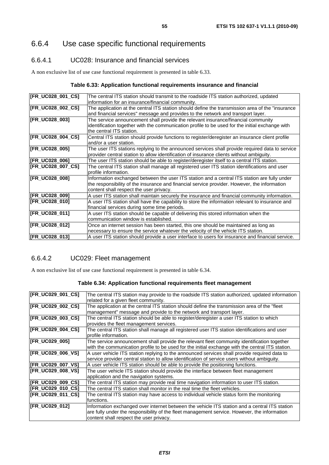## 6.6.4 Use case specific functional requirements

#### 6.6.4.1 UC028: Insurance and financial services

A non exclusive list of use case functional requirement is presented in table 6.33.

#### **Table 6.33: Application functional requirements insurance and financial**

| [FR_UC028_001_CS]     | The central ITS station should transmit to the roadside ITS station authorized, updated           |
|-----------------------|---------------------------------------------------------------------------------------------------|
|                       | information for an insurance/financial community.                                                 |
| [FR_UC028_002_CS]     | The application at the central ITS station should define the transmission area of the "insurance" |
|                       | and financial services" message and provides to the network and transport layer.                  |
| [FR_UC028_003]        | The service announcement shall provide the relevant insurance/financial community                 |
|                       | identification together with the communication profile to be used for the initial exchange with   |
|                       | the central ITS station.                                                                          |
| [FR_UC028_004_CS]     | Central ITS station should provide functions to register/deregister an insurance client profile   |
|                       | and/or a user station.                                                                            |
| [FR_UC028_005]        | The user ITS stations replying to the announced services shall provide required data to service   |
|                       | provider central station to allow identification of insurance clients without ambiguity.          |
| [FR_UC028_006]        | The user ITS station should be able to register/deregister itself to a central ITS station.       |
| [FR_UC028_007_CS]     | The central ITS station shall manage all registered user ITS station identifications and user     |
|                       | Iprofile information.                                                                             |
| [FR_UC028_008]        | Information exchanged between the user ITS station and a central ITS station are fully under      |
|                       | the responsibility of the insurance and financial service provider. However, the information      |
|                       | content shall respect the user privacy.                                                           |
| [FR_UC028_009]        | A user ITS station shall maintain securely the insurance and financial community information.     |
| <b>IFR UC028 0101</b> | A user ITS station shall have the capability to store the information relevant to insurance and   |
|                       | financial services during some time periods.                                                      |
| [FR_UC028_011]        | A user ITS station should be capable of delivering this stored information when the               |
|                       | communication window is established.                                                              |
| [FR_UC028_012]        | Once an internet session has been started, this one should be maintained as long as               |
|                       | necessary to ensure the service whatever the velocity of the vehicle ITS station.                 |
| [FR_UC028_013]        | A user ITS station should provide a user interface to users for insurance and financial service.  |

#### 6.6.4.2 UC029: Fleet management

A non exclusive list of use case functional requirement is presented in table 6.34.

#### **Table 6.34: Application functional requirements fleet management**

| [FR_UC029_001_CS] | The central ITS station may provide to the roadside ITS station authorized, updated information<br>related for a given fleet community. |
|-------------------|-----------------------------------------------------------------------------------------------------------------------------------------|
| [FR_UC029_002_CS] | The application at the central ITS station should define the transmission area of the "fleet                                            |
|                   |                                                                                                                                         |
|                   | management" message and provide to the network and transport layer.                                                                     |
| [FR_UC029_003_CS] | The central ITS station should be able to register/deregister a user ITS station to which                                               |
|                   | provides the fleet management services.                                                                                                 |
| [FR_UC029_004_CS] | The central ITS station shall manage all registered user ITS station identifications and user                                           |
|                   |                                                                                                                                         |
|                   | profile information.                                                                                                                    |
| [FR_UC029_005]    | The service announcement shall provide the relevant fleet community identification together                                             |
|                   | with the communication profile to be used for the initial exchange with the central ITS station.                                        |
| [FR_UC029_006_VS] | A user vehicle ITS station replying to the announced services shall provide required data to                                            |
|                   |                                                                                                                                         |
|                   | service provider central station to allow identification of service users without ambiguity.                                            |
| [FR_UC029_007_VS] | A user vehicle ITS station should be able to provide the positioning functions.                                                         |
| [FR_UC029_008_VS] | The user vehicle ITS station should provide the interface between fleet management                                                      |
|                   | application and the navigation systems.                                                                                                 |
| [FR_UC029_009_CS] | The central ITS station may provide real time navigation information to user ITS station.                                               |
|                   |                                                                                                                                         |
| [FR_UC029_010_CS] | The central ITS station shall monitor in the real time the fleet vehicles.                                                              |
| [FR_UC029_011_CS] | The central ITS station may have access to individual vehicle status form the monitoring                                                |
|                   | functions.                                                                                                                              |
| [FR_UC029_012]    | Information exchanged over internet between the vehicle ITS station and a central ITS station                                           |
|                   |                                                                                                                                         |
|                   | are fully under the responsibility of the fleet management service. However, the information                                            |
|                   | content shall respect the user privacy.                                                                                                 |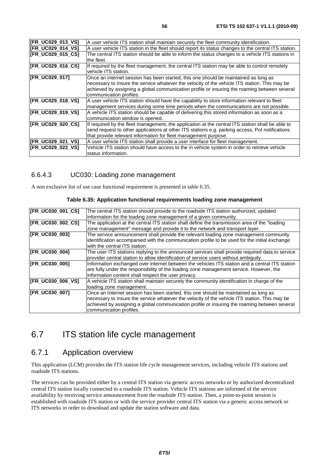| [FR_UC029_013_VS]        | A user vehicle ITS station shall maintain securely the fleet community identification.                                                                                                                                                                                                                          |
|--------------------------|-----------------------------------------------------------------------------------------------------------------------------------------------------------------------------------------------------------------------------------------------------------------------------------------------------------------|
| [FR_UC029_014_VS]        | A user vehicle ITS station in the fleet should report its status changes to the central ITS station.                                                                                                                                                                                                            |
| <b>IFR UC029 015 CS1</b> | The central ITS station should be able to inform the status changes to a vehicle ITS stations in<br>the fleet.                                                                                                                                                                                                  |
| [FR_UC029_016_CS]        | If required by the fleet management, the central ITS station may be able to control remotely<br>vehicle ITS station.                                                                                                                                                                                            |
| [FR_UC029_017]           | Once an internet session has been started, this one should be maintained as long as<br>necessary to insure the service whatever the velocity of the vehicle ITS station. This may be<br>achieved by assigning a global communication profile or insuring the roaming between several<br>communication profiles. |
| [FR_UC029_018_VS]        | A user vehicle ITS station should have the capability to store information relevant to fleet<br>management services during some time periods when the communications are not possible.                                                                                                                          |
| [FR_UC029_019_VS]        | A vehicle ITS station should be capable of delivering this stored information as soon as a<br>communication window is opened.                                                                                                                                                                                   |
| [FR_UC029_020_CS]        | If required by the fleet management, the application at the central ITS station shall be able to<br>send request to other applications at other ITS stations e.g. parking access, Pol notifications<br>that provide relevant information for fleet management purpose.                                          |
| [FR_UC029_021_VS]        | A user vehicle ITS station shall provide a user interface for fleet management.                                                                                                                                                                                                                                 |
| <b>IFR UC029 022 VS1</b> | Vehicle ITS station should have access to the in vehicle system in order to retrieve vehicle<br>status information.                                                                                                                                                                                             |

#### 6.6.4.3 UC030: Loading zone management

A non exclusive list of use case functional requirement is presented in table 6.35.

| [FR_UC030_001_CS]     | The central ITS station should provide to the roadside ITS station authorized, updated<br>information for the loading zone management of a given community.                                                                                                                                                     |  |  |  |
|-----------------------|-----------------------------------------------------------------------------------------------------------------------------------------------------------------------------------------------------------------------------------------------------------------------------------------------------------------|--|--|--|
| [FR_UC030_002_CS]     | The application at the central ITS station shall define the transmission area of the "loading<br>zone management" message and provide it to the network and transport layer.                                                                                                                                    |  |  |  |
| [FR_UC030_003]        | The service announcement shall provide the relevant loading zone management community<br>identification accompanied with the communication profile to be used for the initial exchange<br>with the central ITS station.                                                                                         |  |  |  |
| [FR_UC030_004]        | The user ITS stations replying to the announced services shall provide required data to service<br>provider central station to allow identification of service users without ambiguity.                                                                                                                         |  |  |  |
| [FR_UC030_005]        | Information exchanged over internet between the vehicles ITS station and a central ITS station<br>are fully under the responsibility of the loading zone management service. However, the<br>information content shall respect the user privacy.                                                                |  |  |  |
| [FR_UC030_006_VS]     | A vehicle ITS station shall maintain securely the community identification in charge of the<br>loading zone management.                                                                                                                                                                                         |  |  |  |
| <b>IFR UC030 0071</b> | Once an Internet session has been started, this one should be maintained as long as<br>necessary to insure the service whatever the velocity of the vehicle ITS station. This may be<br>achieved by assigning a global communication profile or insuring the roaming between several<br>communication profiles. |  |  |  |

#### **Table 6.35: Application functional requirements loading zone management**

## 6.7 ITS station life cycle management

## 6.7.1 Application overview

This application (LCM) provides the ITS station life cycle management services, including vehicle ITS stations and roadside ITS stations.

The services can be provided either by a central ITS station via generic access networks or by authorized decentralized central ITS station locally connected to a roadside ITS station. Vehicle ITS stations are informed of the service availability by receiving service announcement from the roadside ITS station. Then, a point-to-point session is established with roadside ITS station or with the service provider central ITS station via a generic access network or ITS networks in order to download and update the station software and data.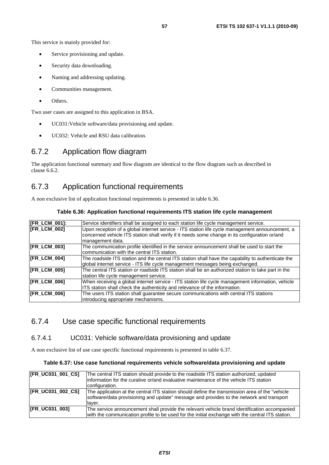This service is mainly provided for:

- Service provisioning and update.
- Security data downloading.
- Naming and addressing updating.
- Communities management.
- Others.

Two user cases are assigned to this application in BSA.

- UC031:Vehicle software/data provisioning and update.
- UC032: Vehicle and RSU data calibration.

### 6.7.2 Application flow diagram

The application functional summary and flow diagram are identical to the flow diagram such as described in clause 6.6.2.

### 6.7.3 Application functional requirements

A non exclusive list of application functional requirements is presented in table 6.36.

| <b>[FR_LCM_001]:</b> | Service identifiers shall be assigned to each station life cycle management service.               |  |  |
|----------------------|----------------------------------------------------------------------------------------------------|--|--|
| <b>IFR LCM 0021</b>  | Upon reception of a global internet service - ITS station life cycle management announcement, a    |  |  |
|                      | concerned vehicle ITS station shall verify if it needs some change in its configuration or/and     |  |  |
|                      | management data.                                                                                   |  |  |
| [FR_LCM_003]         | The communication profile identified in the service announcement shall be used to start the        |  |  |
|                      | communication with the central ITS station.                                                        |  |  |
| [FR_LCM_004]         | The roadside ITS station and the central ITS station shall have the capability to authenticate the |  |  |
|                      | global internet service - ITS life cycle management messages being exchanged.                      |  |  |
| <b>[FR_LCM_005]</b>  | The central ITS station or roadside ITS station shall be an authorized station to take part in the |  |  |
|                      | station life cycle management service.                                                             |  |  |
| <b>[FR_LCM_006]</b>  | When receiving a global internet service - ITS station life cycle management information, vehicle  |  |  |
|                      | ITS station shall check the authenticity and relevance of the information.                         |  |  |
| [FR_LCM_006]         | The users ITS station shall guarantee secure communications with central ITS stations              |  |  |
|                      | introducing appropriate mechanisms.                                                                |  |  |

#### **Table 6.36: Application functional requirements ITS station life cycle management**

#### 6.7.4 Use case specific functional requirements

#### 6.7.4.1 UC031: Vehicle software/data provisioning and update

A non exclusive list of use case specific functional requirements is presented in table 6.37.

#### **Table 6.37: Use case functional requirements vehicle software/data provisioning and update**

| [FR UC031 001 CS]     | The central ITS station should provide to the roadside ITS station authorized, updated<br>information for the curative or/and evaluative maintenance of the vehicle ITS station<br>configuration.     |
|-----------------------|-------------------------------------------------------------------------------------------------------------------------------------------------------------------------------------------------------|
| [FR UC031 002 CS]     | The application at the central ITS station should define the transmission area of the "vehicle"<br>software/data provisioning and update" message and provides to the network and transport<br>laver. |
| <b>IFR UC031 0031</b> | The service announcement shall provide the relevant vehicle brand identification accompanied<br>with the communication profile to be used for the initial exchange with the central ITS station.      |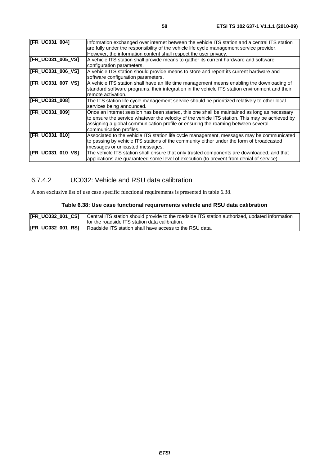| [FR_UC031_004]           | Information exchanged over internet between the vehicle ITS station and a central ITS station   |  |  |  |
|--------------------------|-------------------------------------------------------------------------------------------------|--|--|--|
|                          | are fully under the responsibility of the vehicle life cycle management service provider.       |  |  |  |
|                          | However, the information content shall respect the user privacy.                                |  |  |  |
| [FR_UC031_005_VS]        | A vehicle ITS station shall provide means to gather its current hardware and software           |  |  |  |
|                          | configuration parameters.                                                                       |  |  |  |
| <b>IFR UC031 006 VS1</b> | A vehicle ITS station should provide means to store and report its current hardware and         |  |  |  |
|                          | software configuration parameters.                                                              |  |  |  |
| [FR_UC031_007_VS]        | A vehicle ITS station shall have an life time management means enabling the downloading of      |  |  |  |
|                          | standard software programs, their integration in the vehicle ITS station environment and their  |  |  |  |
|                          | remote activation.                                                                              |  |  |  |
| [FR_UC031_008]           | The ITS station life cycle management service should be prioritized relatively to other local   |  |  |  |
|                          | services being announced.                                                                       |  |  |  |
| [FR_UC031_009]           | Once an internet session has been started, this one shall be maintained as long as necessary    |  |  |  |
|                          | to ensure the service whatever the velocity of the vehicle ITS station. This may be achieved by |  |  |  |
|                          | assigning a global communication profile or ensuring the roaming between several                |  |  |  |
|                          | communication profiles.                                                                         |  |  |  |
| [FR_UC031_010]           | Associated to the vehicle ITS station life cycle management, messages may be communicated       |  |  |  |
|                          | to passing by vehicle ITS stations of the community either under the form of broadcasted        |  |  |  |
|                          | messages or unicasted messages.                                                                 |  |  |  |
|                          |                                                                                                 |  |  |  |
| [FR_UC031_010_VS]        | The vehicle ITS station shall ensure that only trusted components are downloaded, and that      |  |  |  |
|                          | applications are guaranteed some level of execution (to prevent from denial of service).        |  |  |  |
|                          |                                                                                                 |  |  |  |

### 6.7.4.2 UC032: Vehicle and RSU data calibration

A non exclusive list of use case specific functional requirements is presented in table 6.38.

#### **Table 6.38: Use case functional requirements vehicle and RSU data calibration**

| <b>[FR_UC032_001_CS]</b> Central ITS station should provide to the roadside ITS station authorized, updated information<br>Ifor the roadside ITS station data calibration. |
|----------------------------------------------------------------------------------------------------------------------------------------------------------------------------|
| [FR_UC032_001_RS]   Roadside ITS station shall have access to the RSU data.                                                                                                |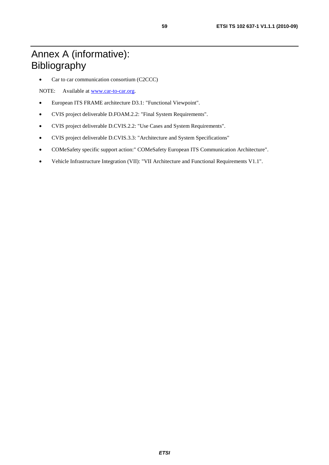## Annex A (informative): Bibliography

• Car to car communication consortium (C2CCC)

NOTE: Available at [www.car-to-car.org](http://www.car-to-car.org/).

- European ITS FRAME architecture D3.1: "Functional Viewpoint".
- CVIS project deliverable D.FOAM.2.2: "Final System Requirements".
- CVIS project deliverable D.CVIS.2.2: "Use Cases and System Requirements".
- CVIS project deliverable D.CVIS.3.3: "Architecture and System Specifications"
- COMeSafety specific support action:" COMeSafety European ITS Communication Architecture".
- Vehicle Infrastructure Integration (VII): "VII Architecture and Functional Requirements V1.1".